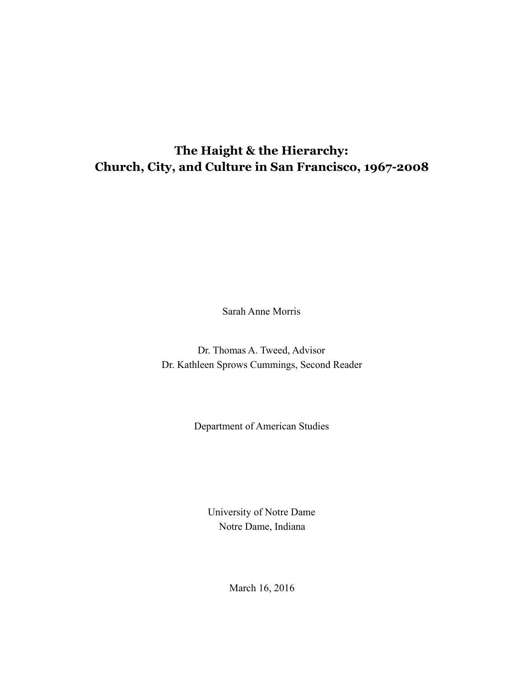## **The Haight & the Hierarchy: Church, City, and Culture in San Francisco, 1967-2008**

Sarah Anne Morris

Dr. Thomas A. Tweed, Advisor Dr. Kathleen Sprows Cummings, Second Reader

Department of American Studies

University of Notre Dame Notre Dame, Indiana

March 16, 2016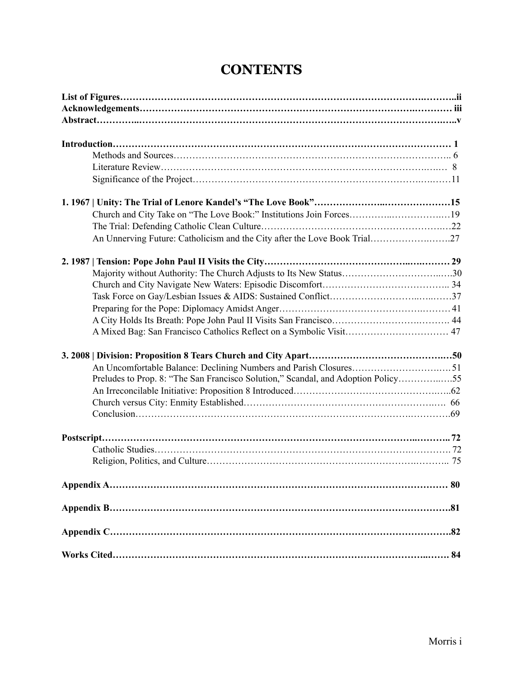| Church and City Take on "The Love Book:" Institutions Join Forces19               |  |
|-----------------------------------------------------------------------------------|--|
|                                                                                   |  |
| An Unnerving Future: Catholicism and the City after the Love Book Trial27         |  |
|                                                                                   |  |
|                                                                                   |  |
|                                                                                   |  |
|                                                                                   |  |
|                                                                                   |  |
|                                                                                   |  |
|                                                                                   |  |
|                                                                                   |  |
|                                                                                   |  |
| Preludes to Prop. 8: "The San Francisco Solution," Scandal, and Adoption Policy55 |  |
|                                                                                   |  |
|                                                                                   |  |
|                                                                                   |  |
|                                                                                   |  |
|                                                                                   |  |
|                                                                                   |  |
|                                                                                   |  |
|                                                                                   |  |
|                                                                                   |  |
|                                                                                   |  |
|                                                                                   |  |

# **CONTENTS**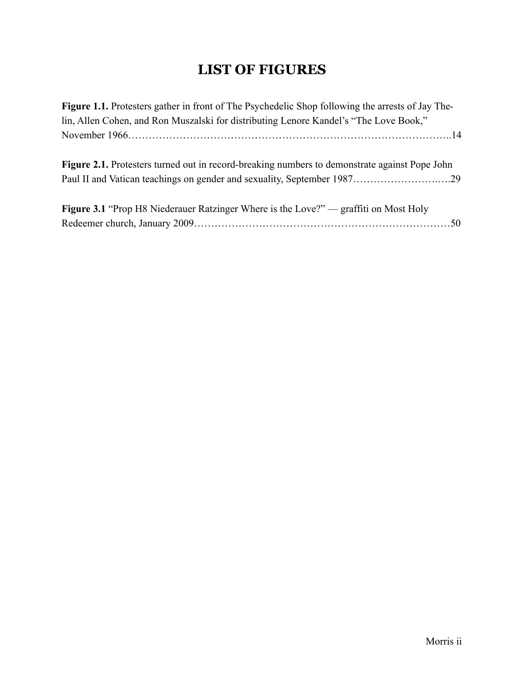# **LIST OF FIGURES**

| Figure 1.1. Protesters gather in front of The Psychedelic Shop following the arrests of Jay The- |  |
|--------------------------------------------------------------------------------------------------|--|
| lin, Allen Cohen, and Ron Muszalski for distributing Lenore Kandel's "The Love Book,"            |  |
|                                                                                                  |  |
|                                                                                                  |  |
| Figure 2.1. Protesters turned out in record-breaking numbers to demonstrate against Pope John    |  |
|                                                                                                  |  |
|                                                                                                  |  |
| <b>Figure 3.1 "Prop H8 Niederauer Ratzinger Where is the Love?" — graffiti on Most Holy</b>      |  |
|                                                                                                  |  |
|                                                                                                  |  |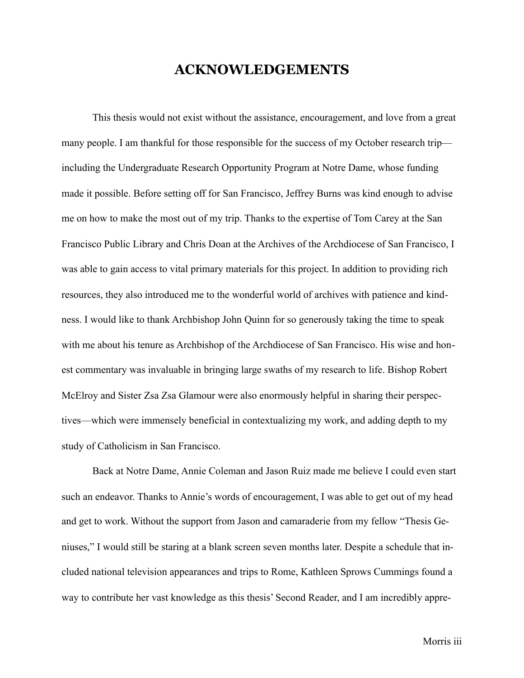## **ACKNOWLEDGEMENTS**

 This thesis would not exist without the assistance, encouragement, and love from a great many people. I am thankful for those responsible for the success of my October research trip including the Undergraduate Research Opportunity Program at Notre Dame, whose funding made it possible. Before setting off for San Francisco, Jeffrey Burns was kind enough to advise me on how to make the most out of my trip. Thanks to the expertise of Tom Carey at the San Francisco Public Library and Chris Doan at the Archives of the Archdiocese of San Francisco, I was able to gain access to vital primary materials for this project. In addition to providing rich resources, they also introduced me to the wonderful world of archives with patience and kindness. I would like to thank Archbishop John Quinn for so generously taking the time to speak with me about his tenure as Archbishop of the Archdiocese of San Francisco. His wise and honest commentary was invaluable in bringing large swaths of my research to life. Bishop Robert McElroy and Sister Zsa Zsa Glamour were also enormously helpful in sharing their perspectives—which were immensely beneficial in contextualizing my work, and adding depth to my study of Catholicism in San Francisco.

 Back at Notre Dame, Annie Coleman and Jason Ruiz made me believe I could even start such an endeavor. Thanks to Annie's words of encouragement, I was able to get out of my head and get to work. Without the support from Jason and camaraderie from my fellow "Thesis Geniuses," I would still be staring at a blank screen seven months later. Despite a schedule that included national television appearances and trips to Rome, Kathleen Sprows Cummings found a way to contribute her vast knowledge as this thesis' Second Reader, and I am incredibly appre-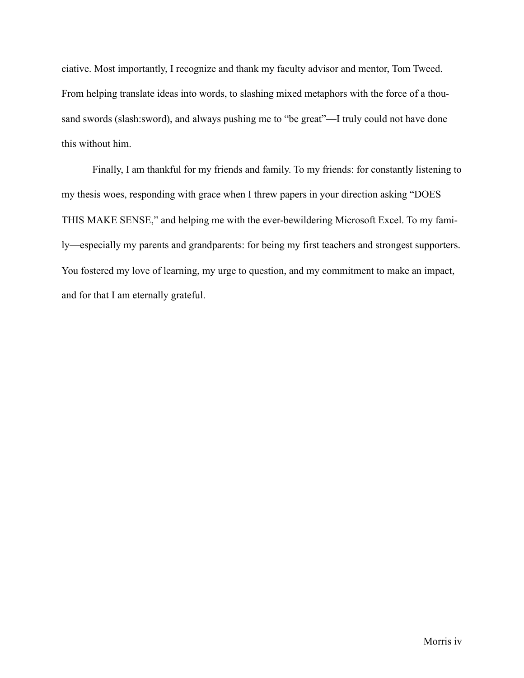ciative. Most importantly, I recognize and thank my faculty advisor and mentor, Tom Tweed. From helping translate ideas into words, to slashing mixed metaphors with the force of a thousand swords (slash:sword), and always pushing me to "be great"—I truly could not have done this without him.

 Finally, I am thankful for my friends and family. To my friends: for constantly listening to my thesis woes, responding with grace when I threw papers in your direction asking "DOES THIS MAKE SENSE," and helping me with the ever-bewildering Microsoft Excel. To my family—especially my parents and grandparents: for being my first teachers and strongest supporters. You fostered my love of learning, my urge to question, and my commitment to make an impact, and for that I am eternally grateful.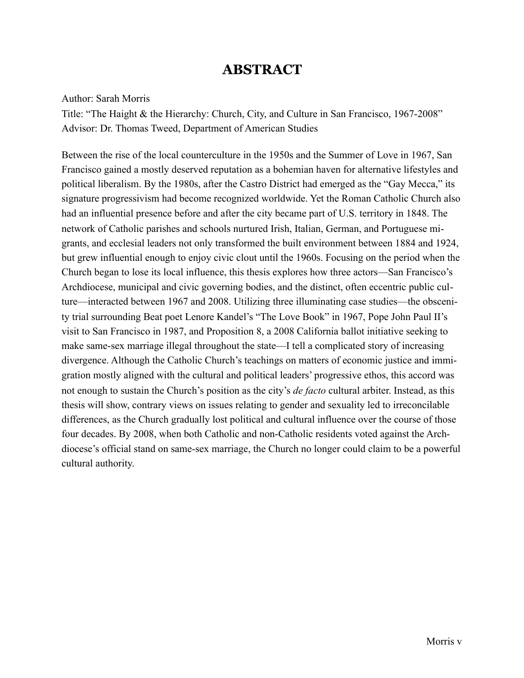## **ABSTRACT**

### Author: Sarah Morris

Title: "The Haight & the Hierarchy: Church, City, and Culture in San Francisco, 1967-2008" Advisor: Dr. Thomas Tweed, Department of American Studies

Between the rise of the local counterculture in the 1950s and the Summer of Love in 1967, San Francisco gained a mostly deserved reputation as a bohemian haven for alternative lifestyles and political liberalism. By the 1980s, after the Castro District had emerged as the "Gay Mecca," its signature progressivism had become recognized worldwide. Yet the Roman Catholic Church also had an influential presence before and after the city became part of U.S. territory in 1848. The network of Catholic parishes and schools nurtured Irish, Italian, German, and Portuguese migrants, and ecclesial leaders not only transformed the built environment between 1884 and 1924, but grew influential enough to enjoy civic clout until the 1960s. Focusing on the period when the Church began to lose its local influence, this thesis explores how three actors—San Francisco's Archdiocese, municipal and civic governing bodies, and the distinct, often eccentric public culture—interacted between 1967 and 2008. Utilizing three illuminating case studies—the obscenity trial surrounding Beat poet Lenore Kandel's "The Love Book" in 1967, Pope John Paul II's visit to San Francisco in 1987, and Proposition 8, a 2008 California ballot initiative seeking to make same-sex marriage illegal throughout the state—I tell a complicated story of increasing divergence. Although the Catholic Church's teachings on matters of economic justice and immigration mostly aligned with the cultural and political leaders' progressive ethos, this accord was not enough to sustain the Church's position as the city's *de facto* cultural arbiter. Instead, as this thesis will show, contrary views on issues relating to gender and sexuality led to irreconcilable differences, as the Church gradually lost political and cultural influence over the course of those four decades. By 2008, when both Catholic and non-Catholic residents voted against the Archdiocese's official stand on same-sex marriage, the Church no longer could claim to be a powerful cultural authority.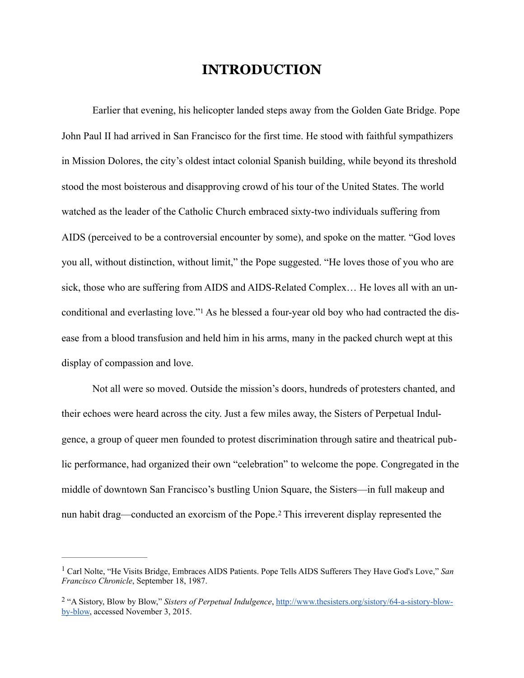## **INTRODUCTION**

 Earlier that evening, his helicopter landed steps away from the Golden Gate Bridge. Pope John Paul II had arrived in San Francisco for the first time. He stood with faithful sympathizers in Mission Dolores, the city's oldest intact colonial Spanish building, while beyond its threshold stood the most boisterous and disapproving crowd of his tour of the United States. The world watched as the leader of the Catholic Church embraced sixty-two individuals suffering from AIDS (perceived to be a controversial encounter by some), and spoke on the matter. "God loves you all, without distinction, without limit," the Pope suggested. "He loves those of you who are sick, those who are suffering from AIDS and AIDS-Related Complex… He loves all with an unconditionaland everlasting love."<sup>1</sup> As he blessed a four-year old boy who had contracted the disease from a blood transfusion and held him in his arms, many in the packed church wept at this display of compassion and love.

<span id="page-6-2"></span>Not all were so moved. Outside the mission's doors, hundreds of protesters chanted, and their echoes were heard across the city. Just a few miles away, the Sisters of Perpetual Indulgence, a group of queer men founded to protest discrimination through satire and theatrical public performance, had organized their own "celebration" to welcome the pope. Congregated in the middle of downtown San Francisco's bustling Union Square, the Sisters—in full makeup and nunhabit drag—conducted an exorcism of the Pope.<sup>[2](#page-6-1)</sup> This irreverent display represented the

<span id="page-6-3"></span><span id="page-6-0"></span><sup>&</sup>lt;sup>[1](#page-6-2)</sup> Carl Nolte, "He Visits Bridge, Embraces AIDS Patients. Pope Tells AIDS Sufferers They Have God's Love," San *Francisco Chronicle*, September 18, 1987.

<span id="page-6-1"></span> <sup>&</sup>quot;A Sistory, Blow by Blow," *Sisters of Perpetual Indulgence*[, http://www.thesisters.org/sistory/64-a-sistory-blow-](http://www.thesisters.org/sistory/64-a-sistory-blow-by-blow) [2](#page-6-3) by-blow, accessed November 3, 2015.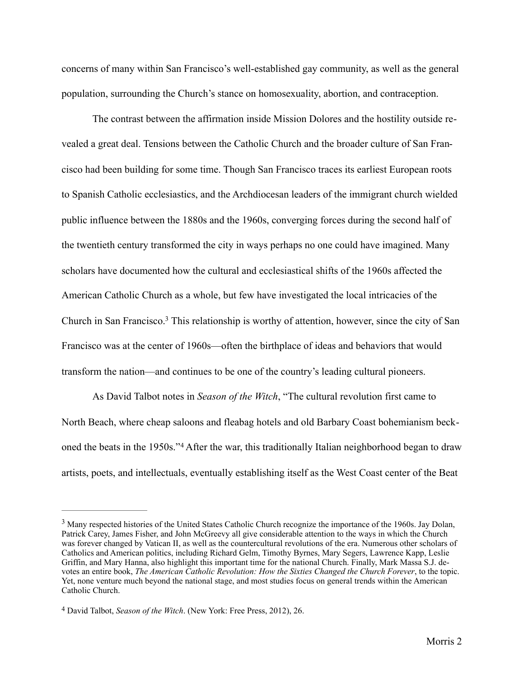concerns of many within San Francisco's well-established gay community, as well as the general population, surrounding the Church's stance on homosexuality, abortion, and contraception.

The contrast between the affirmation inside Mission Dolores and the hostility outside revealed a great deal. Tensions between the Catholic Church and the broader culture of San Francisco had been building for some time. Though San Francisco traces its earliest European roots to Spanish Catholic ecclesiastics, and the Archdiocesan leaders of the immigrant church wielded public influence between the 1880s and the 1960s, converging forces during the second half of the twentieth century transformed the city in ways perhaps no one could have imagined. Many scholars have documented how the cultural and ecclesiastical shifts of the 1960s affected the American Catholic Church as a whole, but few have investigated the local intricacies of the Church in San Francisco[.](#page-7-0)<sup>[3](#page-7-0)</sup> This relationship is worthy of attention, however, since the city of San Francisco was at the center of 1960s—often the birthplace of ideas and behaviors that would transform the nation—and continues to be one of the country's leading cultural pioneers.

<span id="page-7-3"></span><span id="page-7-2"></span>As David Talbot notes in *Season of the Witch*, "The cultural revolution first came to North Beach, where cheap saloons and fleabag hotels and old Barbary Coast bohemianism beck-onedthe beats in the 1950s."<sup>[4](#page-7-1)</sup> After the war, this traditionally Italian neighborhood began to draw artists, poets, and intellectuals, eventually establishing itself as the West Coast center of the Beat

<span id="page-7-0"></span><sup>&</sup>lt;sup>[3](#page-7-2)</sup> Many respected histories of the United States Catholic Church recognize the importance of the 1960s. Jay Dolan, Patrick Carey, James Fisher, and John McGreevy all give considerable attention to the ways in which the Church was forever changed by Vatican II, as well as the countercultural revolutions of the era. Numerous other scholars of Catholics and American politics, including Richard Gelm, Timothy Byrnes, Mary Segers, Lawrence Kapp, Leslie Griffin, and Mary Hanna, also highlight this important time for the national Church. Finally, Mark Massa S.J. devotes an entire book, *The American Catholic Revolution: How the Sixties Changed the Church Forever*, to the topic. Yet, none venture much beyond the national stage, and most studies focus on general trends within the American Catholic Church.

<span id="page-7-1"></span>David Talbot, *Season of the Witch*. (New York: Free Press, 2012), 26. [4](#page-7-3)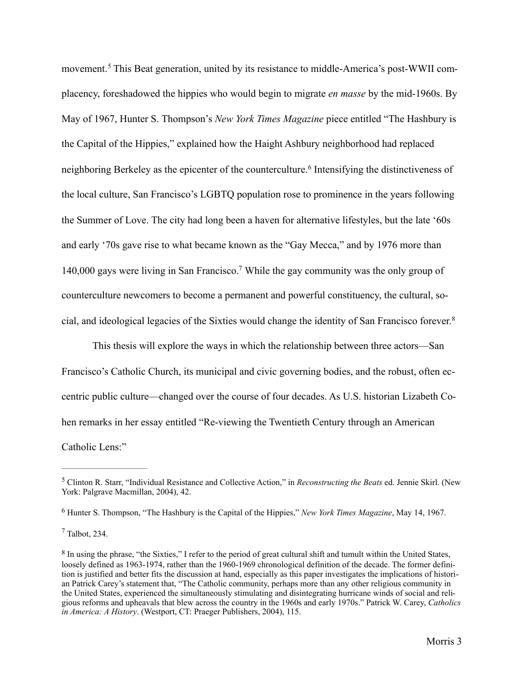<span id="page-8-5"></span><span id="page-8-4"></span>movement.<sup>[5](#page-8-0)</sup> This Beat generation, united by its resistance to middle-America's post-WWII complacency, foreshadowed the hippies who would begin to migrate *en masse* by the mid-1960s. By May of 1967, Hunter S. Thompson's *New York Times Magazine* piece entitled "The Hashbury is the Capital of the Hippies," explained how the Haight Ashbury neighborhood had replaced neighboringBerkeley as the epicenter of the counterculture.<sup>[6](#page-8-1)</sup> Intensifying the distinctiveness of the local culture, San Francisco's LGBTQ population rose to prominence in the years following the Summer of Love. The city had long been a haven for alternative lifestyles, but the late '60s and early '70s gave rise to what became known as the "Gay Mecca," and by 1976 more than 140,000 gays were living in San Francisco[.](#page-8-2)<sup>[7](#page-8-2)</sup> While the gay community was the only group of counterculture newcomers to become a permanent and powerful constituency, the cultural, social, and ideological legacies of the Sixties would change the identity of San Francisco forever.[8](#page-8-3)

<span id="page-8-7"></span><span id="page-8-6"></span>This thesis will explore the ways in which the relationship between three actors—San Francisco's Catholic Church, its municipal and civic governing bodies, and the robust, often eccentric public culture—changed over the course of four decades. As U.S. historian Lizabeth Cohen remarks in her essay entitled "Re-viewing the Twentieth Century through an American Catholic Lens:"

<span id="page-8-0"></span>Clinton R. Starr, "Individual Resistance and Collective Action," in *Reconstructing the Beats* ed. Jennie Skirl. (New [5](#page-8-4) York: Palgrave Macmillan, 2004), 42.

<span id="page-8-1"></span><sup>&</sup>lt;sup>[6](#page-8-5)</sup> Hunter S. Thompson, "The Hashbury is the Capital of the Hippies," *New York Times Magazine*, May 14, 1967.

<span id="page-8-2"></span> $<sup>7</sup>$  $<sup>7</sup>$  $<sup>7</sup>$  Talbot, 234.</sup>

<span id="page-8-3"></span><sup>&</sup>lt;sup>[8](#page-8-7)</sup> In using the phrase, "the Sixties," I refer to the period of great cultural shift and tumult within the United States, loosely defined as 1963-1974, rather than the 1960-1969 chronological definition of the decade. The former definition is justified and better fits the discussion at hand, especially as this paper investigates the implications of historian Patrick Carey's statement that, "The Catholic community, perhaps more than any other religious community in the United States, experienced the simultaneously stimulating and disintegrating hurricane winds of social and religious reforms and upheavals that blew across the country in the 1960s and early 1970s." Patrick W. Carey, *Catholics in America: A History*. (Westport, CT: Praeger Publishers, 2004), 115.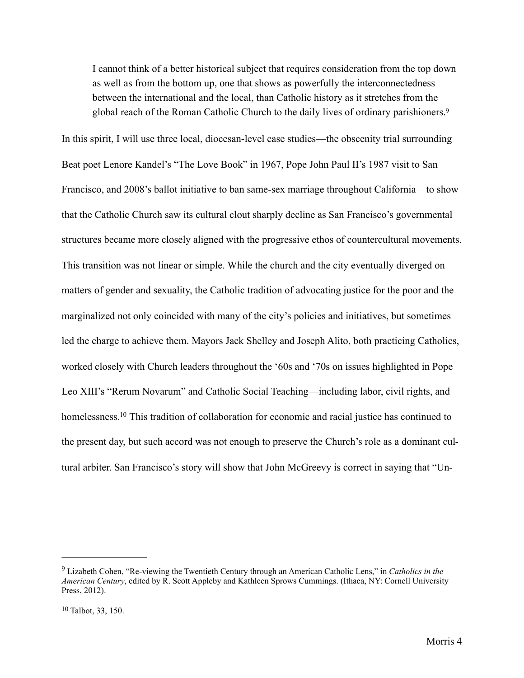<span id="page-9-2"></span>I cannot think of a better historical subject that requires consideration from the top down as well as from the bottom up, one that shows as powerfully the interconnectedness between the international and the local, than Catholic history as it stretches from the global reach of the Roman Catholic Church to the daily lives of ordinary parishioners.<sup>9</sup>

In this spirit, I will use three local, diocesan-level case studies—the obscenity trial surrounding Beat poet Lenore Kandel's "The Love Book" in 1967, Pope John Paul II's 1987 visit to San Francisco, and 2008's ballot initiative to ban same-sex marriage throughout California—to show that the Catholic Church saw its cultural clout sharply decline as San Francisco's governmental structures became more closely aligned with the progressive ethos of countercultural movements. This transition was not linear or simple. While the church and the city eventually diverged on matters of gender and sexuality, the Catholic tradition of advocating justice for the poor and the marginalized not only coincided with many of the city's policies and initiatives, but sometimes led the charge to achieve them. Mayors Jack Shelley and Joseph Alito, both practicing Catholics, worked closely with Church leaders throughout the '60s and '70s on issues highlighted in Pope Leo XIII's "Rerum Novarum" and Catholic Social Teaching—including labor, civil rights, and homelessness[.](#page-9-1)<sup>[10](#page-9-1)</sup> This tradition of collaboration for economic and racial justice has continued to the present day, but such accord was not enough to preserve the Church's role as a dominant cultural arbiter. San Francisco's story will show that John McGreevy is correct in saying that "Un-

<span id="page-9-3"></span><span id="page-9-0"></span>Lizabeth Cohen, "Re-viewing the Twentieth Century through an American Catholic Lens," in *Catholics in the* [9](#page-9-2) *American Century*, edited by R. Scott Appleby and Kathleen Sprows Cummings. (Ithaca, NY: Cornell University Press, 2012).

<span id="page-9-1"></span> $10$  Talbot, 33, 150.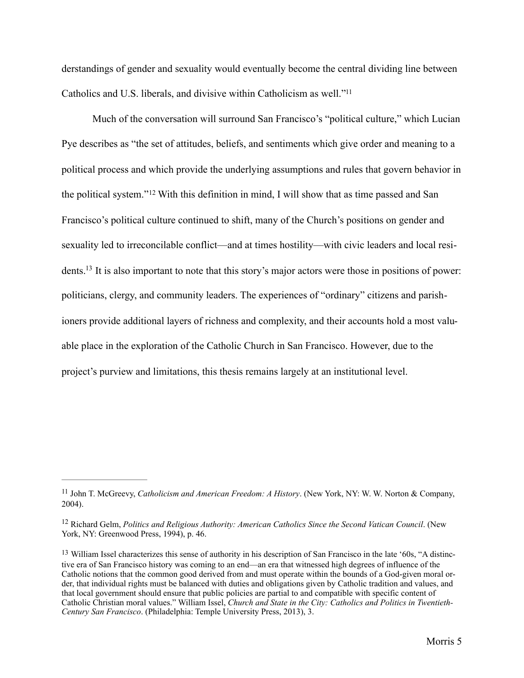derstandings of gender and sexuality would eventually become the central dividing line between Catholics and U.S. liberals, and divisive within Catholicism as well.["11](#page-10-0)

<span id="page-10-5"></span><span id="page-10-4"></span><span id="page-10-3"></span>Much of the conversation will surround San Francisco's "political culture," which Lucian Pye describes as "the set of attitudes, beliefs, and sentiments which give order and meaning to a political process and which provide the underlying assumptions and rules that govern behavior in thepolitical system." $12$  With this definition in mind, I will show that as time passed and San Francisco's political culture continued to shift, many of the Church's positions on gender and sexuality led to irreconcilable conflict—and at times hostility—with civic leaders and local resi-dents[.](#page-10-2)<sup>[13](#page-10-2)</sup> It is also important to note that this story's major actors were those in positions of power: politicians, clergy, and community leaders. The experiences of "ordinary" citizens and parishioners provide additional layers of richness and complexity, and their accounts hold a most valuable place in the exploration of the Catholic Church in San Francisco. However, due to the project's purview and limitations, this thesis remains largely at an institutional level.

<span id="page-10-0"></span><sup>&</sup>lt;sup>[11](#page-10-3)</sup> John T. McGreevy, *Catholicism and American Freedom: A History*. (New York, NY: W. W. Norton & Company, 2004).

<span id="page-10-1"></span><sup>&</sup>lt;sup>[12](#page-10-4)</sup> Richard Gelm, *Politics and Religious Authority: American Catholics Since the Second Vatican Council. (New 120)* York, NY: Greenwood Press, 1994), p. 46.

<span id="page-10-2"></span><sup>&</sup>lt;sup>[13](#page-10-5)</sup> William Issel characterizes this sense of authority in his description of San Francisco in the late '60s, "A distinctive era of San Francisco history was coming to an end—an era that witnessed high degrees of influence of the Catholic notions that the common good derived from and must operate within the bounds of a God-given moral order, that individual rights must be balanced with duties and obligations given by Catholic tradition and values, and that local government should ensure that public policies are partial to and compatible with specific content of Catholic Christian moral values." William Issel, *Church and State in the City: Catholics and Politics in Twentieth-Century San Francisco*. (Philadelphia: Temple University Press, 2013), 3.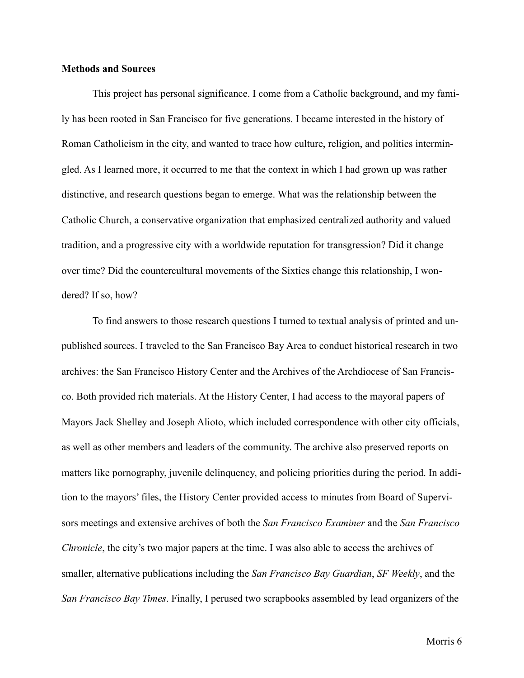### **Methods and Sources**

This project has personal significance. I come from a Catholic background, and my family has been rooted in San Francisco for five generations. I became interested in the history of Roman Catholicism in the city, and wanted to trace how culture, religion, and politics intermingled. As I learned more, it occurred to me that the context in which I had grown up was rather distinctive, and research questions began to emerge. What was the relationship between the Catholic Church, a conservative organization that emphasized centralized authority and valued tradition, and a progressive city with a worldwide reputation for transgression? Did it change over time? Did the countercultural movements of the Sixties change this relationship, I wondered? If so, how?

To find answers to those research questions I turned to textual analysis of printed and unpublished sources. I traveled to the San Francisco Bay Area to conduct historical research in two archives: the San Francisco History Center and the Archives of the Archdiocese of San Francisco. Both provided rich materials. At the History Center, I had access to the mayoral papers of Mayors Jack Shelley and Joseph Alioto, which included correspondence with other city officials, as well as other members and leaders of the community. The archive also preserved reports on matters like pornography, juvenile delinquency, and policing priorities during the period. In addition to the mayors' files, the History Center provided access to minutes from Board of Supervisors meetings and extensive archives of both the *San Francisco Examiner* and the *San Francisco Chronicle*, the city's two major papers at the time. I was also able to access the archives of smaller, alternative publications including the *San Francisco Bay Guardian*, *SF Weekly*, and the *San Francisco Bay Times*. Finally, I perused two scrapbooks assembled by lead organizers of the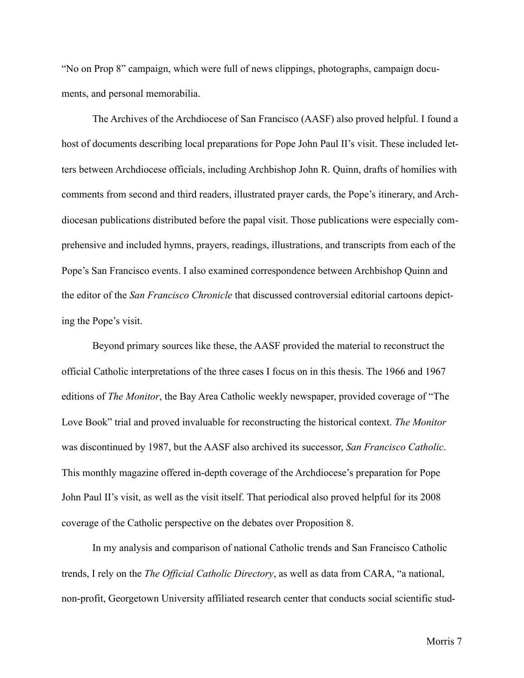"No on Prop 8" campaign, which were full of news clippings, photographs, campaign documents, and personal memorabilia.

 The Archives of the Archdiocese of San Francisco (AASF) also proved helpful. I found a host of documents describing local preparations for Pope John Paul II's visit. These included letters between Archdiocese officials, including Archbishop John R. Quinn, drafts of homilies with comments from second and third readers, illustrated prayer cards, the Pope's itinerary, and Archdiocesan publications distributed before the papal visit. Those publications were especially comprehensive and included hymns, prayers, readings, illustrations, and transcripts from each of the Pope's San Francisco events. I also examined correspondence between Archbishop Quinn and the editor of the *San Francisco Chronicle* that discussed controversial editorial cartoons depicting the Pope's visit.

 Beyond primary sources like these, the AASF provided the material to reconstruct the official Catholic interpretations of the three cases I focus on in this thesis. The 1966 and 1967 editions of *The Monitor*, the Bay Area Catholic weekly newspaper, provided coverage of "The Love Book" trial and proved invaluable for reconstructing the historical context. *The Monitor*  was discontinued by 1987, but the AASF also archived its successor, *San Francisco Catholic*. This monthly magazine offered in-depth coverage of the Archdiocese's preparation for Pope John Paul II's visit, as well as the visit itself. That periodical also proved helpful for its 2008 coverage of the Catholic perspective on the debates over Proposition 8.

 In my analysis and comparison of national Catholic trends and San Francisco Catholic trends, I rely on the *The Official Catholic Directory*, as well as data from CARA, "a national, non-profit, Georgetown University affiliated research center that conducts social scientific stud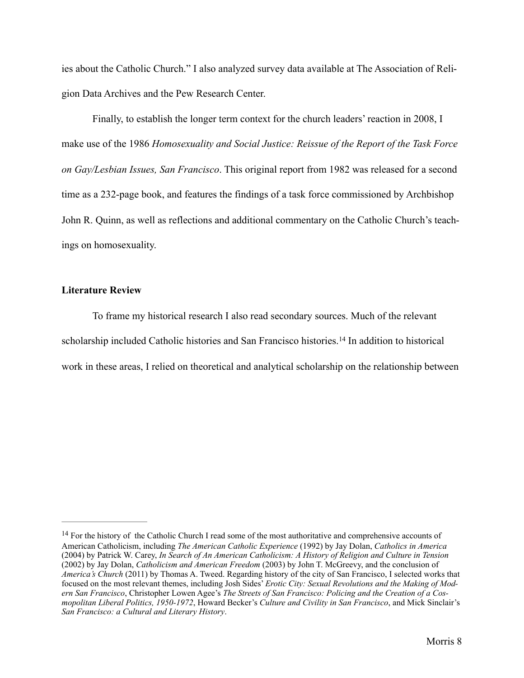ies about the Catholic Church." I also analyzed survey data available at The Association of Religion Data Archives and the Pew Research Center.

 Finally, to establish the longer term context for the church leaders' reaction in 2008, I make use of the 1986 *Homosexuality and Social Justice: Reissue of the Report of the Task Force on Gay/Lesbian Issues, San Francisco*. This original report from 1982 was released for a second time as a 232-page book, and features the findings of a task force commissioned by Archbishop John R. Quinn, as well as reflections and additional commentary on the Catholic Church's teachings on homosexuality.

### **Literature Review**

<span id="page-13-1"></span> To frame my historical research I also read secondary sources. Much of the relevant scholarshipincluded Catholic histories and San Francisco histories.<sup>[14](#page-13-0)</sup> In addition to historical work in these areas, I relied on theoretical and analytical scholarship on the relationship between

<span id="page-13-0"></span><sup>&</sup>lt;sup>[14](#page-13-1)</sup> For the history of the Catholic Church I read some of the most authoritative and comprehensive accounts of American Catholicism, including *The American Catholic Experience* (1992) by Jay Dolan, *Catholics in America*  (2004) by Patrick W. Carey, *In Search of An American Catholicism: A History of Religion and Culture in Tension*  (2002) by Jay Dolan, *Catholicism and American Freedom* (2003) by John T. McGreevy, and the conclusion of *America's Church* (2011) by Thomas A. Tweed. Regarding history of the city of San Francisco, I selected works that focused on the most relevant themes, including Josh Sides' *Erotic City: Sexual Revolutions and the Making of Modern San Francisco*, Christopher Lowen Agee's *The Streets of San Francisco: Policing and the Creation of a Cosmopolitan Liberal Politics, 1950-1972*, Howard Becker's *Culture and Civility in San Francisco*, and Mick Sinclair's *San Francisco: a Cultural and Literary History*.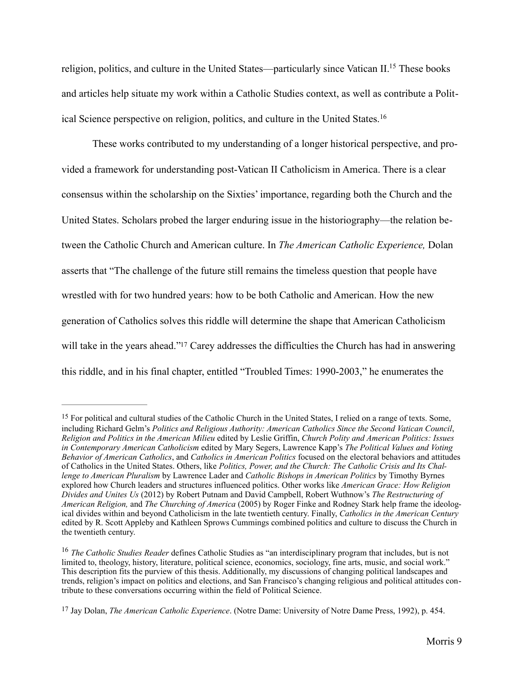<span id="page-14-3"></span>religion, politics, and culture in the United States—particularly since Vatican II[.](#page-14-0)<sup>[15](#page-14-0)</sup> These books and articles help situate my work within a Catholic Studies context, as well as contribute a Political Science perspective on religion, politics, and culture in the United States.[16](#page-14-1)

<span id="page-14-4"></span> These works contributed to my understanding of a longer historical perspective, and provided a framework for understanding post-Vatican II Catholicism in America. There is a clear consensus within the scholarship on the Sixties' importance, regarding both the Church and the United States. Scholars probed the larger enduring issue in the historiography—the relation between the Catholic Church and American culture. In *The American Catholic Experience,* Dolan asserts that "The challenge of the future still remains the timeless question that people have wrestled with for two hundred years: how to be both Catholic and American. How the new generation of Catholics solves this riddle will determine the shape that American Catholicism will take in the years ahead.["](#page-14-2)<sup>[17](#page-14-2)</sup> Carey addresses the difficulties the Church has had in answering this riddle, and in his final chapter, entitled "Troubled Times: 1990-2003," he enumerates the

<span id="page-14-5"></span><span id="page-14-0"></span><sup>&</sup>lt;sup>[15](#page-14-3)</sup> For political and cultural studies of the Catholic Church in the United States, I relied on a range of texts. Some, including Richard Gelm's *Politics and Religious Authority: American Catholics Since the Second Vatican Council*, *Religion and Politics in the American Milieu* edited by Leslie Griffin, *Church Polity and American Politics: Issues in Contemporary American Catholicism* edited by Mary Segers, Lawrence Kapp's *The Political Values and Voting Behavior of American Catholics*, and *Catholics in American Politics* focused on the electoral behaviors and attitudes of Catholics in the United States. Others, like *Politics, Power, and the Church: The Catholic Crisis and Its Challenge to American Pluralism* by Lawrence Lader and *Catholic Bishops in American Politics* by Timothy Byrnes explored how Church leaders and structures influenced politics. Other works like *American Grace: How Religion Divides and Unites Us* (2012) by Robert Putnam and David Campbell, Robert Wuthnow's *The Restructuring of American Religion,* and *The Churching of America* (2005) by Roger Finke and Rodney Stark help frame the ideological divides within and beyond Catholicism in the late twentieth century. Finally, *Catholics in the American Century*  edited by R. Scott Appleby and Kathleen Sprows Cummings combined politics and culture to discuss the Church in the twentieth century.

<span id="page-14-1"></span><sup>&</sup>lt;sup>[16](#page-14-4)</sup> The Catholic Studies Reader defines Catholic Studies as "an interdisciplinary program that includes, but is not limited to, theology, history, literature, political science, economics, sociology, fine arts, music, and social work." This description fits the purview of this thesis. Additionally, my discussions of changing political landscapes and trends, religion's impact on politics and elections, and San Francisco's changing religious and political attitudes contribute to these conversations occurring within the field of Political Science.

<span id="page-14-2"></span><sup>&</sup>lt;sup>[17](#page-14-5)</sup> Jay Dolan, *The American Catholic Experience*. (Notre Dame: University of Notre Dame Press, 1992), p. 454.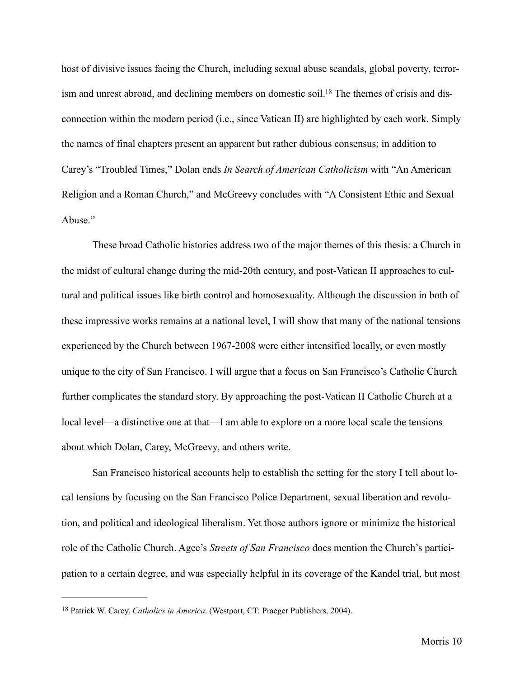<span id="page-15-1"></span>host of divisive issues facing the Church, including sexual abuse scandals, global poverty, terror-ism and unrest abroad, and declining members on domestic soil[.](#page-15-0)<sup>18</sup> The themes of crisis and disconnection within the modern period (i.e., since Vatican II) are highlighted by each work. Simply the names of final chapters present an apparent but rather dubious consensus; in addition to Carey's "Troubled Times," Dolan ends *In Search of American Catholicism* with "An American Religion and a Roman Church," and McGreevy concludes with "A Consistent Ethic and Sexual Abuse<sup>"</sup>

 These broad Catholic histories address two of the major themes of this thesis: a Church in the midst of cultural change during the mid-20th century, and post-Vatican II approaches to cultural and political issues like birth control and homosexuality. Although the discussion in both of these impressive works remains at a national level, I will show that many of the national tensions experienced by the Church between 1967-2008 were either intensified locally, or even mostly unique to the city of San Francisco. I will argue that a focus on San Francisco's Catholic Church further complicates the standard story. By approaching the post-Vatican II Catholic Church at a local level—a distinctive one at that—I am able to explore on a more local scale the tensions about which Dolan, Carey, McGreevy, and others write.

 San Francisco historical accounts help to establish the setting for the story I tell about local tensions by focusing on the San Francisco Police Department, sexual liberation and revolution, and political and ideological liberalism. Yet those authors ignore or minimize the historical role of the Catholic Church. Agee's *Streets of San Francisco* does mention the Church's participation to a certain degree, and was especially helpful in its coverage of the Kandel trial, but most

<span id="page-15-0"></span><sup>&</sup>lt;sup>[18](#page-15-1)</sup> Patrick W. Carey, *Catholics in America*. (Westport, CT: Praeger Publishers, 2004).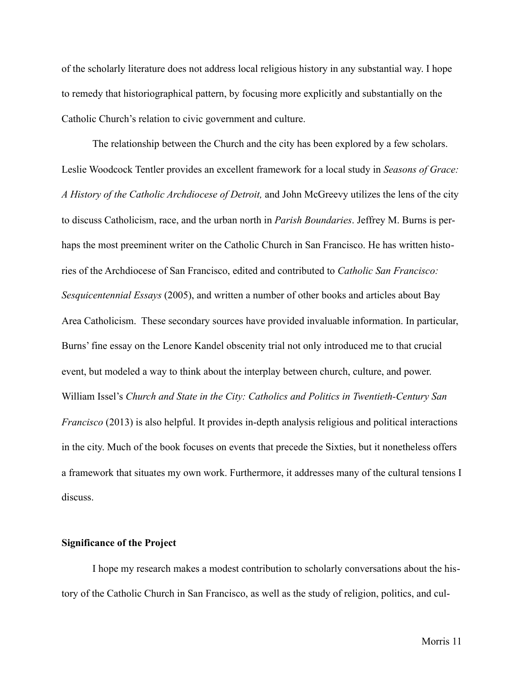of the scholarly literature does not address local religious history in any substantial way. I hope to remedy that historiographical pattern, by focusing more explicitly and substantially on the Catholic Church's relation to civic government and culture.

 The relationship between the Church and the city has been explored by a few scholars. Leslie Woodcock Tentler provides an excellent framework for a local study in *Seasons of Grace: A History of the Catholic Archdiocese of Detroit,* and John McGreevy utilizes the lens of the city to discuss Catholicism, race, and the urban north in *Parish Boundaries*. Jeffrey M. Burns is perhaps the most preeminent writer on the Catholic Church in San Francisco. He has written histories of the Archdiocese of San Francisco, edited and contributed to *Catholic San Francisco: Sesquicentennial Essays* (2005), and written a number of other books and articles about Bay Area Catholicism. These secondary sources have provided invaluable information. In particular, Burns' fine essay on the Lenore Kandel obscenity trial not only introduced me to that crucial event, but modeled a way to think about the interplay between church, culture, and power. William Issel's *Church and State in the City: Catholics and Politics in Twentieth-Century San Francisco* (2013) is also helpful. It provides in-depth analysis religious and political interactions in the city. Much of the book focuses on events that precede the Sixties, but it nonetheless offers a framework that situates my own work. Furthermore, it addresses many of the cultural tensions I discuss.

### **Significance of the Project**

I hope my research makes a modest contribution to scholarly conversations about the history of the Catholic Church in San Francisco, as well as the study of religion, politics, and cul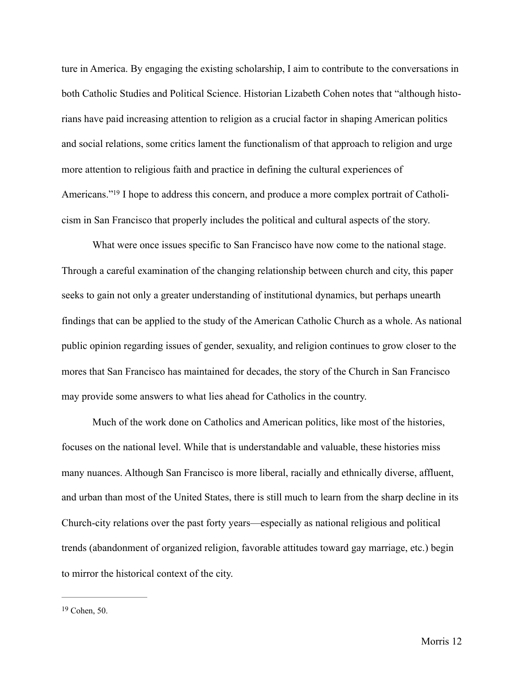ture in America. By engaging the existing scholarship, I aim to contribute to the conversations in both Catholic Studies and Political Science. Historian Lizabeth Cohen notes that "although historians have paid increasing attention to religion as a crucial factor in shaping American politics and social relations, some critics lament the functionalism of that approach to religion and urge more attention to religious faith and practice in defining the cultural experiences of Americans.["](#page-17-0)<sup>19</sup> I hope to address this concern, and produce a more complex portrait of Catholicism in San Francisco that properly includes the political and cultural aspects of the story.

<span id="page-17-1"></span>What were once issues specific to San Francisco have now come to the national stage. Through a careful examination of the changing relationship between church and city, this paper seeks to gain not only a greater understanding of institutional dynamics, but perhaps unearth findings that can be applied to the study of the American Catholic Church as a whole. As national public opinion regarding issues of gender, sexuality, and religion continues to grow closer to the mores that San Francisco has maintained for decades, the story of the Church in San Francisco may provide some answers to what lies ahead for Catholics in the country.

Much of the work done on Catholics and American politics, like most of the histories, focuses on the national level. While that is understandable and valuable, these histories miss many nuances. Although San Francisco is more liberal, racially and ethnically diverse, affluent, and urban than most of the United States, there is still much to learn from the sharp decline in its Church-city relations over the past forty years—especially as national religious and political trends (abandonment of organized religion, favorable attitudes toward gay marriage, etc.) begin to mirror the historical context of the city.

<span id="page-17-0"></span> $19$  Cohen, 50.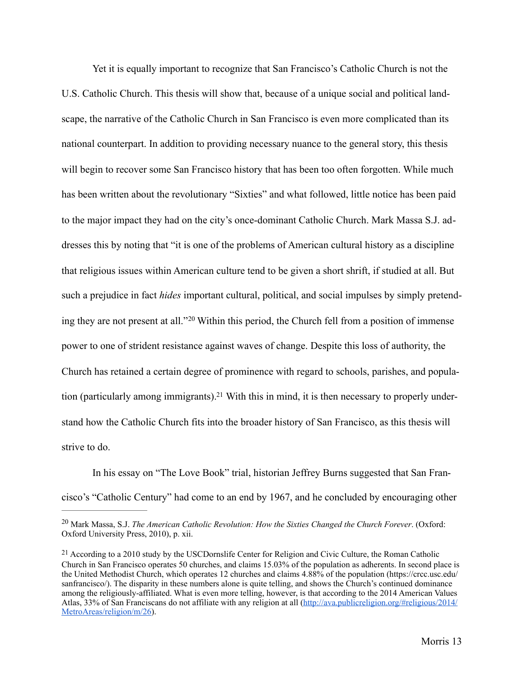Yet it is equally important to recognize that San Francisco's Catholic Church is not the U.S. Catholic Church. This thesis will show that, because of a unique social and political landscape, the narrative of the Catholic Church in San Francisco is even more complicated than its national counterpart. In addition to providing necessary nuance to the general story, this thesis will begin to recover some San Francisco history that has been too often forgotten. While much has been written about the revolutionary "Sixties" and what followed, little notice has been paid to the major impact they had on the city's once-dominant Catholic Church. Mark Massa S.J. addresses this by noting that "it is one of the problems of American cultural history as a discipline that religious issues within American culture tend to be given a short shrift, if studied at all. But such a prejudice in fact *hides* important cultural, political, and social impulses by simply pretend-ingthey are not present at all."<sup>[20](#page-18-0)</sup> Within this period, the Church fell from a position of immense power to one of strident resistance against waves of change. Despite this loss of authority, the Church has retained a certain degree of prominence with regard to schools, parishes, and popula-tion (particularly among immigrants)[.](#page-18-1)<sup>21</sup> With this in mind, it is then necessary to properly understand how the Catholic Church fits into the broader history of San Francisco, as this thesis will strive to do.

<span id="page-18-3"></span><span id="page-18-2"></span>In his essay on "The Love Book" trial, historian Jeffrey Burns suggested that San Francisco's "Catholic Century" had come to an end by 1967, and he concluded by encouraging other

<span id="page-18-0"></span><sup>&</sup>lt;sup>[20](#page-18-2)</sup> Mark Massa, S.J. *The American Catholic Revolution: How the Sixties Changed the Church Forever*. (Oxford: Oxford University Press, 2010), p. xii.

<span id="page-18-1"></span> $21$  According to a 2010 study by the USCDornslife Center for Religion and Civic Culture, the Roman Catholic Church in San Francisco operates 50 churches, and claims 15.03% of the population as adherents. In second place is the United Methodist Church, which operates 12 churches and claims 4.88% of the population (https://crcc.usc.edu/ sanfrancisco/). The disparity in these numbers alone is quite telling, and shows the Church's continued dominance among the religiously-affiliated. What is even more telling, however, is that according to the 2014 American Values [Atlas, 33% of San Franciscans do not affiliate with any religion at all \(http://ava.publicreligion.org/#religious/2014/](http://ava.publicreligion.org/%252523religious/2014/MetroAreas/religion/m/26) MetroAreas/religion/m/26).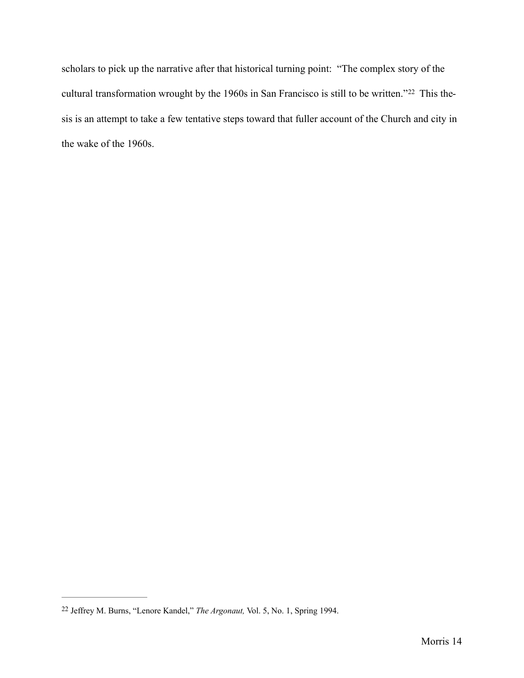<span id="page-19-1"></span>scholars to pick up the narrative after that historical turning point: "The complex story of the culturaltransformation wrought by the 1960s in San Francisco is still to be written."<sup>22</sup> This thesis is an attempt to take a few tentative steps toward that fuller account of the Church and city in the wake of the 1960s.

<span id="page-19-0"></span><sup>&</sup>lt;sup>[22](#page-19-1)</sup> Jeffrey M. Burns, "Lenore Kandel," *The Argonaut*, Vol. 5, No. 1, Spring 1994.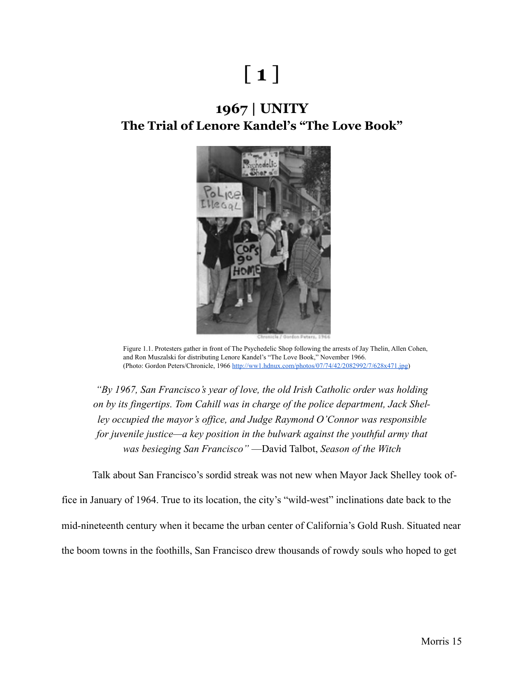# [ **1** ]

## **1967 | UNITY The Trial of Lenore Kandel's "The Love Book"**



Figure 1.1. Protesters gather in front of The Psychedelic Shop following the arrests of Jay Thelin, Allen Cohen, and Ron Muszalski for distributing Lenore Kandel's "The Love Book," November 1966. (Photo: Gordon Peters/Chronicle, 1966 [http://ww1.hdnux.com/photos/07/74/42/2082992/7/628x471.jpg\)](http://ww1.hdnux.com/photos/07/74/42/2082992/7/628x471.jpg)

*"By 1967, San Francisco's year of love, the old Irish Catholic order was holding on by its fingertips. Tom Cahill was in charge of the police department, Jack Shelley occupied the mayor's office, and Judge Raymond O'Connor was responsible for juvenile justice—a key position in the bulwark against the youthful army that was besieging San Francisco"* —David Talbot, *Season of the Witch*

Talk about San Francisco's sordid streak was not new when Mayor Jack Shelley took of-

fice in January of 1964. True to its location, the city's "wild-west" inclinations date back to the mid-nineteenth century when it became the urban center of California's Gold Rush. Situated near the boom towns in the foothills, San Francisco drew thousands of rowdy souls who hoped to get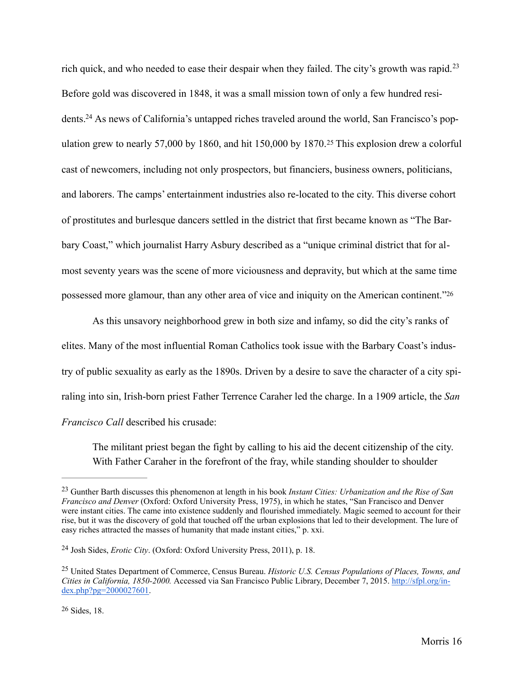<span id="page-21-6"></span><span id="page-21-5"></span><span id="page-21-4"></span>rich quick, and who needed to ease their despair when they failed. The city's growth was rapid.<sup>[23](#page-21-0)</sup> Before gold was discovered in 1848, it was a small mission town of only a few hundred resi-dents[.](#page-21-1)<sup>24</sup> As news of California's untapped riches traveled around the world, San Francisco's pop-ulationgrew to nearly 57,000 by 1860, and hit 150,000 by 1870.<sup>[25](#page-21-2)</sup> This explosion drew a colorful cast of newcomers, including not only prospectors, but financiers, business owners, politicians, and laborers. The camps' entertainment industries also re-located to the city. This diverse cohort of prostitutes and burlesque dancers settled in the district that first became known as "The Barbary Coast," which journalist Harry Asbury described as a "unique criminal district that for almost seventy years was the scene of more viciousness and depravity, but which at the same time possessed more glamour, than any other area of vice and iniquity on the American continent.["26](#page-21-3)

 As this unsavory neighborhood grew in both size and infamy, so did the city's ranks of elites. Many of the most influential Roman Catholics took issue with the Barbary Coast's industry of public sexuality as early as the 1890s. Driven by a desire to save the character of a city spiraling into sin, Irish-born priest Father Terrence Caraher led the charge. In a 1909 article, the *San Francisco Call* described his crusade:

<span id="page-21-7"></span>The militant priest began the fight by calling to his aid the decent citizenship of the city. With Father Caraher in the forefront of the fray, while standing shoulder to shoulder

<span id="page-21-0"></span>Gunther Barth discusses this phenomenon at length in his book *Instant Cities: Urbanization and the Rise of San* [23](#page-21-4) *Francisco and Denver* (Oxford: Oxford University Press, 1975), in which he states, "San Francisco and Denver were instant cities. The came into existence suddenly and flourished immediately. Magic seemed to account for their rise, but it was the discovery of gold that touched off the urban explosions that led to their development. The lure of easy riches attracted the masses of humanity that made instant cities," p. xxi.

<span id="page-21-1"></span><sup>&</sup>lt;sup>[24](#page-21-5)</sup> Josh Sides, *Erotic City*. (Oxford: Oxford University Press, 2011), p. 18.

<span id="page-21-3"></span><span id="page-21-2"></span><sup>&</sup>lt;sup>[25](#page-21-6)</sup> United States Department of Commerce, Census Bureau. *Historic U.S. Census Populations of Places, Towns, and Cities in California, 1850-2000.* [Accessed via San Francisco Public Library, December 7, 2015. http://sfpl.org/in](http://sfpl.org/index.php?pg=2000027601)dex.php?pg=2000027601.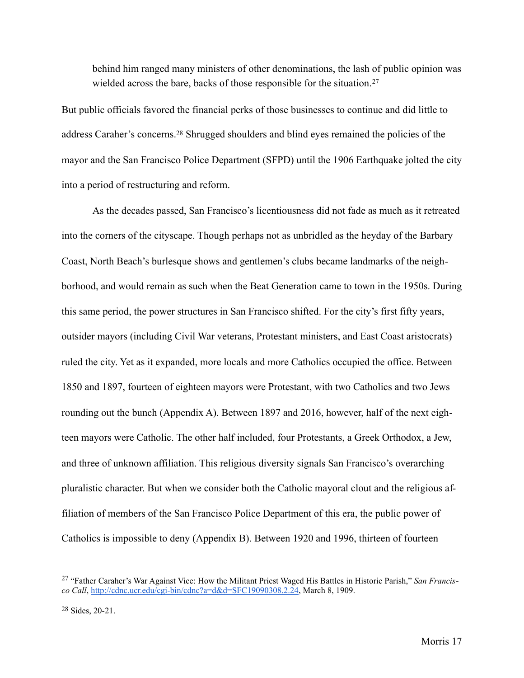<span id="page-22-3"></span><span id="page-22-2"></span>behind him ranged many ministers of other denominations, the lash of public opinion was wielded across the bare, backs of those responsible for the situation.<sup>[27](#page-22-0)</sup>

But public officials favored the financial perks of those businesses to continue and did little to address Caraher's concerns[.](#page-22-1)<sup>[28](#page-22-1)</sup> Shrugged shoulders and blind eyes remained the policies of the mayor and the San Francisco Police Department (SFPD) until the 1906 Earthquake jolted the city into a period of restructuring and reform.

 As the decades passed, San Francisco's licentiousness did not fade as much as it retreated into the corners of the cityscape. Though perhaps not as unbridled as the heyday of the Barbary Coast, North Beach's burlesque shows and gentlemen's clubs became landmarks of the neighborhood, and would remain as such when the Beat Generation came to town in the 1950s. During this same period, the power structures in San Francisco shifted. For the city's first fifty years, outsider mayors (including Civil War veterans, Protestant ministers, and East Coast aristocrats) ruled the city. Yet as it expanded, more locals and more Catholics occupied the office. Between 1850 and 1897, fourteen of eighteen mayors were Protestant, with two Catholics and two Jews rounding out the bunch (Appendix A). Between 1897 and 2016, however, half of the next eighteen mayors were Catholic. The other half included, four Protestants, a Greek Orthodox, a Jew, and three of unknown affiliation. This religious diversity signals San Francisco's overarching pluralistic character. But when we consider both the Catholic mayoral clout and the religious affiliation of members of the San Francisco Police Department of this era, the public power of Catholics is impossible to deny (Appendix B). Between 1920 and 1996, thirteen of fourteen

<span id="page-22-0"></span><sup>&</sup>lt;sup>[27](#page-22-2)</sup> "Father Caraher's War Against Vice: How the Militant Priest Waged His Battles in Historic Parish," *San Francis co Call*,<http://cdnc.ucr.edu/cgi-bin/cdnc?a=d&d=SFC19090308.2.24>, March 8, 1909.

<span id="page-22-1"></span> $28$  Sides,  $20-21$ .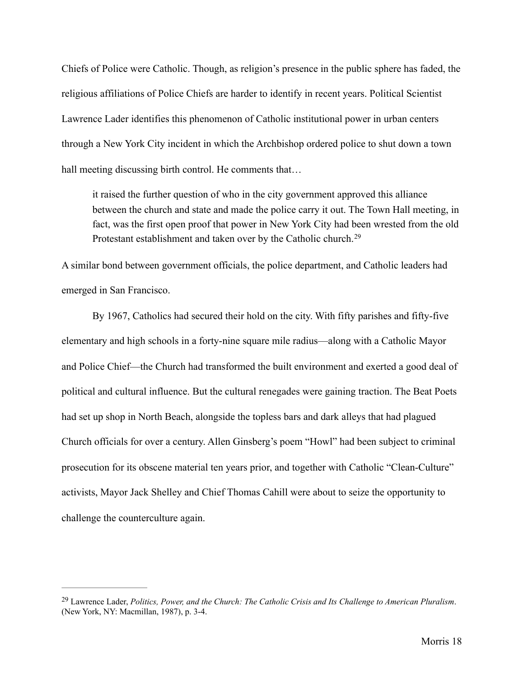Chiefs of Police were Catholic. Though, as religion's presence in the public sphere has faded, the religious affiliations of Police Chiefs are harder to identify in recent years. Political Scientist Lawrence Lader identifies this phenomenon of Catholic institutional power in urban centers through a New York City incident in which the Archbishop ordered police to shut down a town hall meeting discussing birth control. He comments that...

<span id="page-23-1"></span>it raised the further question of who in the city government approved this alliance between the church and state and made the police carry it out. The Town Hall meeting, in fact, was the first open proof that power in New York City had been wrested from the old Protestant establishment and taken over by the Catholic church.<sup>[29](#page-23-0)</sup>

A similar bond between government officials, the police department, and Catholic leaders had emerged in San Francisco.

 By 1967, Catholics had secured their hold on the city. With fifty parishes and fifty-five elementary and high schools in a forty-nine square mile radius—along with a Catholic Mayor and Police Chief—the Church had transformed the built environment and exerted a good deal of political and cultural influence. But the cultural renegades were gaining traction. The Beat Poets had set up shop in North Beach, alongside the topless bars and dark alleys that had plagued Church officials for over a century. Allen Ginsberg's poem "Howl" had been subject to criminal prosecution for its obscene material ten years prior, and together with Catholic "Clean-Culture" activists, Mayor Jack Shelley and Chief Thomas Cahill were about to seize the opportunity to challenge the counterculture again.

<span id="page-23-0"></span>Lawrence Lader, *Politics, Power, and the Church: The Catholic Crisis and Its Challenge to American Pluralism*. [29](#page-23-1) (New York, NY: Macmillan, 1987), p. 3-4.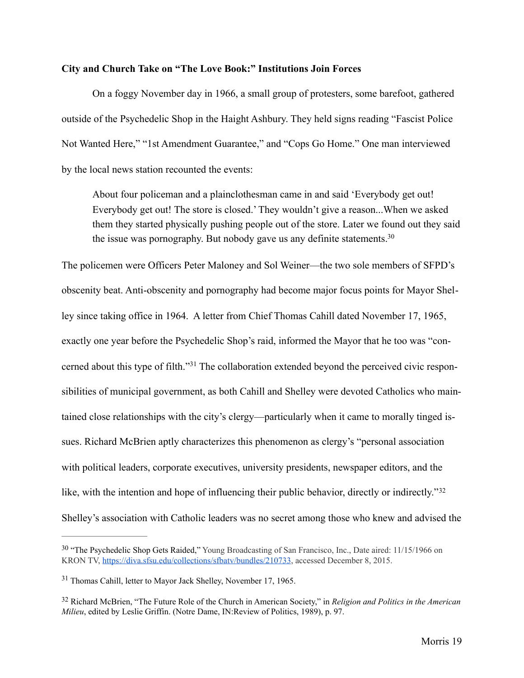### **City and Church Take on "The Love Book:" Institutions Join Forces**

 On a foggy November day in 1966, a small group of protesters, some barefoot, gathered outside of the Psychedelic Shop in the Haight Ashbury. They held signs reading "Fascist Police Not Wanted Here," "1st Amendment Guarantee," and "Cops Go Home." One man interviewed by the local news station recounted the events:

<span id="page-24-3"></span> About four policeman and a plainclothesman came in and said 'Everybody get out! Everybody get out! The store is closed.' They wouldn't give a reason...When we asked them they started physically pushing people out of the store. Later we found out they said the issue was pornography. But nobody gave us any definite statements.<sup>30</sup>

<span id="page-24-4"></span>The policemen were Officers Peter Maloney and Sol Weiner—the two sole members of SFPD's obscenity beat. Anti-obscenity and pornography had become major focus points for Mayor Shelley since taking office in 1964. A letter from Chief Thomas Cahill dated November 17, 1965, exactly one year before the Psychedelic Shop's raid, informed the Mayor that he too was "concernedabout this type of filth."<sup>31</sup> The collaboration extended beyond the perceived civic responsibilities of municipal government, as both Cahill and Shelley were devoted Catholics who maintained close relationships with the city's clergy—particularly when it came to morally tinged issues. Richard McBrien aptly characterizes this phenomenon as clergy's "personal association with political leaders, corporate executives, university presidents, newspaper editors, and the like, with the intention and hope of influencing their public behavior, directly or indirectly."<sup>[32](#page-24-2)</sup> Shelley's association with Catholic leaders was no secret among those who knew and advised the

<span id="page-24-5"></span><span id="page-24-0"></span><sup>&</sup>lt;sup>[30](#page-24-3)</sup> "The Psychedelic Shop Gets Raided," Young Broadcasting of San Francisco, Inc., Date aired: 11/15/1966 on KRON TV, <https://diva.sfsu.edu/collections/sfbatv/bundles/210733>, accessed December 8, 2015.

<span id="page-24-1"></span> $31$  Thomas Cahill, letter to Mayor Jack Shelley, November 17, 1965.

<span id="page-24-2"></span>Richard McBrien, "The Future Role of the Church in American Society," in *Religion and Politics in the American* [32](#page-24-5) *Milieu*, edited by Leslie Griffin. (Notre Dame, IN:Review of Politics, 1989), p. 97.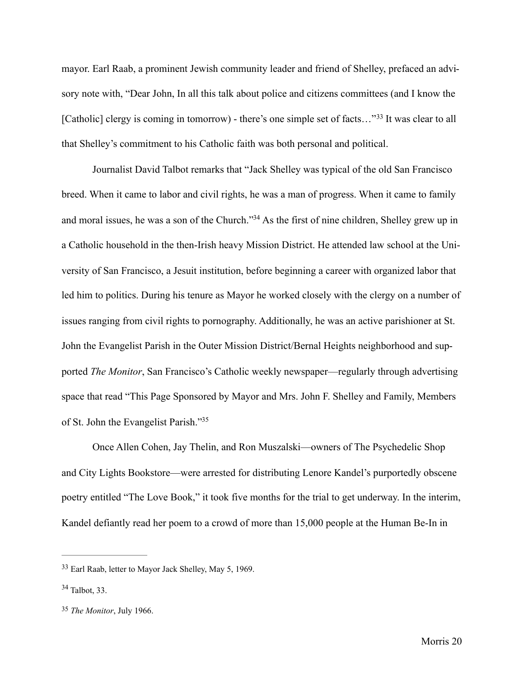mayor. Earl Raab, a prominent Jewish community leader and friend of Shelley, prefaced an advisory note with, "Dear John, In all this talk about police and citizens committees (and I know the [Catholic]clergy is coming in tomorrow) - there's one simple set of facts..."<sup>[33](#page-25-0)</sup> It was clear to all that Shelley's commitment to his Catholic faith was both personal and political.

<span id="page-25-4"></span><span id="page-25-3"></span>Journalist David Talbot remarks that "Jack Shelley was typical of the old San Francisco breed. When it came to labor and civil rights, he was a man of progress. When it came to family and moral issues, he was a son of the Church.["](#page-25-1)<sup>[34](#page-25-1)</sup> As the first of nine children, Shelley grew up in a Catholic household in the then-Irish heavy Mission District. He attended law school at the University of San Francisco, a Jesuit institution, before beginning a career with organized labor that led him to politics. During his tenure as Mayor he worked closely with the clergy on a number of issues ranging from civil rights to pornography. Additionally, he was an active parishioner at St. John the Evangelist Parish in the Outer Mission District/Bernal Heights neighborhood and supported *The Monitor*, San Francisco's Catholic weekly newspaper—regularly through advertising space that read "This Page Sponsored by Mayor and Mrs. John F. Shelley and Family, Members of St. John the Evangelist Parish.["35](#page-25-2)

<span id="page-25-5"></span>Once Allen Cohen, Jay Thelin, and Ron Muszalski—owners of The Psychedelic Shop and City Lights Bookstore—were arrested for distributing Lenore Kandel's purportedly obscene poetry entitled "The Love Book," it took five months for the trial to get underway. In the interim, Kandel defiantly read her poem to a crowd of more than 15,000 people at the Human Be-In in

<span id="page-25-0"></span><sup>&</sup>lt;sup>[33](#page-25-3)</sup> Earl Raab, letter to Mayor Jack Shelley, May 5, 1969.

<span id="page-25-1"></span> $34$  Talbot, 33.

<span id="page-25-2"></span><sup>&</sup>lt;sup>[35](#page-25-5)</sup> The Monitor, July 1966.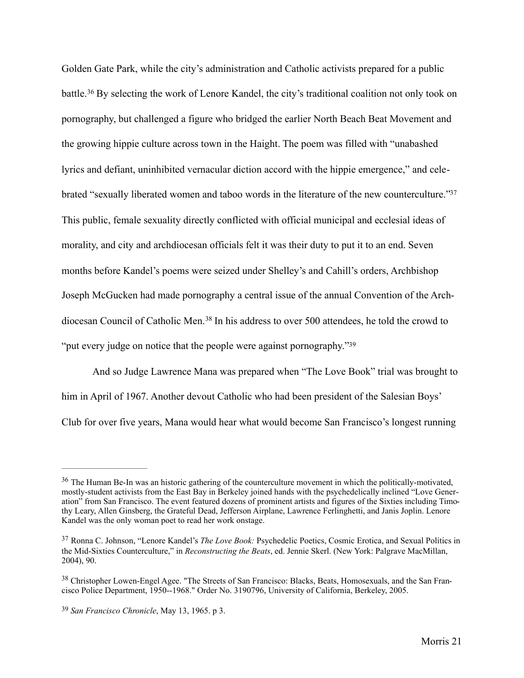<span id="page-26-5"></span><span id="page-26-4"></span>Golden Gate Park, while the city's administration and Catholic activists prepared for a public battle.<sup>36</sup>By selecting the work of Lenore Kandel, the city's traditional coalition not only took on pornography, but challenged a figure who bridged the earlier North Beach Beat Movement and the growing hippie culture across town in the Haight. The poem was filled with "unabashed lyrics and defiant, uninhibited vernacular diction accord with the hippie emergence," and celebrated "sexually liberated women and taboo words in the literature of the new counterculture.["37](#page-26-1) This public, female sexuality directly conflicted with official municipal and ecclesial ideas of morality, and city and archdiocesan officials felt it was their duty to put it to an end. Seven months before Kandel's poems were seized under Shelley's and Cahill's orders, Archbishop Joseph McGucken had made pornography a central issue of the annual Convention of the Arch-diocesanCouncil of Catholic Men.<sup>[38](#page-26-2)</sup> In his address to over 500 attendees, he told the crowd to "put every judge on notice that the people were against pornography.["39](#page-26-3)

<span id="page-26-7"></span><span id="page-26-6"></span>And so Judge Lawrence Mana was prepared when "The Love Book" trial was brought to him in April of 1967. Another devout Catholic who had been president of the Salesian Boys' Club for over five years, Mana would hear what would become San Francisco's longest running

<span id="page-26-0"></span> $36$  The Human Be-In was an historic gathering of the counterculture movement in which the politically-motivated, mostly-student activists from the East Bay in Berkeley joined hands with the psychedelically inclined "Love Generation" from San Francisco. The event featured dozens of prominent artists and figures of the Sixties including Timothy Leary, Allen Ginsberg, the Grateful Dead, Jefferson Airplane, Lawrence Ferlinghetti, and Janis Joplin. Lenore Kandel was the only woman poet to read her work onstage.

<span id="page-26-1"></span><sup>&</sup>lt;sup>[37](#page-26-5)</sup> Ronna C. Johnson, "Lenore Kandel's *The Love Book:* Psychedelic Poetics, Cosmic Erotica, and Sexual Politics in the Mid-Sixties Counterculture," in *Reconstructing the Beats*, ed. Jennie Skerl. (New York: Palgrave MacMillan, 2004), 90.

<span id="page-26-2"></span><sup>&</sup>lt;sup>[38](#page-26-6)</sup> Christopher Lowen-Engel Agee. "The Streets of San Francisco: Blacks, Beats, Homosexuals, and the San Francisco Police Department, 1950--1968." Order No. 3190796, University of California, Berkeley, 2005.

<span id="page-26-3"></span><sup>&</sup>lt;sup>[39](#page-26-7)</sup> San Francisco Chronicle, May 13, 1965. p 3.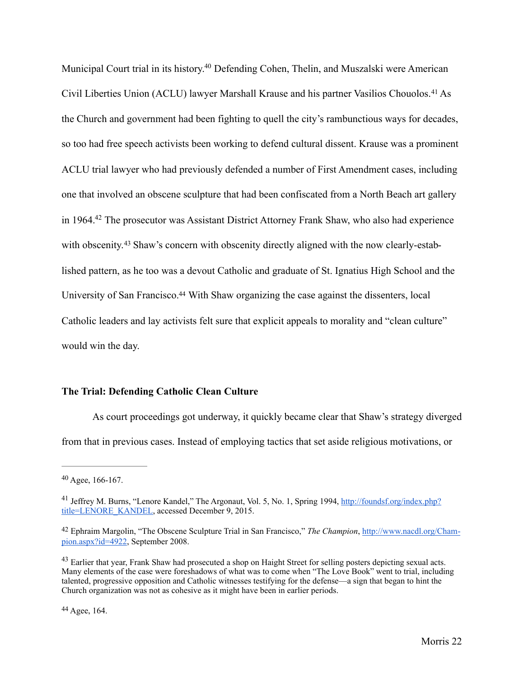<span id="page-27-6"></span><span id="page-27-5"></span>Municipal Court trial in its history[.](#page-27-0)<sup>[40](#page-27-0)</sup> Defending Cohen, Thelin, and Muszalski were American CivilLiberties Union (ACLU) lawyer Marshall Krause and his partner Vasilios Chouolos.<sup>[41](#page-27-1)</sup> As the Church and government had been fighting to quell the city's rambunctious ways for decades, so too had free speech activists been working to defend cultural dissent. Krause was a prominent ACLU trial lawyer who had previously defended a number of First Amendment cases, including one that involved an obscene sculpture that had been confiscated from a North Beach art gallery in 1964[.](#page-27-2)<sup>[42](#page-27-2)</sup> The prosecutor was Assistant District Attorney Frank Shaw, who also had experience with obscenity.<sup>43</sup> Shaw's concern with obscenity directly aligned with the now clearly-established pattern, as he too was a devout Catholic and graduate of St. Ignatius High School and the University of San Francisco[.](#page-27-4)<sup>[44](#page-27-4)</sup> With Shaw organizing the case against the dissenters, local Catholic leaders and lay activists felt sure that explicit appeals to morality and "clean culture" would win the day.

### <span id="page-27-9"></span><span id="page-27-8"></span><span id="page-27-7"></span>**The Trial: Defending Catholic Clean Culture**

As court proceedings got underway, it quickly became clear that Shaw's strategy diverged from that in previous cases. Instead of employing tactics that set aside religious motivations, or

<span id="page-27-0"></span> $40$  Agee, 166-167.

<span id="page-27-1"></span><sup>&</sup>lt;sup>41</sup> [Jeffrey M. Burns, "Lenore Kandel," The Argonaut, Vol. 5, No. 1, Spring 1994, http://foundsf.org/index.php?](http://foundsf.org/index.php?title=LENORE_KANDEL) title=LENORE\_KANDEL, accessed December 9, 2015.

<span id="page-27-2"></span>[<sup>42</sup> Ephraim Margolin, "The Obscene Sculpture Trial in San Francisco,"](http://www.nacdl.org/Champion.aspx?id=4922) *The Champion*, http://www.nacdl.org/Champion.aspx?id=4922, September 2008.

<span id="page-27-3"></span><sup>&</sup>lt;sup>[43](#page-27-8)</sup> Earlier that year, Frank Shaw had prosecuted a shop on Haight Street for selling posters depicting sexual acts. Many elements of the case were foreshadows of what was to come when "The Love Book" went to trial, including talented, progressive opposition and Catholic witnesses testifying for the defense—a sign that began to hint the Church organization was not as cohesive as it might have been in earlier periods.

<span id="page-27-4"></span>Agee, 164. [44](#page-27-9)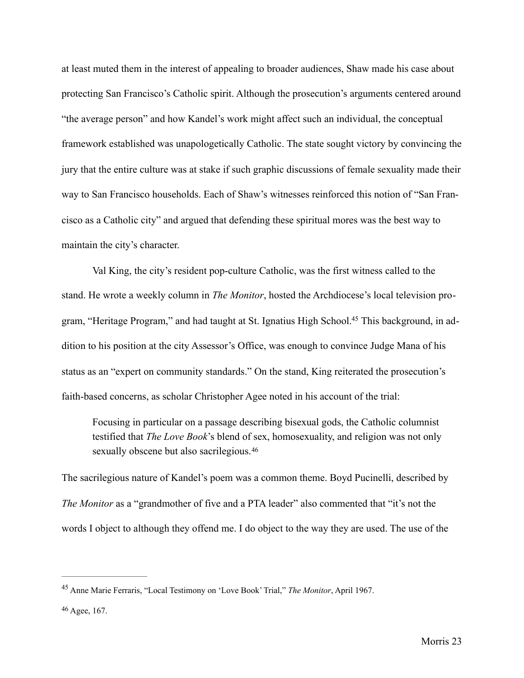at least muted them in the interest of appealing to broader audiences, Shaw made his case about protecting San Francisco's Catholic spirit. Although the prosecution's arguments centered around "the average person" and how Kandel's work might affect such an individual, the conceptual framework established was unapologetically Catholic. The state sought victory by convincing the jury that the entire culture was at stake if such graphic discussions of female sexuality made their way to San Francisco households. Each of Shaw's witnesses reinforced this notion of "San Francisco as a Catholic city" and argued that defending these spiritual mores was the best way to maintain the city's character.

Val King, the city's resident pop-culture Catholic, was the first witness called to the stand. He wrote a weekly column in *The Monitor*, hosted the Archdiocese's local television pro-gram, "Heritage Program," and had taught at St[.](#page-28-0) Ignatius High School.<sup>45</sup> This background, in addition to his position at the city Assessor's Office, was enough to convince Judge Mana of his status as an "expert on community standards." On the stand, King reiterated the prosecution's faith-based concerns, as scholar Christopher Agee noted in his account of the trial:

<span id="page-28-3"></span><span id="page-28-2"></span>Focusing in particular on a passage describing bisexual gods, the Catholic columnist testified that *The Love Book*'s blend of sex, homosexuality, and religion was not only sexually obscene but also sacrilegious.<sup>[46](#page-28-1)</sup>

The sacrilegious nature of Kandel's poem was a common theme. Boyd Pucinelli, described by *The Monitor* as a "grandmother of five and a PTA leader" also commented that "it's not the words I object to although they offend me. I do object to the way they are used. The use of the

<span id="page-28-0"></span>Anne Marie Ferraris, "Local Testimony on 'Love Book' Trial," *The Monitor*, April 1967. [45](#page-28-2)

<span id="page-28-1"></span>Agee, 167. [46](#page-28-3)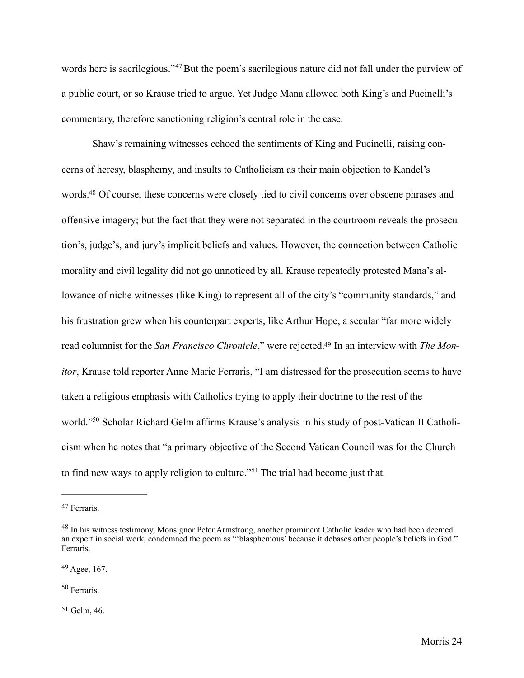<span id="page-29-5"></span>words here is sacrilegious."<sup>[47](#page-29-0)</sup> But the poem's sacrilegious nature did not fall under the purview of a public court, or so Krause tried to argue. Yet Judge Mana allowed both King's and Pucinelli's commentary, therefore sanctioning religion's central role in the case.

<span id="page-29-6"></span> Shaw's remaining witnesses echoed the sentiments of King and Pucinelli, raising concerns of heresy, blasphemy, and insults to Catholicism as their main objection to Kandel's words[.](#page-29-1)<sup>[48](#page-29-1)</sup> Of course, these concerns were closely tied to civil concerns over obscene phrases and offensive imagery; but the fact that they were not separated in the courtroom reveals the prosecution's, judge's, and jury's implicit beliefs and values. However, the connection between Catholic morality and civil legality did not go unnoticed by all. Krause repeatedly protested Mana's allowance of niche witnesses (like King) to represent all of the city's "community standards," and his frustration grew when his counterpart experts, like Arthur Hope, a secular "far more widely read columnist for the *San Francisco Chronicle*," were rejected[.49](#page-29-2) In an interview with *The Monitor*, Krause told reporter Anne Marie Ferraris, "I am distressed for the prosecution seems to have taken a religious emphasis with Catholics trying to apply their doctrine to the rest of the world.["](#page-29-3)<sup>50</sup> Scholar Richard Gelm affirms Krause's analysis in his study of post-Vatican II Catholicism when he notes that "a primary objective of the Second Vatican Council was for the Church tofind new ways to apply religion to culture."<sup>51</sup> The trial had become just that.

<span id="page-29-3"></span>[50](#page-29-8) Ferraris.

<span id="page-29-4"></span> $51$  Gelm, 46.

<span id="page-29-9"></span><span id="page-29-8"></span><span id="page-29-7"></span><span id="page-29-0"></span>[<sup>47</sup>](#page-29-5) Ferraris.

<span id="page-29-1"></span><sup>&</sup>lt;sup>[48](#page-29-6)</sup> In his witness testimony, Monsignor Peter Armstrong, another prominent Catholic leader who had been deemed an expert in social work, condemned the poem as "'blasphemous' because it debases other people's beliefs in God." Ferraris.

<span id="page-29-2"></span>Agee, 167. [49](#page-29-7)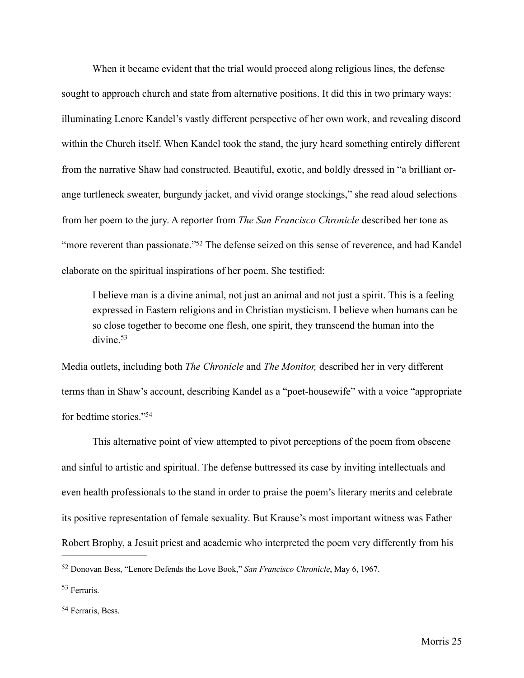When it became evident that the trial would proceed along religious lines, the defense sought to approach church and state from alternative positions. It did this in two primary ways: illuminating Lenore Kandel's vastly different perspective of her own work, and revealing discord within the Church itself. When Kandel took the stand, the jury heard something entirely different from the narrative Shaw had constructed. Beautiful, exotic, and boldly dressed in "a brilliant orange turtleneck sweater, burgundy jacket, and vivid orange stockings," she read aloud selections from her poem to the jury. A reporter from *The San Francisco Chronicle* described her tone as ["](#page-30-0)more reverent than passionate."<sup>[52](#page-30-0)</sup> The defense seized on this sense of reverence, and had Kandel elaborate on the spiritual inspirations of her poem. She testified:

<span id="page-30-4"></span><span id="page-30-3"></span>I believe man is a divine animal, not just an animal and not just a spirit. This is a feeling expressed in Eastern religions and in Christian mysticism. I believe when humans can be so close together to become one flesh, one spirit, they transcend the human into the divine.<sup>[53](#page-30-1)</sup>

Media outlets, including both *The Chronicle* and *The Monitor,* described her in very different terms than in Shaw's account, describing Kandel as a "poet-housewife" with a voice "appropriate for bedtime stories.["54](#page-30-2)

<span id="page-30-5"></span> This alternative point of view attempted to pivot perceptions of the poem from obscene and sinful to artistic and spiritual. The defense buttressed its case by inviting intellectuals and even health professionals to the stand in order to praise the poem's literary merits and celebrate its positive representation of female sexuality. But Krause's most important witness was Father Robert Brophy, a Jesuit priest and academic who interpreted the poem very differently from his

<span id="page-30-0"></span><sup>&</sup>lt;sup>[52](#page-30-3)</sup> Donovan Bess, "Lenore Defends the Love Book," San Francisco Chronicle, May 6, 1967.

<span id="page-30-1"></span> $53$  Ferraris.

<span id="page-30-2"></span>[<sup>54</sup>](#page-30-5) Ferraris, Bess.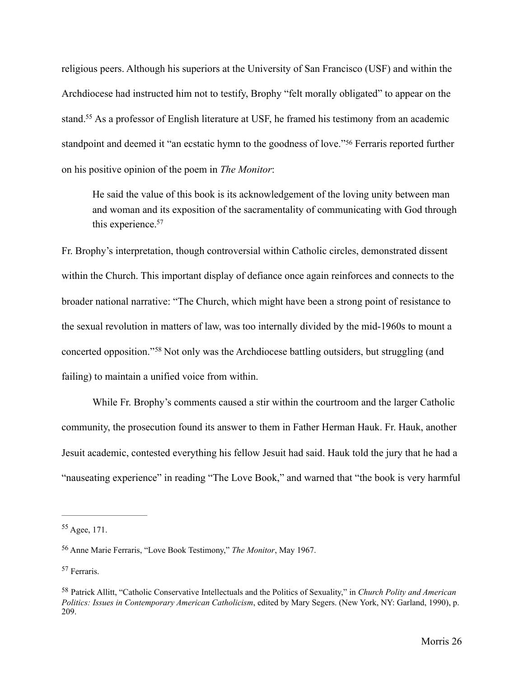religious peers. Although his superiors at the University of San Francisco (USF) and within the Archdiocese had instructed him not to testify, Brophy "felt morally obligated" to appear on the stand[.](#page-31-0)<sup>[55](#page-31-0)</sup> As a professor of English literature at USF, he framed his testimony from an academic standpointand deemed it "an ecstatic hymn to the goodness of love."<sup>[56](#page-31-1)</sup> Ferraris reported further on his positive opinion of the poem in *The Monitor*:

<span id="page-31-6"></span><span id="page-31-5"></span><span id="page-31-4"></span> He said the value of this book is its acknowledgement of the loving unity between man and woman and its exposition of the sacramentality of communicating with God through this experience.<sup>57</sup>

Fr. Brophy's interpretation, though controversial within Catholic circles, demonstrated dissent within the Church. This important display of defiance once again reinforces and connects to the broader national narrative: "The Church, which might have been a strong point of resistance to the sexual revolution in matters of law, was too internally divided by the mid-1960s to mount a concertedopposition."<sup>[58](#page-31-3)</sup> Not only was the Archdiocese battling outsiders, but struggling (and failing) to maintain a unified voice from within.

<span id="page-31-7"></span> While Fr. Brophy's comments caused a stir within the courtroom and the larger Catholic community, the prosecution found its answer to them in Father Herman Hauk. Fr. Hauk, another Jesuit academic, contested everything his fellow Jesuit had said. Hauk told the jury that he had a "nauseating experience" in reading "The Love Book," and warned that "the book is very harmful

<span id="page-31-2"></span><sup>[57](#page-31-6)</sup> Ferraris.

<span id="page-31-0"></span> $55$  Agee, 171.

<span id="page-31-1"></span><sup>&</sup>lt;sup>[56](#page-31-5)</sup> Anne Marie Ferraris, "Love Book Testimony," *The Monitor*, May 1967.

<span id="page-31-3"></span>Patrick Allitt, "Catholic Conservative Intellectuals and the Politics of Sexuality," in *Church Polity and American* [58](#page-31-7) *Politics: Issues in Contemporary American Catholicism*, edited by Mary Segers. (New York, NY: Garland, 1990), p. 209.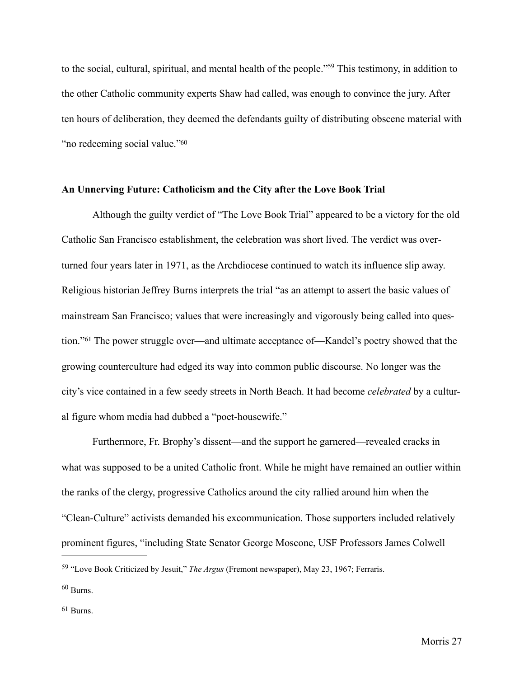<span id="page-32-3"></span>to the social, cultural, spiritual, and mental health of the people.["](#page-32-0)<sup>[59](#page-32-0)</sup> This testimony, in addition to the other Catholic community experts Shaw had called, was enough to convince the jury. After ten hours of deliberation, they deemed the defendants guilty of distributing obscene material with "no redeeming social value.["60](#page-32-1)

#### <span id="page-32-4"></span>**An Unnerving Future: Catholicism and the City after the Love Book Trial**

Although the guilty verdict of "The Love Book Trial" appeared to be a victory for the old Catholic San Francisco establishment, the celebration was short lived. The verdict was overturned four years later in 1971, as the Archdiocese continued to watch its influence slip away. Religious historian Jeffrey Burns interprets the trial "as an attempt to assert the basic values of mainstream San Francisco; values that were increasingly and vigorously being called into ques-tion."<sup>61</sup>The power struggle over—and ultimate acceptance of—Kandel's poetry showed that the growing counterculture had edged its way into common public discourse. No longer was the city's vice contained in a few seedy streets in North Beach. It had become *celebrated* by a cultural figure whom media had dubbed a "poet-housewife."

<span id="page-32-5"></span> Furthermore, Fr. Brophy's dissent—and the support he garnered—revealed cracks in what was supposed to be a united Catholic front. While he might have remained an outlier within the ranks of the clergy, progressive Catholics around the city rallied around him when the "Clean-Culture" activists demanded his excommunication. Those supporters included relatively prominent figures, "including State Senator George Moscone, USF Professors James Colwell

<span id="page-32-0"></span><sup>&</sup>lt;sup>[59](#page-32-3)</sup> "Love Book Criticized by Jesuit," *The Argus* (Fremont newspaper), May 23, 1967; Ferraris.

<span id="page-32-1"></span> $60$  Burns.

<span id="page-32-2"></span><sup>&</sup>lt;sup>[61](#page-32-5)</sup> Burns.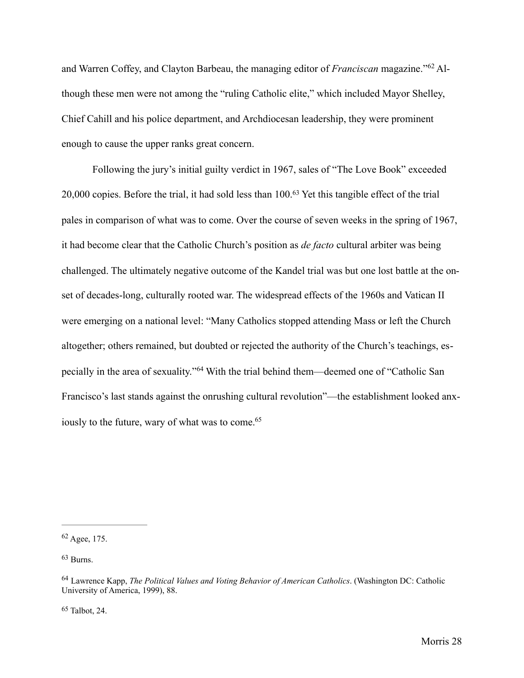<span id="page-33-4"></span>andWarren Coffey, and Clayton Barbeau, the managing editor of *Franciscan* magazine."<sup>62</sup> Although these men were not among the "ruling Catholic elite," which included Mayor Shelley, Chief Cahill and his police department, and Archdiocesan leadership, they were prominent enough to cause the upper ranks great concern.

<span id="page-33-5"></span> Following the jury's initial guilty verdict in 1967, sales of "The Love Book" exceeded 20,000copies. Before the trial, it had sold less than 100.<sup>[63](#page-33-1)</sup> Yet this tangible effect of the trial pales in comparison of what was to come. Over the course of seven weeks in the spring of 1967, it had become clear that the Catholic Church's position as *de facto* cultural arbiter was being challenged. The ultimately negative outcome of the Kandel trial was but one lost battle at the onset of decades-long, culturally rooted war. The widespread effects of the 1960s and Vatican II were emerging on a national level: "Many Catholics stopped attending Mass or left the Church altogether; others remained, but doubted or rejected the authority of the Church's teachings, es-peciallyin the area of sexuality."<sup>[64](#page-33-2)</sup> With the trial behind them—deemed one of "Catholic San Francisco's last stands against the onrushing cultural revolution"—the establishment looked anxiously to the future, wary of what was to come.<sup>65</sup>

<span id="page-33-1"></span> $63$  Burns.

<span id="page-33-3"></span> $65$  Talbot, 24.

<span id="page-33-7"></span><span id="page-33-6"></span><span id="page-33-0"></span> $62$  Agee, 175.

<span id="page-33-2"></span>Lawrence Kapp, *The Political Values and Voting Behavior of American Catholics*. (Washington DC: Catholic [64](#page-33-6) University of America, 1999), 88.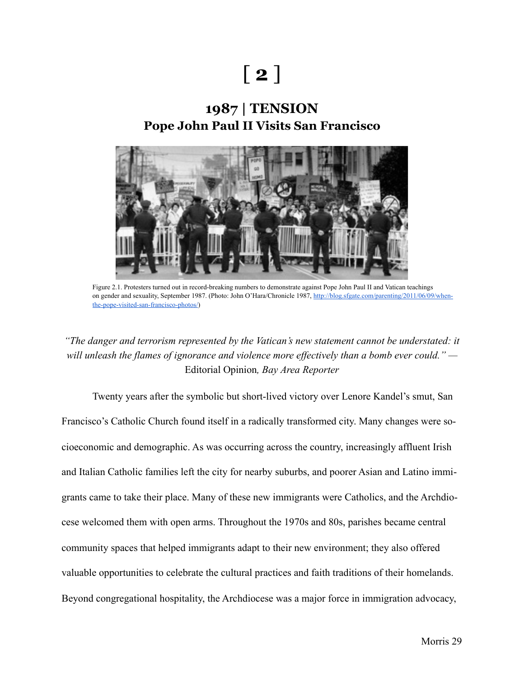# [ **2** ]

# **1987 | TENSION Pope John Paul II Visits San Francisco**



Figure 2.1. Protesters turned out in record-breaking numbers to demonstrate against Pope John Paul II and Vatican teachings [on gender and sexuality, September 1987. \(Photo: John O'Hara/Chronicle 1987, http://blog.sfgate.com/parenting/2011/06/09/when](http://blog.sfgate.com/parenting/2011/06/09/when-the-pope-visited-san-francisco-photos/)the-pope-visited-san-francisco-photos/)

### *"The danger and terrorism represented by the Vatican's new statement cannot be understated: it will unleash the flames of ignorance and violence more effectively than a bomb ever could." —* Editorial Opinion*, Bay Area Reporter*

 Twenty years after the symbolic but short-lived victory over Lenore Kandel's smut, San Francisco's Catholic Church found itself in a radically transformed city. Many changes were socioeconomic and demographic. As was occurring across the country, increasingly affluent Irish and Italian Catholic families left the city for nearby suburbs, and poorer Asian and Latino immigrants came to take their place. Many of these new immigrants were Catholics, and the Archdiocese welcomed them with open arms. Throughout the 1970s and 80s, parishes became central community spaces that helped immigrants adapt to their new environment; they also offered valuable opportunities to celebrate the cultural practices and faith traditions of their homelands. Beyond congregational hospitality, the Archdiocese was a major force in immigration advocacy,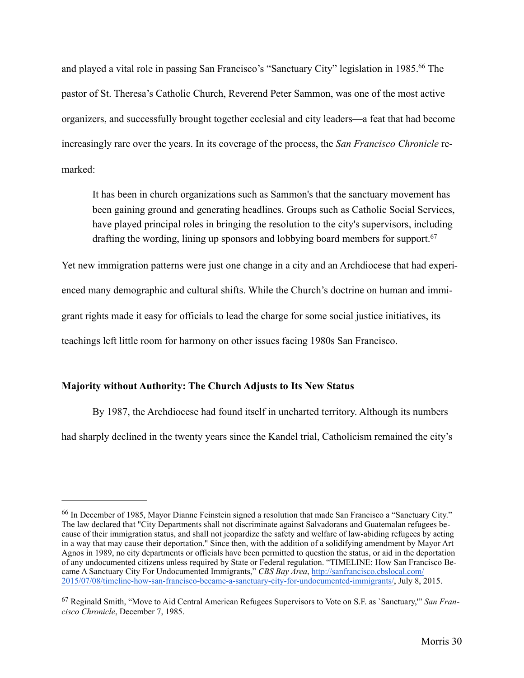and played a vital role in passing San Francisco's "Sanctuary City" legislation in 1985[.](#page-35-0)<sup>[66](#page-35-0)</sup> The pastor of St. Theresa's Catholic Church, Reverend Peter Sammon, was one of the most active organizers, and successfully brought together ecclesial and city leaders—a feat that had become increasingly rare over the years. In its coverage of the process, the *San Francisco Chronicle* remarked:

<span id="page-35-3"></span><span id="page-35-2"></span>It has been in church organizations such as Sammon's that the sanctuary movement has been gaining ground and generating headlines. Groups such as Catholic Social Services, have played principal roles in bringing the resolution to the city's supervisors, including drafting the wording, lining up sponsors and lobbying board members for support.<sup>[67](#page-35-1)</sup>

Yet new immigration patterns were just one change in a city and an Archdiocese that had experienced many demographic and cultural shifts. While the Church's doctrine on human and immigrant rights made it easy for officials to lead the charge for some social justice initiatives, its teachings left little room for harmony on other issues facing 1980s San Francisco.

### **Majority without Authority: The Church Adjusts to Its New Status**

By 1987, the Archdiocese had found itself in uncharted territory. Although its numbers had sharply declined in the twenty years since the Kandel trial, Catholicism remained the city's

<span id="page-35-0"></span><sup>&</sup>lt;sup>[66](#page-35-2)</sup> In December of 1985, Mayor Dianne Feinstein signed a resolution that made San Francisco a "Sanctuary City." The law declared that "City Departments shall not discriminate against Salvadorans and Guatemalan refugees because of their immigration status, and shall not jeopardize the safety and welfare of law-abiding refugees by acting in a way that may cause their deportation." Since then, with the addition of a solidifying amendment by Mayor Art Agnos in 1989, no city departments or officials have been permitted to question the status, or aid in the deportation of any undocumented citizens unless required by State or Federal regulation. "TIMELINE: How San Francisco Became A Sanctuary City For Undocumented Immigrants," *CBS Bay Area*, http://sanfrancisco.cbslocal.com/ [2015/07/08/timeline-how-san-francisco-became-a-sanctuary-city-for-undocumented-immigrants/, July 8, 2](http://sanfrancisco.cbslocal.com/2015/07/08/timeline-how-san-francisco-became-a-sanctuary-city-for-undocumented-immigrants/)015.

<span id="page-35-1"></span><sup>&</sup>lt;sup>[67](#page-35-3)</sup> Reginald Smith, "Move to Aid Central American Refugees Supervisors to Vote on S.F. as `Sanctuary," *San Francisco Chronicle*, December 7, 1985.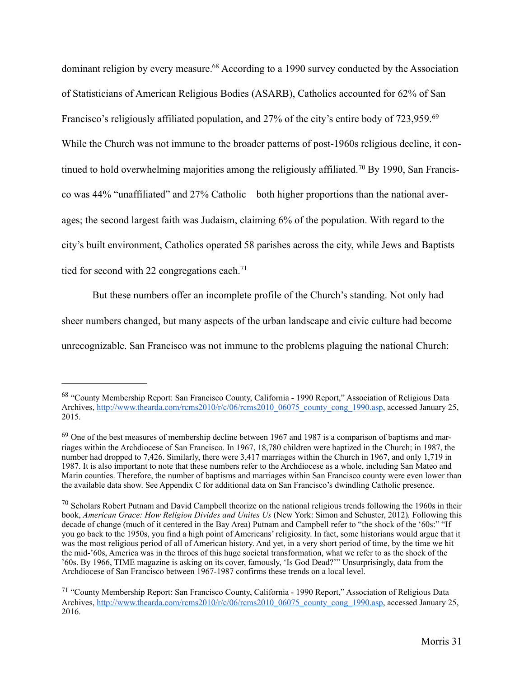<span id="page-36-5"></span><span id="page-36-4"></span>dominant religion by every measure[.](#page-36-0)<sup> $68$ </sup> According to a 1990 survey conducted by the Association of Statisticians of American Religious Bodies (ASARB), Catholics accounted for 62% of San Francisco's religiously affiliated population, and 27% of the city's entire body of 723,959.<sup>[69](#page-36-1)</sup> While the Church was not immune to the broader patterns of post-1960s religious decline, it continuedto hold overwhelming majorities among the religiously affiliated.<sup>70</sup> By 1990, San Francisco was 44% "unaffiliated" and 27% Catholic—both higher proportions than the national averages; the second largest faith was Judaism, claiming 6% of the population. With regard to the city's built environment, Catholics operated 58 parishes across the city, while Jews and Baptists tied for second with 22 congregations each.<sup>[71](#page-36-3)</sup>

<span id="page-36-7"></span><span id="page-36-6"></span>But these numbers offer an incomplete profile of the Church's standing. Not only had

sheer numbers changed, but many aspects of the urban landscape and civic culture had become

unrecognizable. San Francisco was not immune to the problems plaguing the national Church:

<span id="page-36-0"></span><sup>&</sup>lt;sup>[68](#page-36-4)</sup> "County Membership Report: San Francisco County, California - 1990 Report," Association of Religious Data Archives, [http://www.thearda.com/rcms2010/r/c/06/rcms2010\\_06075\\_county\\_cong\\_1990.asp,](http://www.thearda.com/rcms2010/r/c/06/rcms2010_06075_county_cong_1990.asp) accessed January 25, 2015.

<span id="page-36-1"></span> $<sup>69</sup>$  $<sup>69</sup>$  $<sup>69</sup>$  One of the best measures of membership decline between 1967 and 1987 is a comparison of baptisms and mar-</sup> riages within the Archdiocese of San Francisco. In 1967, 18,780 children were baptized in the Church; in 1987, the number had dropped to 7,426. Similarly, there were 3,417 marriages within the Church in 1967, and only 1,719 in 1987. It is also important to note that these numbers refer to the Archdiocese as a whole, including San Mateo and Marin counties. Therefore, the number of baptisms and marriages within San Francisco county were even lower than the available data show. See Appendix C for additional data on San Francisco's dwindling Catholic presence.

<span id="page-36-2"></span> $\frac{70}{10}$  $\frac{70}{10}$  $\frac{70}{10}$  Scholars Robert Putnam and David Campbell theorize on the national religious trends following the 1960s in their book, *American Grace: How Religion Divides and Unites Us* (New York: Simon and Schuster, 2012)*.* Following this decade of change (much of it centered in the Bay Area) Putnam and Campbell refer to "the shock of the '60s:" "If you go back to the 1950s, you find a high point of Americans' religiosity. In fact, some historians would argue that it was the most religious period of all of American history. And yet, in a very short period of time, by the time we hit the mid-'60s, America was in the throes of this huge societal transformation, what we refer to as the shock of the '60s. By 1966, TIME magazine is asking on its cover, famously, 'Is God Dead?'" Unsurprisingly, data from the Archdiocese of San Francisco between 1967-1987 confirms these trends on a local level.

<span id="page-36-3"></span><sup>&</sup>lt;sup>[71](#page-36-7)</sup> "County Membership Report: San Francisco County, California - 1990 Report," Association of Religious Data Archives, [http://www.thearda.com/rcms2010/r/c/06/rcms2010\\_06075\\_county\\_cong\\_1990.asp,](http://www.thearda.com/rcms2010/r/c/06/rcms2010_06075_county_cong_1990.asp) accessed January 25, 2016.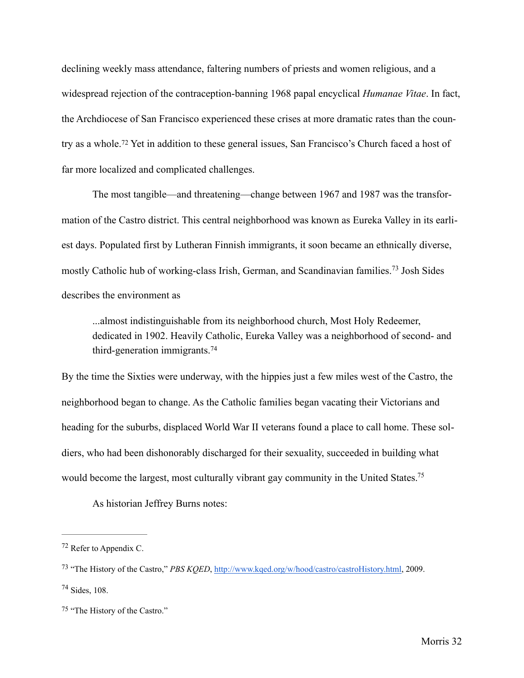declining weekly mass attendance, faltering numbers of priests and women religious, and a widespread rejection of the contraception-banning 1968 papal encyclical *Humanae Vitae*. In fact, the Archdiocese of San Francisco experienced these crises at more dramatic rates than the coun-tryas a whole.<sup>[72](#page-37-0)</sup> Yet in addition to these general issues, San Francisco's Church faced a host of far more localized and complicated challenges.

<span id="page-37-4"></span>The most tangible—and threatening—change between 1967 and 1987 was the transformation of the Castro district. This central neighborhood was known as Eureka Valley in its earliest days. Populated first by Lutheran Finnish immigrants, it soon became an ethnically diverse, mostlyCatholic hub of working-class Irish, German, and Scandinavian families.<sup>[73](#page-37-1)</sup> Josh Sides describes the environment as

<span id="page-37-6"></span><span id="page-37-5"></span> ...almost indistinguishable from its neighborhood church, Most Holy Redeemer, dedicated in 1902. Heavily Catholic, Eureka Valley was a neighborhood of second- and third-generation immigrants.[74](#page-37-2)

By the time the Sixties were underway, with the hippies just a few miles west of the Castro, the neighborhood began to change. As the Catholic families began vacating their Victorians and heading for the suburbs, displaced World War II veterans found a place to call home. These soldiers, who had been dishonorably discharged for their sexuality, succeeded in building what would become the largest, most culturally vibrant gay community in the United States.<sup>75</sup>

<span id="page-37-7"></span>As historian Jeffrey Burns notes:

<span id="page-37-0"></span> $72$  Refer to Appendix C.

<span id="page-37-1"></span><sup>&</sup>lt;sup>[73](#page-37-5)</sup> "The History of the Castro," *PBS KQED*, <http://www.kqed.org/w/hood/castro/castroHistory.html>, 2009.

<span id="page-37-2"></span> $74$  Sides, 108.

<span id="page-37-3"></span>[<sup>75</sup>](#page-37-7) "The History of the Castro."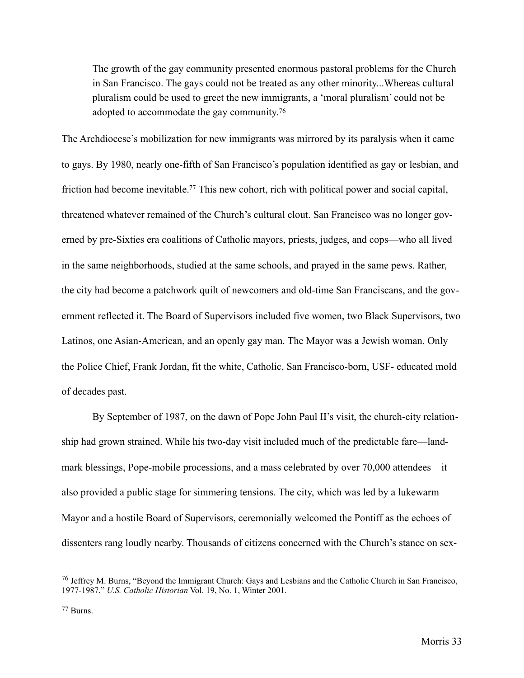<span id="page-38-2"></span>The growth of the gay community presented enormous pastoral problems for the Church in San Francisco. The gays could not be treated as any other minority...Whereas cultural pluralism could be used to greet the new immigrants, a 'moral pluralism' could not be adopted to accommodate the gay community.[76](#page-38-0)

<span id="page-38-3"></span>The Archdiocese's mobilization for new immigrants was mirrored by its paralysis when it came to gays. By 1980, nearly one-fifth of San Francisco's population identified as gay or lesbian, and friction had become inevitable[.](#page-38-1)<sup>[77](#page-38-1)</sup> This new cohort, rich with political power and social capital, threatened whatever remained of the Church's cultural clout. San Francisco was no longer governed by pre-Sixties era coalitions of Catholic mayors, priests, judges, and cops—who all lived in the same neighborhoods, studied at the same schools, and prayed in the same pews. Rather, the city had become a patchwork quilt of newcomers and old-time San Franciscans, and the government reflected it. The Board of Supervisors included five women, two Black Supervisors, two Latinos, one Asian-American, and an openly gay man. The Mayor was a Jewish woman. Only the Police Chief, Frank Jordan, fit the white, Catholic, San Francisco-born, USF- educated mold of decades past.

By September of 1987, on the dawn of Pope John Paul II's visit, the church-city relationship had grown strained. While his two-day visit included much of the predictable fare—landmark blessings, Pope-mobile processions, and a mass celebrated by over 70,000 attendees—it also provided a public stage for simmering tensions. The city, which was led by a lukewarm Mayor and a hostile Board of Supervisors, ceremonially welcomed the Pontiff as the echoes of dissenters rang loudly nearby. Thousands of citizens concerned with the Church's stance on sex-

<span id="page-38-0"></span> $^{76}$  $^{76}$  $^{76}$  Jeffrey M. Burns, "Beyond the Immigrant Church: Gays and Lesbians and the Catholic Church in San Francisco, 1977-1987," *U.S. Catholic Historian* Vol. 19, No. 1, Winter 2001.

<span id="page-38-1"></span>Burns. [77](#page-38-3)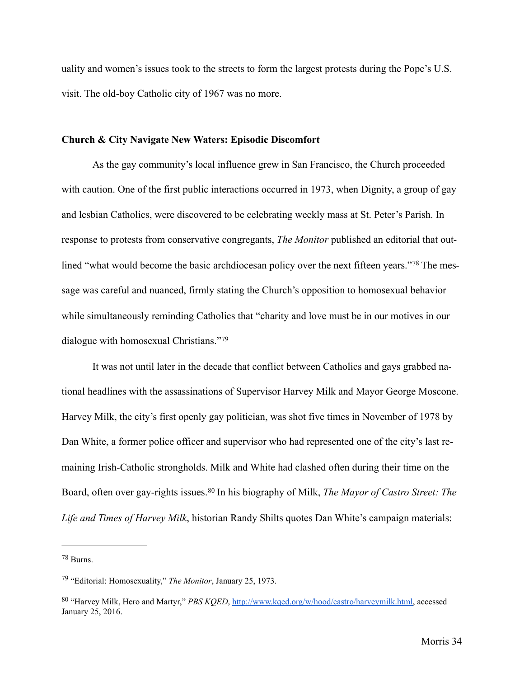uality and women's issues took to the streets to form the largest protests during the Pope's U.S. visit. The old-boy Catholic city of 1967 was no more.

## **Church & City Navigate New Waters: Episodic Discomfort**

 As the gay community's local influence grew in San Francisco, the Church proceeded with caution. One of the first public interactions occurred in 1973, when Dignity, a group of gay and lesbian Catholics, were discovered to be celebrating weekly mass at St. Peter's Parish. In response to protests from conservative congregants, *The Monitor* published an editorial that out-lined"what would become the basic archdiocesan policy over the next fifteen years."<sup>78</sup> The message was careful and nuanced, firmly stating the Church's opposition to homosexual behavior while simultaneously reminding Catholics that "charity and love must be in our motives in our dialogue with homosexual Christians."[79](#page-39-1)

<span id="page-39-4"></span><span id="page-39-3"></span>It was not until later in the decade that conflict between Catholics and gays grabbed national headlines with the assassinations of Supervisor Harvey Milk and Mayor George Moscone. Harvey Milk, the city's first openly gay politician, was shot five times in November of 1978 by Dan White, a former police officer and supervisor who had represented one of the city's last remaining Irish-Catholic strongholds. Milk and White had clashed often during their time on the Board,often over gay-rights issues.<sup>80</sup> In his biography of Milk, *The Mayor of Castro Street: The Life and Times of Harvey Milk*, historian Randy Shilts quotes Dan White's campaign materials:

<span id="page-39-5"></span><span id="page-39-0"></span>Burns. [78](#page-39-3)

<span id="page-39-1"></span><sup>&</sup>lt;sup>[79](#page-39-4)</sup> "Editorial: Homosexuality," *The Monitor*, January 25, 1973.

<span id="page-39-2"></span> <sup>&</sup>quot;Harvey Milk, Hero and Martyr," *PBS KQED*, [http://www.kqed.org/w/hood/castro/harveymilk.html,](http://www.kqed.org/w/hood/castro/harveymilk.html) accessed [80](#page-39-5) January 25, 2016.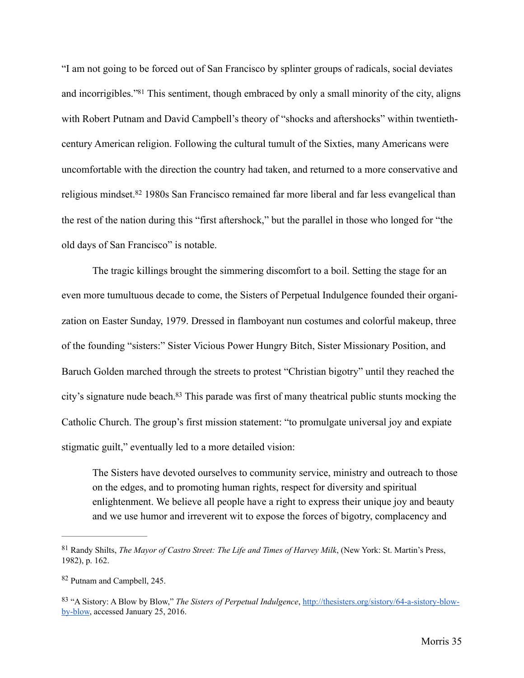<span id="page-40-3"></span>"I am not going to be forced out of San Francisco by splinter groups of radicals, social deviates and incorrigibles.["](#page-40-0)<sup>[81](#page-40-0)</sup> This sentiment, though embraced by only a small minority of the city, aligns with Robert Putnam and David Campbell's theory of "shocks and aftershocks" within twentiethcentury American religion. Following the cultural tumult of the Sixties, many Americans were uncomfortable with the direction the country had taken, and returned to a more conservative and religiousmindset.<sup>[82](#page-40-1)</sup> 1980s San Francisco remained far more liberal and far less evangelical than the rest of the nation during this "first aftershock," but the parallel in those who longed for "the old days of San Francisco" is notable.

<span id="page-40-4"></span>The tragic killings brought the simmering discomfort to a boil. Setting the stage for an even more tumultuous decade to come, the Sisters of Perpetual Indulgence founded their organization on Easter Sunday, 1979. Dressed in flamboyant nun costumes and colorful makeup, three of the founding "sisters:" Sister Vicious Power Hungry Bitch, Sister Missionary Position, and Baruch Golden marched through the streets to protest "Christian bigotry" until they reached the city's signature nude beach[.](#page-40-2)<sup>[83](#page-40-2)</sup> This parade was first of many theatrical public stunts mocking the Catholic Church. The group's first mission statement: "to promulgate universal joy and expiate stigmatic guilt," eventually led to a more detailed vision:

<span id="page-40-5"></span>The Sisters have devoted ourselves to community service, ministry and outreach to those on the edges, and to promoting human rights, respect for diversity and spiritual enlightenment. We believe all people have a right to express their unique joy and beauty and we use humor and irreverent wit to expose the forces of bigotry, complacency and

<span id="page-40-0"></span>Randy Shilts, *The Mayor of Castro Street: The Life and Times of Harvey Milk*, (New York: St. Martin's Press, [81](#page-40-3) 1982), p. 162.

<span id="page-40-1"></span>[<sup>82</sup>](#page-40-4) Putnam and Campbell, 245.

<span id="page-40-2"></span> <sup>&</sup>quot;A Sistory: A Blow by Blow," *The Sisters of Perpetual Indulgence*[, http://thesisters.org/sistory/64-a-sistory-blow-](http://thesisters.org/sistory/64-a-sistory-blow-by-blow) [83](#page-40-5) by-blow, accessed January 25, 2016.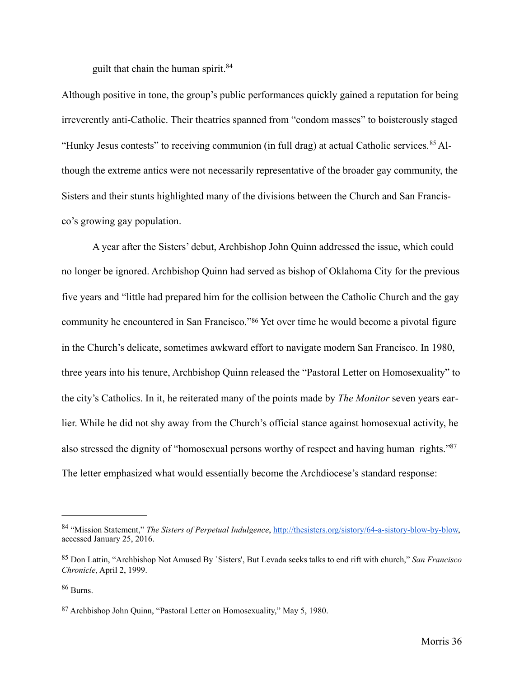<span id="page-41-5"></span><span id="page-41-4"></span>guilt that chain the human spirit.<sup>[84](#page-41-0)</sup>

Although positive in tone, the group's public performances quickly gained a reputation for being irreverently anti-Catholic. Their theatrics spanned from "condom masses" to boisterously staged "HunkyJesus contests" to receiving communion (in full drag) at actual Catholic services. <sup>85</sup> Although the extreme antics were not necessarily representative of the broader gay community, the Sisters and their stunts highlighted many of the divisions between the Church and San Francisco's growing gay population.

<span id="page-41-6"></span> A year after the Sisters' debut, Archbishop John Quinn addressed the issue, which could no longer be ignored. Archbishop Quinn had served as bishop of Oklahoma City for the previous five years and "little had prepared him for the collision between the Catholic Church and the gay communityhe encountered in San Francisco."<sup>[86](#page-41-2)</sup> Yet over time he would become a pivotal figure in the Church's delicate, sometimes awkward effort to navigate modern San Francisco. In 1980, three years into his tenure, Archbishop Quinn released the "Pastoral Letter on Homosexuality" to the city's Catholics. In it, he reiterated many of the points made by *The Monitor* seven years earlier. While he did not shy away from the Church's official stance against homosexual activity, he also stressed the dignity of "homosexual persons worthy of respect and having human rights.["87](#page-41-3) The letter emphasized what would essentially become the Archdiocese's standard response:

<span id="page-41-7"></span><span id="page-41-0"></span> <sup>&</sup>quot;Mission Statement," *The Sisters of Perpetual Indulgence*, [http://thesisters.org/sistory/64-a-sistory-blow-by-blow,](http://thesisters.org/sistory/64-a-sistory-blow-by-blow) [84](#page-41-4) accessed January 25, 2016.

<span id="page-41-1"></span>Don Lattin, "Archbishop Not Amused By `Sisters', But Levada seeks talks to end rift with church," *San Francisco* [85](#page-41-5) *Chronicle*, April 2, 1999.

<span id="page-41-2"></span><sup>&</sup>lt;sup>[86](#page-41-6)</sup> Burns.

<span id="page-41-3"></span>[<sup>87</sup>](#page-41-7) Archbishop John Quinn, "Pastoral Letter on Homosexuality," May 5, 1980.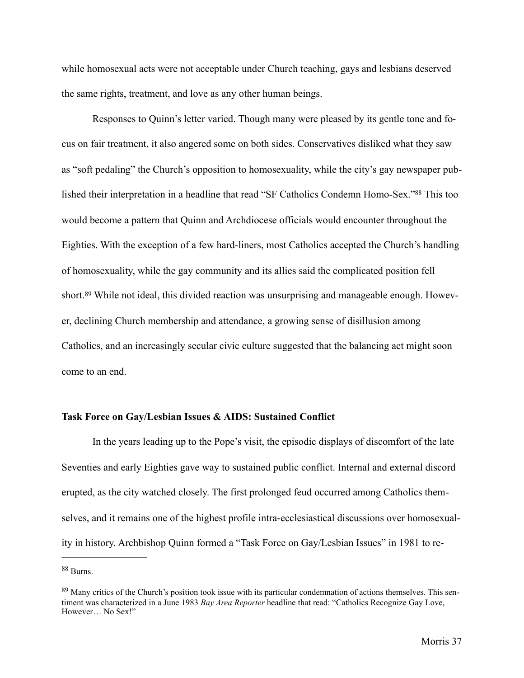while homosexual acts were not acceptable under Church teaching, gays and lesbians deserved the same rights, treatment, and love as any other human beings.

<span id="page-42-2"></span> Responses to Quinn's letter varied. Though many were pleased by its gentle tone and focus on fair treatment, it also angered some on both sides. Conservatives disliked what they saw as "soft pedaling" the Church's opposition to homosexuality, while the city's gay newspaper pub-lished their interpretation in a headline that read ["](#page-42-0)SF Catholics Condemn Homo-Sex."<sup>[88](#page-42-0)</sup> This too would become a pattern that Quinn and Archdiocese officials would encounter throughout the Eighties. With the exception of a few hard-liners, most Catholics accepted the Church's handling of homosexuality, while the gay community and its allies said the complicated position fell short.<sup>[89](#page-42-1)</sup> While not ideal, this divided reaction was unsurprising and manageable enough. However, declining Church membership and attendance, a growing sense of disillusion among Catholics, and an increasingly secular civic culture suggested that the balancing act might soon come to an end.

## <span id="page-42-3"></span>**Task Force on Gay/Lesbian Issues & AIDS: Sustained Conflict**

 In the years leading up to the Pope's visit, the episodic displays of discomfort of the late Seventies and early Eighties gave way to sustained public conflict. Internal and external discord erupted, as the city watched closely. The first prolonged feud occurred among Catholics themselves, and it remains one of the highest profile intra-ecclesiastical discussions over homosexuality in history. Archbishop Quinn formed a "Task Force on Gay/Lesbian Issues" in 1981 to re-

<span id="page-42-0"></span>[<sup>88</sup>](#page-42-2) Burns.

<span id="page-42-1"></span> $89$  Many critics of the Church's position took issue with its particular condemnation of actions themselves. This sentiment was characterized in a June 1983 *Bay Area Reporter* headline that read: "Catholics Recognize Gay Love, However… No Sex!"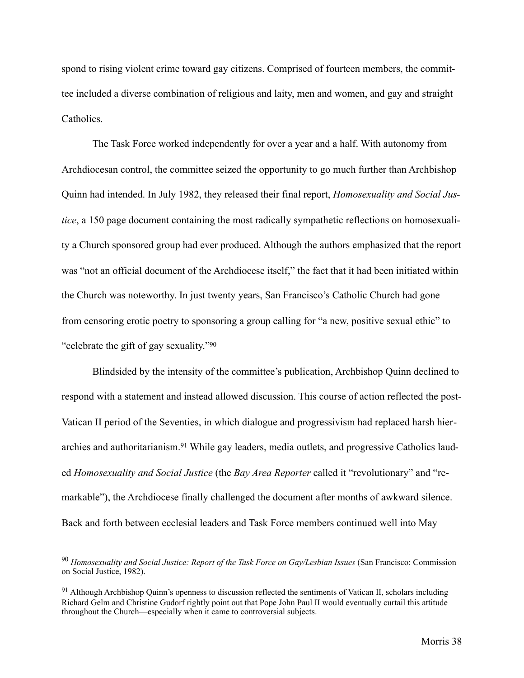spond to rising violent crime toward gay citizens. Comprised of fourteen members, the committee included a diverse combination of religious and laity, men and women, and gay and straight Catholics.

The Task Force worked independently for over a year and a half. With autonomy from Archdiocesan control, the committee seized the opportunity to go much further than Archbishop Quinn had intended. In July 1982, they released their final report, *Homosexuality and Social Justice*, a 150 page document containing the most radically sympathetic reflections on homosexuality a Church sponsored group had ever produced. Although the authors emphasized that the report was "not an official document of the Archdiocese itself," the fact that it had been initiated within the Church was noteworthy. In just twenty years, San Francisco's Catholic Church had gone from censoring erotic poetry to sponsoring a group calling for "a new, positive sexual ethic" to "celebrate the gift of gay sexuality.["90](#page-43-0)

<span id="page-43-3"></span><span id="page-43-2"></span> Blindsided by the intensity of the committee's publication, Archbishop Quinn declined to respond with a statement and instead allowed discussion. This course of action reflected the post-Vatican II period of the Seventies, in which dialogue and progressivism had replaced harsh hierarchies and authoritarianism.[91](#page-43-1) While gay leaders, media outlets, and progressive Catholics lauded *Homosexuality and Social Justice* (the *Bay Area Reporter* called it "revolutionary" and "remarkable"), the Archdiocese finally challenged the document after months of awkward silence. Back and forth between ecclesial leaders and Task Force members continued well into May

<span id="page-43-0"></span><sup>&</sup>lt;sup>[90](#page-43-2)</sup> Homosexuality and Social Justice: Report of the Task Force on Gay/Lesbian Issues (San Francisco: Commission on Social Justice, 1982).

<span id="page-43-1"></span> $91$  Although Archbishop Quinn's openness to discussion reflected the sentiments of Vatican II, scholars including Richard Gelm and Christine Gudorf rightly point out that Pope John Paul II would eventually curtail this attitude throughout the Church—especially when it came to controversial subjects.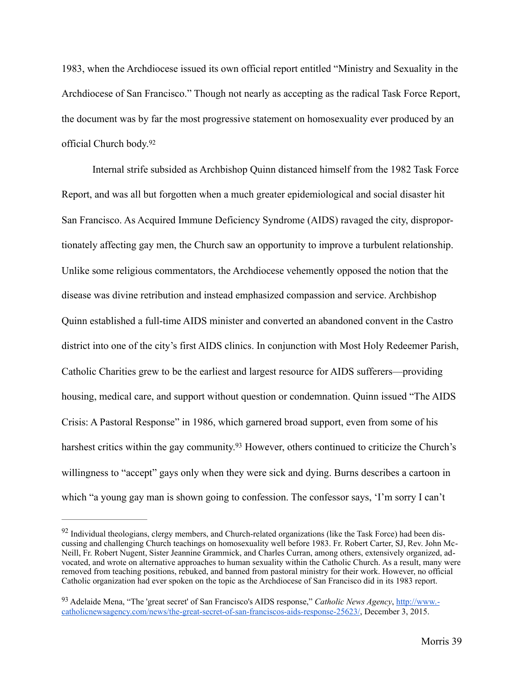1983, when the Archdiocese issued its own official report entitled "Ministry and Sexuality in the Archdiocese of San Francisco." Though not nearly as accepting as the radical Task Force Report, the document was by far the most progressive statement on homosexuality ever produced by an official Church body.[92](#page-44-0)

<span id="page-44-2"></span>Internal strife subsided as Archbishop Quinn distanced himself from the 1982 Task Force Report, and was all but forgotten when a much greater epidemiological and social disaster hit San Francisco. As Acquired Immune Deficiency Syndrome (AIDS) ravaged the city, disproportionately affecting gay men, the Church saw an opportunity to improve a turbulent relationship. Unlike some religious commentators, the Archdiocese vehemently opposed the notion that the disease was divine retribution and instead emphasized compassion and service. Archbishop Quinn established a full-time AIDS minister and converted an abandoned convent in the Castro district into one of the city's first AIDS clinics. In conjunction with Most Holy Redeemer Parish, Catholic Charities grew to be the earliest and largest resource for AIDS sufferers—providing housing, medical care, and support without question or condemnation. Quinn issued "The AIDS Crisis: A Pastoral Response" in 1986, which garnered broad support, even from some of his harshest critics within the gay community[.](#page-44-1)<sup>[93](#page-44-1)</sup> However, others continued to criticize the Church's willingness to "accept" gays only when they were sick and dying. Burns describes a cartoon in which "a young gay man is shown going to confession. The confessor says, 'I'm sorry I can't

<span id="page-44-3"></span><span id="page-44-0"></span> $92$  Individual theologians, clergy members, and Church-related organizations (like the Task Force) had been discussing and challenging Church teachings on homosexuality well before 1983. Fr. Robert Carter, SJ, Rev. John Mc-Neill, Fr. Robert Nugent, Sister Jeannine Grammick, and Charles Curran, among others, extensively organized, advocated, and wrote on alternative approaches to human sexuality within the Catholic Church. As a result, many were removed from teaching positions, rebuked, and banned from pastoral ministry for their work. However, no official Catholic organization had ever spoken on the topic as the Archdiocese of San Francisco did in its 1983 report.

<span id="page-44-1"></span><sup>&</sup>lt;sup>[93](#page-44-3)</sup> Adelaide Mena, "The 'great secret' of San Francisco's AIDS response," *Catholic News Agency*, http://www.[catholicnewsagency.com/news/the-great-secret-of-san-franciscos-aids-response-25623/, December 3, 2015.](http://www.catholicnewsagency.com/news/the-great-secret-of-san-franciscos-aids-response-25623/)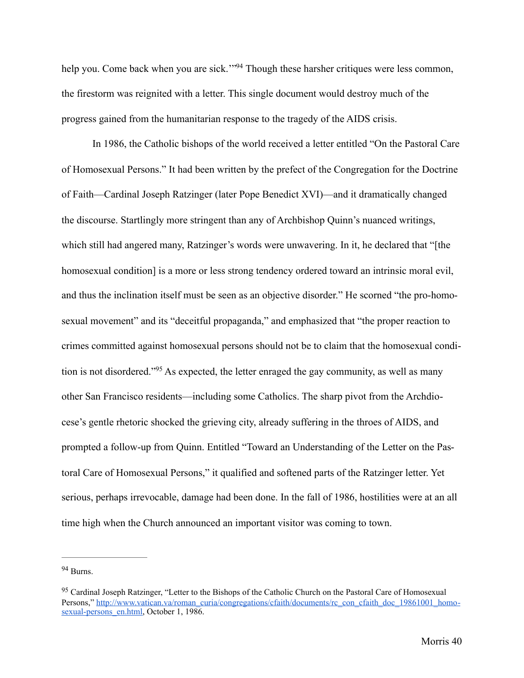<span id="page-45-2"></span>help you. Come back when you are sick.["](#page-45-0)<sup>[94](#page-45-0)</sup> Though these harsher critiques were less common, the firestorm was reignited with a letter. This single document would destroy much of the progress gained from the humanitarian response to the tragedy of the AIDS crisis.

In 1986, the Catholic bishops of the world received a letter entitled "On the Pastoral Care of Homosexual Persons." It had been written by the prefect of the Congregation for the Doctrine of Faith—Cardinal Joseph Ratzinger (later Pope Benedict XVI)—and it dramatically changed the discourse. Startlingly more stringent than any of Archbishop Quinn's nuanced writings, which still had angered many, Ratzinger's words were unwavering. In it, he declared that "[the homosexual condition] is a more or less strong tendency ordered toward an intrinsic moral evil, and thus the inclination itself must be seen as an objective disorder." He scorned "the pro-homosexual movement" and its "deceitful propaganda," and emphasized that "the proper reaction to crimes committed against homosexual persons should not be to claim that the homosexual condi-tionis not disordered."<sup>[95](#page-45-1)</sup> As expected, the letter enraged the gay community, as well as many other San Francisco residents—including some Catholics. The sharp pivot from the Archdiocese's gentle rhetoric shocked the grieving city, already suffering in the throes of AIDS, and prompted a follow-up from Quinn. Entitled "Toward an Understanding of the Letter on the Pastoral Care of Homosexual Persons," it qualified and softened parts of the Ratzinger letter. Yet serious, perhaps irrevocable, damage had been done. In the fall of 1986, hostilities were at an all time high when the Church announced an important visitor was coming to town.

<span id="page-45-3"></span><span id="page-45-0"></span>[<sup>94</sup>](#page-45-2) Burns.

<span id="page-45-1"></span>[<sup>95</sup>](#page-45-3) Cardinal Joseph Ratzinger, "Letter to the Bishops of the Catholic Church on the Pastoral Care of Homosexual [Persons," http://www.vatican.va/roman\\_curia/congregations/cfaith/documents/rc\\_con\\_cfaith\\_doc\\_19861001\\_homo](http://www.vatican.va/roman_curia/congregations/cfaith/documents/rc_con_cfaith_doc_19861001_homosexual-persons_en.html)sexual-persons\_en.html, October 1, 1986.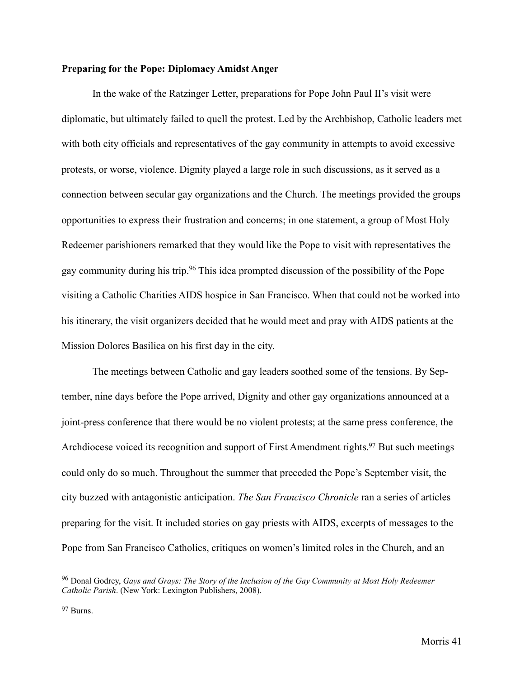## **Preparing for the Pope: Diplomacy Amidst Anger**

In the wake of the Ratzinger Letter, preparations for Pope John Paul II's visit were diplomatic, but ultimately failed to quell the protest. Led by the Archbishop, Catholic leaders met with both city officials and representatives of the gay community in attempts to avoid excessive protests, or worse, violence. Dignity played a large role in such discussions, as it served as a connection between secular gay organizations and the Church. The meetings provided the groups opportunities to express their frustration and concerns; in one statement, a group of Most Holy Redeemer parishioners remarked that they would like the Pope to visit with representatives the gaycommunity during his trip.<sup>[96](#page-46-0)</sup> This idea prompted discussion of the possibility of the Pope visiting a Catholic Charities AIDS hospice in San Francisco. When that could not be worked into his itinerary, the visit organizers decided that he would meet and pray with AIDS patients at the Mission Dolores Basilica on his first day in the city.

<span id="page-46-3"></span><span id="page-46-2"></span> The meetings between Catholic and gay leaders soothed some of the tensions. By September, nine days before the Pope arrived, Dignity and other gay organizations announced at a joint-press conference that there would be no violent protests; at the same press conference, the Archdiocese voiced its recognition and support of First Amendment rights[.](#page-46-1)<sup>[97](#page-46-1)</sup> But such meetings could only do so much. Throughout the summer that preceded the Pope's September visit, the city buzzed with antagonistic anticipation. *The San Francisco Chronicle* ran a series of articles preparing for the visit. It included stories on gay priests with AIDS, excerpts of messages to the Pope from San Francisco Catholics, critiques on women's limited roles in the Church, and an

<span id="page-46-0"></span>Donal Godrey, *Gays and Grays: The Story of the Inclusion of the Gay Community at Most Holy Redeemer* [96](#page-46-2) *Catholic Parish*. (New York: Lexington Publishers, 2008).

<span id="page-46-1"></span>[<sup>97</sup>](#page-46-3) Burns.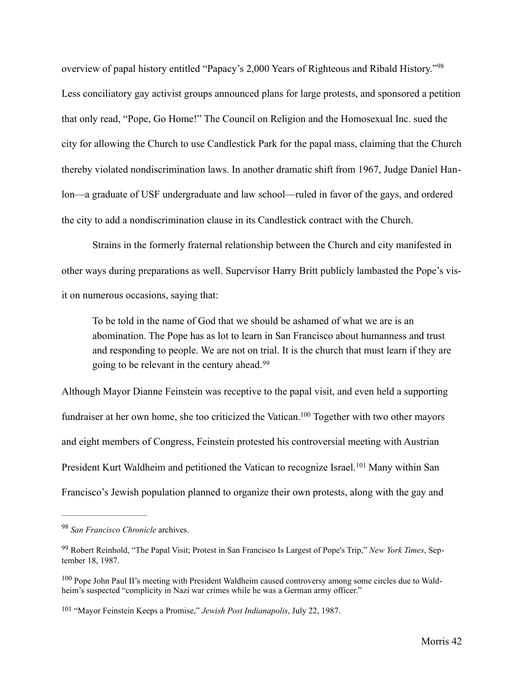<span id="page-47-4"></span>overview of papal history entitled "Papacy's 2,000 Years of Righteous and Ribald History."[98](#page-47-0) Less conciliatory gay activist groups announced plans for large protests, and sponsored a petition that only read, "Pope, Go Home!" The Council on Religion and the Homosexual Inc. sued the city for allowing the Church to use Candlestick Park for the papal mass, claiming that the Church thereby violated nondiscrimination laws. In another dramatic shift from 1967, Judge Daniel Hanlon—a graduate of USF undergraduate and law school—ruled in favor of the gays, and ordered the city to add a nondiscrimination clause in its Candlestick contract with the Church.

Strains in the formerly fraternal relationship between the Church and city manifested in other ways during preparations as well. Supervisor Harry Britt publicly lambasted the Pope's visit on numerous occasions, saying that:

<span id="page-47-6"></span><span id="page-47-5"></span>To be told in the name of God that we should be ashamed of what we are is an abomination. The Pope has as lot to learn in San Francisco about humanness and trust and responding to people. We are not on trial. It is the church that must learn if they are going to be relevant in the century ahead.[99](#page-47-1)

Although Mayor Dianne Feinstein was receptive to the papal visit, and even held a supporting fundraiser at her own home, she too criticized the Vatican[.](#page-47-2)<sup>[100](#page-47-2)</sup> Together with two other mayors and eight members of Congress, Feinstein protested his controversial meeting with Austrian PresidentKurt Waldheim and petitioned the Vatican to recognize Israel.<sup>[101](#page-47-3)</sup> Many within San Francisco's Jewish population planned to organize their own protests, along with the gay and

<span id="page-47-7"></span><span id="page-47-0"></span><sup>&</sup>lt;sup>[98](#page-47-4)</sup> San Francisco Chronicle archives.

<span id="page-47-1"></span><sup>&</sup>lt;sup>[99](#page-47-5)</sup> Robert Reinhold, "The Papal Visit; Protest in San Francisco Is Largest of Pope's Trip," *New York Times*, September 18, 1987.

<span id="page-47-2"></span> $^{100}$  $^{100}$  $^{100}$  Pope John Paul II's meeting with President Waldheim caused controversy among some circles due to Waldheim's suspected "complicity in Nazi war crimes while he was a German army officer."

<span id="page-47-3"></span><sup>&</sup>lt;sup>[101](#page-47-7)</sup> "Mayor Feinstein Keeps a Promise," *Jewish Post Indianapolis*, July 22, 1987.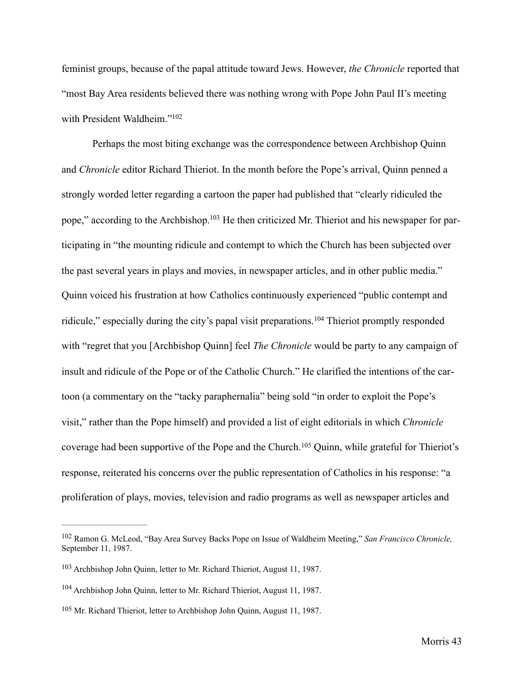feminist groups, because of the papal attitude toward Jews. However, *the Chronicle* reported that "most Bay Area residents believed there was nothing wrong with Pope John Paul II's meeting with President Waldheim."<sup>102</sup>

<span id="page-48-6"></span><span id="page-48-5"></span><span id="page-48-4"></span> Perhaps the most biting exchange was the correspondence between Archbishop Quinn and *Chronicle* editor Richard Thieriot. In the month before the Pope's arrival, Quinn penned a strongly worded letter regarding a cartoon the paper had published that "clearly ridiculed the pope," according to the Archbishop[.](#page-48-1)<sup>103</sup> He then criticized Mr. Thieriot and his newspaper for participating in "the mounting ridicule and contempt to which the Church has been subjected over the past several years in plays and movies, in newspaper articles, and in other public media." Quinn voiced his frustration at how Catholics continuously experienced "public contempt and ridicule,"especially during the city's papal visit preparations.<sup>[104](#page-48-2)</sup> Thieriot promptly responded with "regret that you [Archbishop Quinn] feel *The Chronicle* would be party to any campaign of insult and ridicule of the Pope or of the Catholic Church." He clarified the intentions of the cartoon (a commentary on the "tacky paraphernalia" being sold "in order to exploit the Pope's visit," rather than the Pope himself) and provided a list of eight editorials in which *Chronicle*  coveragehad been supportive of the Pope and the Church.<sup>[105](#page-48-3)</sup> Quinn, while grateful for Thieriot's response, reiterated his concerns over the public representation of Catholics in his response: "a proliferation of plays, movies, television and radio programs as well as newspaper articles and

<span id="page-48-7"></span><span id="page-48-0"></span><sup>&</sup>lt;sup>[102](#page-48-4)</sup> Ramon G. McLeod, "Bay Area Survey Backs Pope on Issue of Waldheim Meeting," San Francisco Chronicle, September 11, 1987.

<span id="page-48-1"></span><sup>&</sup>lt;sup>[103](#page-48-5)</sup> Archbishop John Quinn, letter to Mr. Richard Thieriot, August 11, 1987.

<span id="page-48-2"></span> $104$  Archbishop John Quinn, letter to Mr. Richard Thieriot, August 11, 1987.

<span id="page-48-3"></span><sup>&</sup>lt;sup>[105](#page-48-7)</sup> Mr. Richard Thieriot, letter to Archbishop John Quinn, August 11, 1987.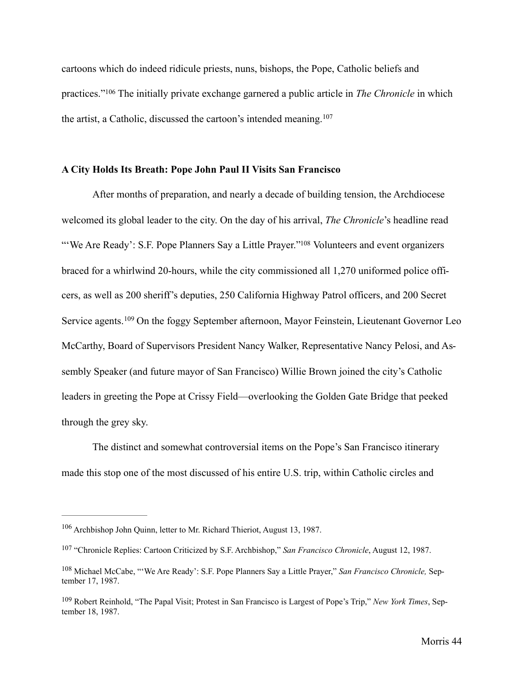<span id="page-49-4"></span>cartoons which do indeed ridicule priests, nuns, bishops, the Pope, Catholic beliefs and practices."<sup>106</sup>The initially private exchange garnered a public article in *The Chronicle* in which the artist, a Catholic, discussed the cartoon's intended meaning.[107](#page-49-1)

# <span id="page-49-5"></span>**A City Holds Its Breath: Pope John Paul II Visits San Francisco**

<span id="page-49-6"></span>After months of preparation, and nearly a decade of building tension, the Archdiocese welcomed its global leader to the city. On the day of his arrival, *The Chronicle*'s headline read ["](#page-49-2)We Are Ready': S.F. Pope Planners Say a Little Prayer."<sup>[108](#page-49-2)</sup> Volunteers and event organizers braced for a whirlwind 20-hours, while the city commissioned all 1,270 uniformed police officers, as well as 200 sheriff's deputies, 250 California Highway Patrol officers, and 200 Secret Serviceagents.  $109$  On the foggy September afternoon, Mayor Feinstein, Lieutenant Governor Leo McCarthy, Board of Supervisors President Nancy Walker, Representative Nancy Pelosi, and Assembly Speaker (and future mayor of San Francisco) Willie Brown joined the city's Catholic leaders in greeting the Pope at Crissy Field—overlooking the Golden Gate Bridge that peeked through the grey sky.

<span id="page-49-7"></span> The distinct and somewhat controversial items on the Pope's San Francisco itinerary made this stop one of the most discussed of his entire U.S. trip, within Catholic circles and

<span id="page-49-0"></span><sup>&</sup>lt;sup>[106](#page-49-4)</sup> Archbishop John Quinn, letter to Mr. Richard Thieriot, August 13, 1987.

<span id="page-49-1"></span><sup>&</sup>lt;sup>[107](#page-49-5)</sup> "Chronicle Replies: Cartoon Criticized by S.F. Archbishop," *San Francisco Chronicle*, August 12, 1987.

<span id="page-49-2"></span><sup>&</sup>lt;sup>[108](#page-49-6)</sup> Michael McCabe, "'We Are Ready': S.F. Pope Planners Say a Little Prayer," *San Francisco Chronicle*, September 17, 1987.

<span id="page-49-3"></span><sup>&</sup>lt;sup>[109](#page-49-7)</sup> Robert Reinhold, "The Papal Visit; Protest in San Francisco is Largest of Pope's Trip," *New York Times*, September 18, 1987.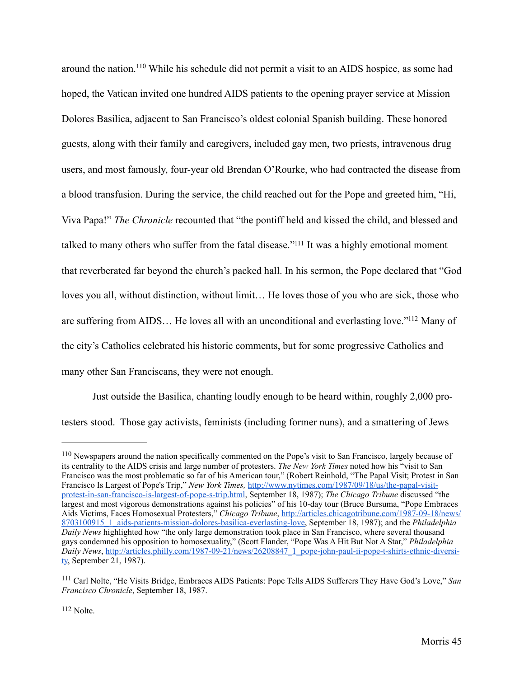<span id="page-50-3"></span>aroundthe nation.<sup>[110](#page-50-0)</sup> While his schedule did not permit a visit to an AIDS hospice, as some had hoped, the Vatican invited one hundred AIDS patients to the opening prayer service at Mission Dolores Basilica, adjacent to San Francisco's oldest colonial Spanish building. These honored guests, along with their family and caregivers, included gay men, two priests, intravenous drug users, and most famously, four-year old Brendan O'Rourke, who had contracted the disease from a blood transfusion. During the service, the child reached out for the Pope and greeted him, "Hi, Viva Papa!" *The Chronicle* recounted that "the pontiff held and kissed the child, and blessed and talked to many others who suffer from the fatal disease."<sup>[111](#page-50-1)</sup> It was a highly emotional moment that reverberated far beyond the church's packed hall. In his sermon, the Pope declared that "God loves you all, without distinction, without limit… He loves those of you who are sick, those who are suffering from AIDS... He loves all with an unconditional and everlasting love.["](#page-50-2) $112$  Many of the city's Catholics celebrated his historic comments, but for some progressive Catholics and many other San Franciscans, they were not enough.

<span id="page-50-5"></span><span id="page-50-4"></span> Just outside the Basilica, chanting loudly enough to be heard within, roughly 2,000 protesters stood. Those gay activists, feminists (including former nuns), and a smattering of Jews

<span id="page-50-0"></span><sup>&</sup>lt;sup>110</sup>Newspapers around the nation specifically commented on the Pope's visit to San Francisco, largely because of its centrality to the AIDS crisis and large number of protesters. *The New York Times* noted how his "visit to San Francisco was the most problematic so far of his American tour," (Robert Reinhold, "The Papal Visit; Protest in San Francisco Is Largest of Pope's Trip," *New York Times,* http://www.nytimes.com/1987/09/18/us/the-papal-visit[protest-in-san-francisco-is-largest-of-pope-s-trip.html, September 18, 1987\);](http://www.nytimes.com/1987/09/18/us/the-papal-visit-protest-in-san-francisco-is-largest-of-pope-s-trip.html) *The Chicago Tribune* discussed "the largest and most vigorous demonstrations against his policies" of his 10-day tour (Bruce Bursuma, "Pope Embraces Aids Victims, Faces Homosexual Protesters," *Chicago Tribune*, http://articles.chicagotribune.com/1987-09-18/news/ [8703100915\\_1\\_aids-patients-mission-dolores-basilica-everlasting-love, September 18, 1987\); and the](http://articles.chicagotribune.com/1987-09-18/news/8703100915_1_aids-patients-mission-dolores-basilica-everlasting-love) *Philadelphia Daily News* highlighted how "the only large demonstration took place in San Francisco, where several thousand gays condemned his opposition to homosexuality," (Scott Flander, "Pope Was A Hit But Not A Star," *Philadelphia Daily News*[, http://articles.philly.com/1987-09-21/news/26208847\\_1\\_pope-john-paul-ii-pope-t-shirts-ethnic-diversi](http://articles.philly.com/1987-09-21/news/26208847_1_pope-john-paul-ii-pope-t-shirts-ethnic-diversity)ty, September 21, 1987).

<span id="page-50-2"></span><span id="page-50-1"></span><sup>&</sup>lt;sup>[111](#page-50-4)</sup> Carl Nolte. "He Visits Bridge, Embraces AIDS Patients: Pope Tells AIDS Sufferers They Have God's Love," San *Francisco Chronicle*, September 18, 1987.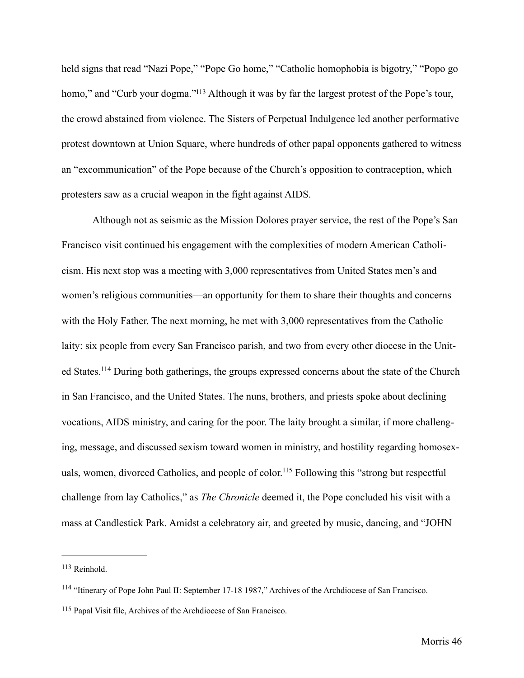<span id="page-51-3"></span>held signs that read "Nazi Pope," "Pope Go home," "Catholic homophobia is bigotry," "Popo go homo,["](#page-51-0) and "Curb your dogma."<sup>[113](#page-51-0)</sup> Although it was by far the largest protest of the Pope's tour, the crowd abstained from violence. The Sisters of Perpetual Indulgence led another performative protest downtown at Union Square, where hundreds of other papal opponents gathered to witness an "excommunication" of the Pope because of the Church's opposition to contraception, which protesters saw as a crucial weapon in the fight against AIDS.

<span id="page-51-4"></span> Although not as seismic as the Mission Dolores prayer service, the rest of the Pope's San Francisco visit continued his engagement with the complexities of modern American Catholicism. His next stop was a meeting with 3,000 representatives from United States men's and women's religious communities—an opportunity for them to share their thoughts and concerns with the Holy Father. The next morning, he met with 3,000 representatives from the Catholic laity: six people from every San Francisco parish, and two from every other diocese in the Unit-edStates.<sup>[114](#page-51-1)</sup> During both gatherings, the groups expressed concerns about the state of the Church in San Francisco, and the United States. The nuns, brothers, and priests spoke about declining vocations, AIDS ministry, and caring for the poor. The laity brought a similar, if more challenging, message, and discussed sexism toward women in ministry, and hostility regarding homosex-uals, women, divorced Catholics, and people of color.<sup>[115](#page-51-2)</sup> Following this "strong but respectful challenge from lay Catholics," as *The Chronicle* deemed it, the Pope concluded his visit with a mass at Candlestick Park. Amidst a celebratory air, and greeted by music, dancing, and "JOHN

<span id="page-51-5"></span><span id="page-51-0"></span><sup>&</sup>lt;sup>[113](#page-51-3)</sup> Reinhold.

<span id="page-51-1"></span><sup>&</sup>lt;sup>[114](#page-51-4)</sup> "Itinerary of Pope John Paul II: September 17-18 1987," Archives of the Archdiocese of San Francisco.

<span id="page-51-2"></span><sup>&</sup>lt;sup>[115](#page-51-5)</sup> Papal Visit file, Archives of the Archdiocese of San Francisco.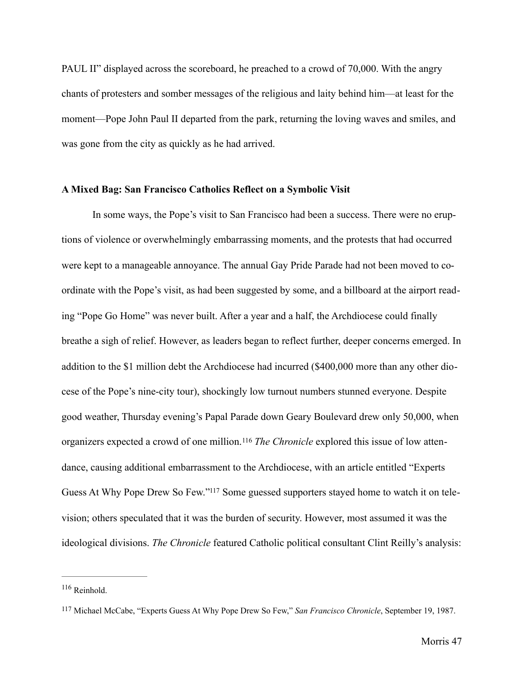PAUL II" displayed across the scoreboard, he preached to a crowd of 70,000. With the angry chants of protesters and somber messages of the religious and laity behind him—at least for the moment—Pope John Paul II departed from the park, returning the loving waves and smiles, and was gone from the city as quickly as he had arrived.

## **A Mixed Bag: San Francisco Catholics Reflect on a Symbolic Visit**

In some ways, the Pope's visit to San Francisco had been a success. There were no eruptions of violence or overwhelmingly embarrassing moments, and the protests that had occurred were kept to a manageable annoyance. The annual Gay Pride Parade had not been moved to coordinate with the Pope's visit, as had been suggested by some, and a billboard at the airport reading "Pope Go Home" was never built. After a year and a half, the Archdiocese could finally breathe a sigh of relief. However, as leaders began to reflect further, deeper concerns emerged. In addition to the \$1 million debt the Archdiocese had incurred (\$400,000 more than any other diocese of the Pope's nine-city tour), shockingly low turnout numbers stunned everyone. Despite good weather, Thursday evening's Papal Parade down Geary Boulevard drew only 50,000, when organizers expected a crowd of one million.[116](#page-52-0) *The Chronicle* explored this issue of low attendance, causing additional embarrassment to the Archdiocese, with an article entitled "Experts Guess At Why Pope Drew So Few.["](#page-52-1)<sup>117</sup> Some guessed supporters stayed home to watch it on television; others speculated that it was the burden of security. However, most assumed it was the ideological divisions. *The Chronicle* featured Catholic political consultant Clint Reilly's analysis:

<span id="page-52-3"></span><span id="page-52-2"></span><span id="page-52-0"></span> $116$  Reinhold.

<span id="page-52-1"></span><sup>&</sup>lt;sup>[117](#page-52-3)</sup> Michael McCabe, "Experts Guess At Why Pope Drew So Few," *San Francisco Chronicle*, September 19, 1987.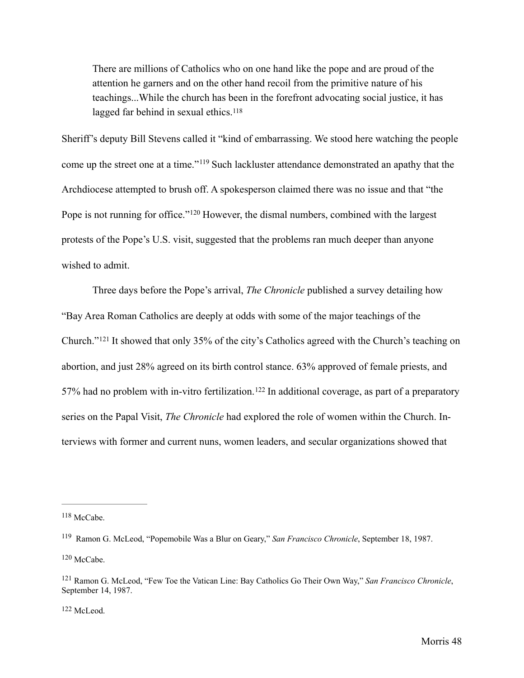<span id="page-53-5"></span>There are millions of Catholics who on one hand like the pope and are proud of the attention he garners and on the other hand recoil from the primitive nature of his teachings...While the church has been in the forefront advocating social justice, it has lagged far behind in sexual ethics.<sup>[118](#page-53-0)</sup>

<span id="page-53-6"></span>Sheriff's deputy Bill Stevens called it "kind of embarrassing. We stood here watching the people come up the street one at a time."<sup>[119](#page-53-1)</sup> Such lackluster attendance demonstrated an apathy that the Archdiocese attempted to brush off. A spokesperson claimed there was no issue and that "the Popeis not running for office."<sup>[120](#page-53-2)</sup> However, the dismal numbers, combined with the largest protests of the Pope's U.S. visit, suggested that the problems ran much deeper than anyone wished to admit.

<span id="page-53-9"></span><span id="page-53-8"></span><span id="page-53-7"></span> Three days before the Pope's arrival, *The Chronicle* published a survey detailing how "Bay Area Roman Catholics are deeply at odds with some of the major teachings of the Church."<sup>121</sup>It showed that only 35% of the city's Catholics agreed with the Church's teaching on abortion, and just 28% agreed on its birth control stance. 63% approved of female priests, and 57%had no problem with in-vitro fertilization.<sup>[122](#page-53-4)</sup> In additional coverage, as part of a preparatory series on the Papal Visit, *The Chronicle* had explored the role of women within the Church. Interviews with former and current nuns, women leaders, and secular organizations showed that

<span id="page-53-4"></span> $122$  McLeod.

<span id="page-53-0"></span> $118$  McCabe.

<span id="page-53-1"></span><sup>&</sup>lt;sup>[119](#page-53-6)</sup> Ramon G. McLeod, "Popemobile Was a Blur on Geary," *San Francisco Chronicle*, September 18, 1987.  $120$  McCabe.

<span id="page-53-3"></span><span id="page-53-2"></span><sup>&</sup>lt;sup>[121](#page-53-8)</sup> Ramon G. McLeod, "Few Toe the Vatican Line: Bay Catholics Go Their Own Way," *San Francisco Chronicle*, September 14, 1987.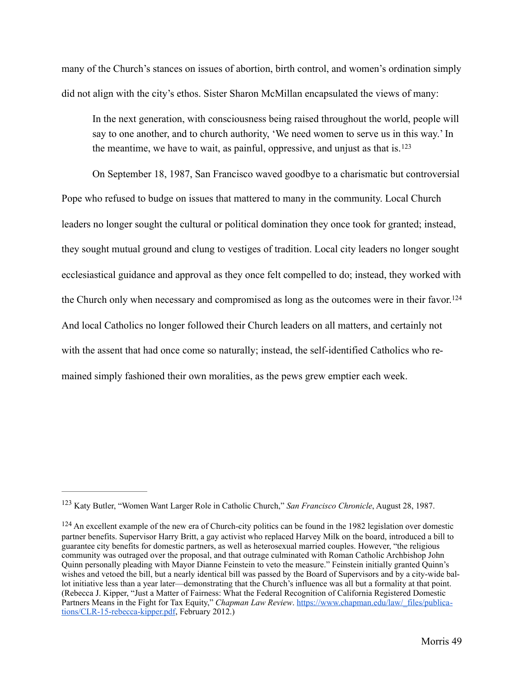many of the Church's stances on issues of abortion, birth control, and women's ordination simply did not align with the city's ethos. Sister Sharon McMillan encapsulated the views of many:

<span id="page-54-3"></span><span id="page-54-2"></span> In the next generation, with consciousness being raised throughout the world, people will say to one another, and to church authority, 'We need women to serve us in this way.' In the meantime, we have to wait, as painful, oppressive, and unjust as that is.[123](#page-54-0)

On September 18, 1987, San Francisco waved goodbye to a charismatic but controversial Pope who refused to budge on issues that mattered to many in the community. Local Church leaders no longer sought the cultural or political domination they once took for granted; instead, they sought mutual ground and clung to vestiges of tradition. Local city leaders no longer sought ecclesiastical guidance and approval as they once felt compelled to do; instead, they worked with the Church only when necessary and compromised as long as the outcomes were in their favor.[124](#page-54-1) And local Catholics no longer followed their Church leaders on all matters, and certainly not with the assent that had once come so naturally; instead, the self-identified Catholics who remained simply fashioned their own moralities, as the pews grew emptier each week.

<span id="page-54-0"></span><sup>&</sup>lt;sup>[123](#page-54-2)</sup> Katy Butler, "Women Want Larger Role in Catholic Church," *San Francisco Chronicle*, August 28, 1987.

<span id="page-54-1"></span> $124$  An excellent example of the new era of Church-city politics can be found in the 1982 legislation over domestic partner benefits. Supervisor Harry Britt, a gay activist who replaced Harvey Milk on the board, introduced a bill to guarantee city benefits for domestic partners, as well as heterosexual married couples. However, "the religious community was outraged over the proposal, and that outrage culminated with Roman Catholic Archbishop John Quinn personally pleading with Mayor Dianne Feinstein to veto the measure." Feinstein initially granted Quinn's wishes and vetoed the bill, but a nearly identical bill was passed by the Board of Supervisors and by a city-wide ballot initiative less than a year later—demonstrating that the Church's influence was all but a formality at that point. (Rebecca J. Kipper, "Just a Matter of Fairness: What the Federal Recognition of California Registered Domestic Partners Means in the Fight for Tax Equity," *Chapman Law Review*. https://www.chapman.edu/law/\_files/publica[tions/CLR-15-rebecca-kipper.pdf, February 2012.\)](https://www.chapman.edu/law/_files/publications/CLR-15-rebecca-kipper.pdf)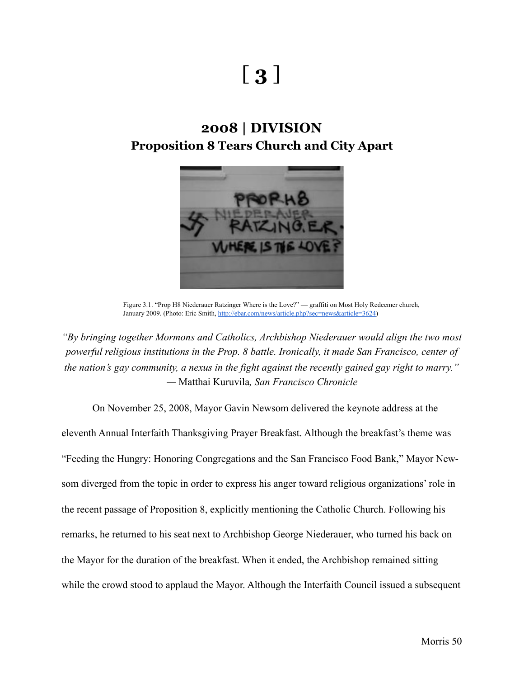# [ **3** ]

# **2008 | DIVISION Proposition 8 Tears Church and City Apart**



Figure 3.1. "Prop H8 Niederauer Ratzinger Where is the Love?" — graffiti on Most Holy Redeemer church, January 2009. (Photo: Eric Smith, <http://ebar.com/news/article.php?sec=news&article=3624>)

*"By bringing together Mormons and Catholics, Archbishop Niederauer would align the two most powerful religious institutions in the Prop. 8 battle. Ironically, it made San Francisco, center of the nation's gay community, a nexus in the fight against the recently gained gay right to marry." —* Matthai Kuruvila*, San Francisco Chronicle*

On November 25, 2008, Mayor Gavin Newsom delivered the keynote address at the eleventh Annual Interfaith Thanksgiving Prayer Breakfast. Although the breakfast's theme was "Feeding the Hungry: Honoring Congregations and the San Francisco Food Bank," Mayor Newsom diverged from the topic in order to express his anger toward religious organizations' role in the recent passage of Proposition 8, explicitly mentioning the Catholic Church. Following his remarks, he returned to his seat next to Archbishop George Niederauer, who turned his back on the Mayor for the duration of the breakfast. When it ended, the Archbishop remained sitting while the crowd stood to applaud the Mayor. Although the Interfaith Council issued a subsequent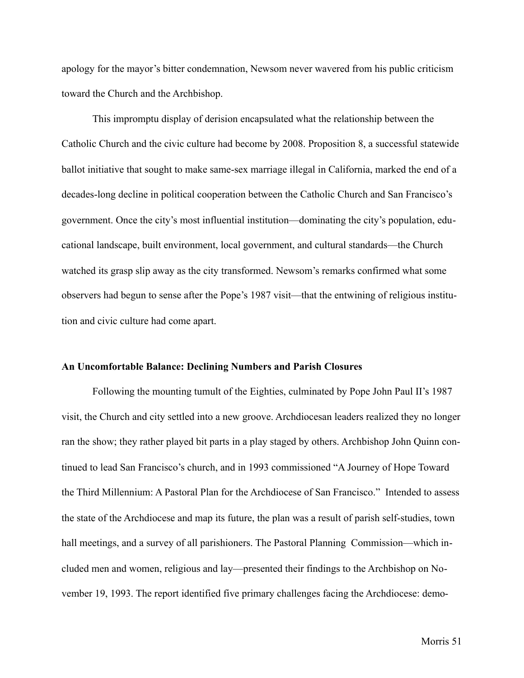apology for the mayor's bitter condemnation, Newsom never wavered from his public criticism toward the Church and the Archbishop.

This impromptu display of derision encapsulated what the relationship between the Catholic Church and the civic culture had become by 2008. Proposition 8, a successful statewide ballot initiative that sought to make same-sex marriage illegal in California, marked the end of a decades-long decline in political cooperation between the Catholic Church and San Francisco's government. Once the city's most influential institution—dominating the city's population, educational landscape, built environment, local government, and cultural standards—the Church watched its grasp slip away as the city transformed. Newsom's remarks confirmed what some observers had begun to sense after the Pope's 1987 visit—that the entwining of religious institution and civic culture had come apart.

## **An Uncomfortable Balance: Declining Numbers and Parish Closures**

 Following the mounting tumult of the Eighties, culminated by Pope John Paul II's 1987 visit, the Church and city settled into a new groove. Archdiocesan leaders realized they no longer ran the show; they rather played bit parts in a play staged by others. Archbishop John Quinn continued to lead San Francisco's church, and in 1993 commissioned "A Journey of Hope Toward the Third Millennium: A Pastoral Plan for the Archdiocese of San Francisco." Intended to assess the state of the Archdiocese and map its future, the plan was a result of parish self-studies, town hall meetings, and a survey of all parishioners. The Pastoral Planning Commission—which included men and women, religious and lay—presented their findings to the Archbishop on November 19, 1993. The report identified five primary challenges facing the Archdiocese: demo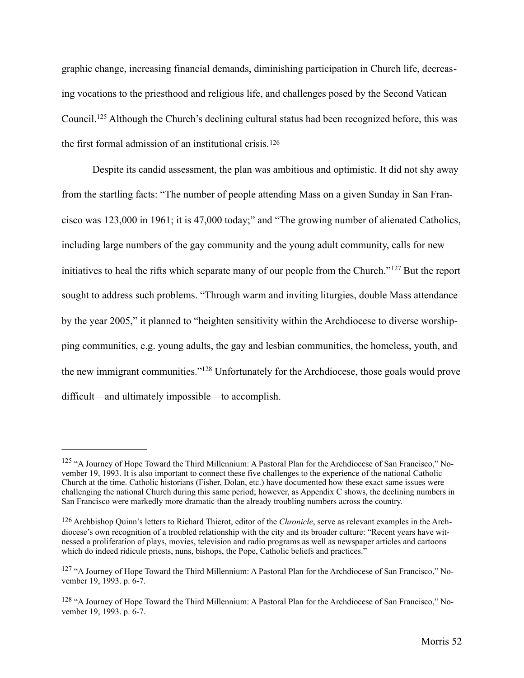graphic change, increasing financial demands, diminishing participation in Church life, decreasing vocations to the priesthood and religious life, and challenges posed by the Second Vatican Council.<sup>125</sup>Although the Church's declining cultural status had been recognized before, this was the first formal admission of an institutional crisis.[126](#page-57-1)

<span id="page-57-6"></span><span id="page-57-5"></span><span id="page-57-4"></span> Despite its candid assessment, the plan was ambitious and optimistic. It did not shy away from the startling facts: "The number of people attending Mass on a given Sunday in San Francisco was 123,000 in 1961; it is 47,000 today;" and "The growing number of alienated Catholics, including large numbers of the gay community and the young adult community, calls for new initiativesto heal the rifts which separate many of our people from the Church." $127$  But the report sought to address such problems. "Through warm and inviting liturgies, double Mass attendance by the year 2005," it planned to "heighten sensitivity within the Archdiocese to diverse worshipping communities, e.g. young adults, the gay and lesbian communities, the homeless, youth, and thenew immigrant communities."<sup>[128](#page-57-3)</sup> Unfortunately for the Archdiocese, those goals would prove difficult—and ultimately impossible—to accomplish.

<span id="page-57-7"></span><span id="page-57-0"></span><sup>&</sup>lt;sup>[125](#page-57-4)</sup> "A Journey of Hope Toward the Third Millennium: A Pastoral Plan for the Archdiocese of San Francisco," November 19, 1993. It is also important to connect these five challenges to the experience of the national Catholic Church at the time. Catholic historians (Fisher, Dolan, etc.) have documented how these exact same issues were challenging the national Church during this same period; however, as Appendix C shows, the declining numbers in San Francisco were markedly more dramatic than the already troubling numbers across the country.

<span id="page-57-1"></span><sup>&</sup>lt;sup>[126](#page-57-5)</sup> Archbishop Quinn's letters to Richard Thierot, editor of the *Chronicle*, serve as relevant examples in the Archdiocese's own recognition of a troubled relationship with the city and its broader culture: "Recent years have witnessed a proliferation of plays, movies, television and radio programs as well as newspaper articles and cartoons which do indeed ridicule priests, nuns, bishops, the Pope, Catholic beliefs and practices."

<span id="page-57-2"></span><sup>&</sup>lt;sup>[127](#page-57-6)</sup> "A Journey of Hope Toward the Third Millennium: A Pastoral Plan for the Archdiocese of San Francisco," November 19, 1993. p. 6-7.

<span id="page-57-3"></span> $128$  "A Journey of Hope Toward the Third Millennium: A Pastoral Plan for the Archdiocese of San Francisco," November 19, 1993. p. 6-7.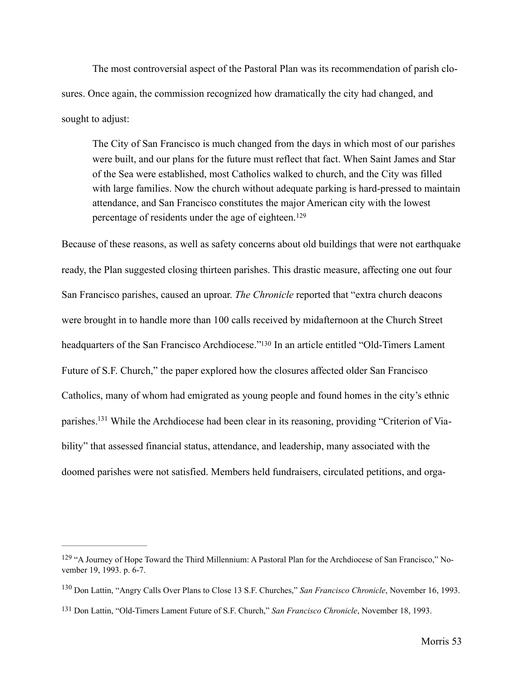The most controversial aspect of the Pastoral Plan was its recommendation of parish closures. Once again, the commission recognized how dramatically the city had changed, and sought to adjust:

<span id="page-58-3"></span> The City of San Francisco is much changed from the days in which most of our parishes were built, and our plans for the future must reflect that fact. When Saint James and Star of the Sea were established, most Catholics walked to church, and the City was filled with large families. Now the church without adequate parking is hard-pressed to maintain attendance, and San Francisco constitutes the major American city with the lowest percentage of residents under the age of eighteen.[129](#page-58-0)

<span id="page-58-4"></span>Because of these reasons, as well as safety concerns about old buildings that were not earthquake ready, the Plan suggested closing thirteen parishes. This drastic measure, affecting one out four San Francisco parishes, caused an uproar. *The Chronicle* reported that "extra church deacons were brought in to handle more than 100 calls received by midafternoon at the Church Street headquarters of the San Francisco Archdiocese.["](#page-58-1)<sup>[130](#page-58-1)</sup> In an article entitled "Old-Timers Lament Future of S.F. Church," the paper explored how the closures affected older San Francisco Catholics, many of whom had emigrated as young people and found homes in the city's ethnic parishes[.](#page-58-2)<sup>131</sup> While the Archdiocese had been clear in its reasoning, providing "Criterion of Viability" that assessed financial status, attendance, and leadership, many associated with the doomed parishes were not satisfied. Members held fundraisers, circulated petitions, and orga-

<span id="page-58-5"></span><span id="page-58-0"></span><sup>&</sup>lt;sup>[129](#page-58-3)</sup> "A Journey of Hope Toward the Third Millennium: A Pastoral Plan for the Archdiocese of San Francisco," November 19, 1993. p. 6-7.

<span id="page-58-1"></span><sup>&</sup>lt;sup>[130](#page-58-4)</sup> Don Lattin, "Angry Calls Over Plans to Close 13 S.F. Churches," *San Francisco Chronicle*, November 16, 1993.

<span id="page-58-2"></span><sup>&</sup>lt;sup>[131](#page-58-5)</sup> Don Lattin, "Old-Timers Lament Future of S.F. Church," San Francisco Chronicle, November 18, 1993.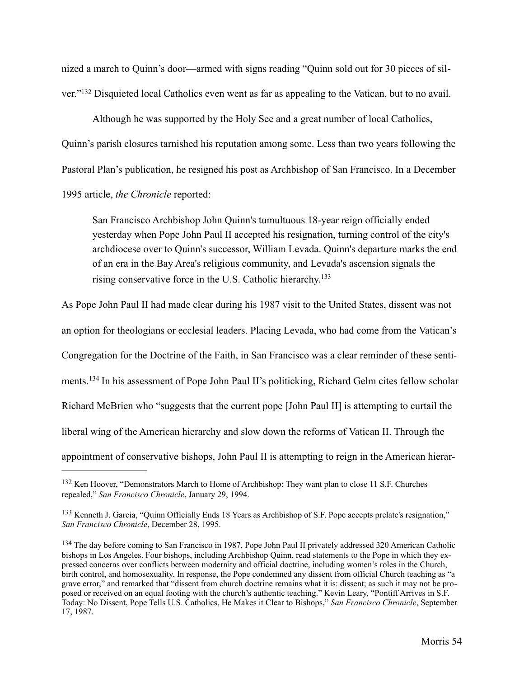nized a march to Quinn's door—armed with signs reading "Quinn sold out for 30 pieces of sil-ver."<sup>132</sup>Disquieted local Catholics even went as far as appealing to the Vatican, but to no avail.

<span id="page-59-3"></span> Although he was supported by the Holy See and a great number of local Catholics, Quinn's parish closures tarnished his reputation among some. Less than two years following the Pastoral Plan's publication, he resigned his post as Archbishop of San Francisco. In a December 1995 article, *the Chronicle* reported:

<span id="page-59-4"></span> San Francisco Archbishop John Quinn's tumultuous 18-year reign officially ended yesterday when Pope John Paul II accepted his resignation, turning control of the city's archdiocese over to Quinn's successor, William Levada. Quinn's departure marks the end of an era in the Bay Area's religious community, and Levada's ascension signals the rising conservative force in the U.S. Catholic hierarchy[.133](#page-59-1)

As Pope John Paul II had made clear during his 1987 visit to the United States, dissent was not

an option for theologians or ecclesial leaders. Placing Levada, who had come from the Vatican's

Congregation for the Doctrine of the Faith, in San Francisco was a clear reminder of these senti-

<span id="page-59-5"></span>ments.<sup>134</sup>In his assessment of Pope John Paul II's politicking, Richard Gelm cites fellow scholar

Richard McBrien who "suggests that the current pope [John Paul II] is attempting to curtail the

liberal wing of the American hierarchy and slow down the reforms of Vatican II. Through the

appointment of conservative bishops, John Paul II is attempting to reign in the American hierar-

<span id="page-59-0"></span><sup>&</sup>lt;sup>[132](#page-59-3)</sup> Ken Hoover, "Demonstrators March to Home of Archbishop: They want plan to close 11 S.F. Churches repealed," *San Francisco Chronicle*, January 29, 1994.

<span id="page-59-1"></span><sup>&</sup>lt;sup>[133](#page-59-4)</sup> Kenneth J. Garcia, "Quinn Officially Ends 18 Years as Archbishop of S.F. Pope accepts prelate's resignation," *San Francisco Chronicle*, December 28, 1995.

<span id="page-59-2"></span><sup>&</sup>lt;sup>[134](#page-59-5)</sup> The day before coming to San Francisco in 1987, Pope John Paul II privately addressed 320 American Catholic bishops in Los Angeles. Four bishops, including Archbishop Quinn, read statements to the Pope in which they expressed concerns over conflicts between modernity and official doctrine, including women's roles in the Church, birth control, and homosexuality. In response, the Pope condemned any dissent from official Church teaching as "a grave error," and remarked that "dissent from church doctrine remains what it is: dissent; as such it may not be proposed or received on an equal footing with the church's authentic teaching." Kevin Leary, "Pontiff Arrives in S.F. Today: No Dissent, Pope Tells U.S. Catholics, He Makes it Clear to Bishops," *San Francisco Chronicle*, September 17, 1987.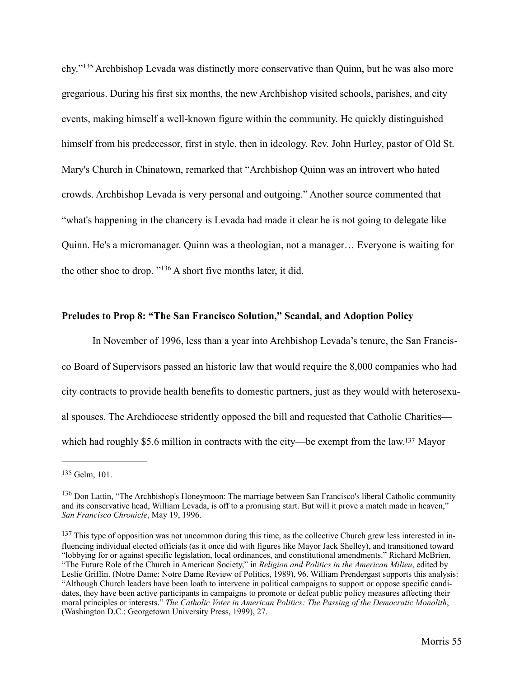<span id="page-60-3"></span>chy."<sup>135</sup>Archbishop Levada was distinctly more conservative than Quinn, but he was also more gregarious. During his first six months, the new Archbishop visited schools, parishes, and city events, making himself a well-known figure within the community. He quickly distinguished himself from his predecessor, first in style, then in ideology. Rev. John Hurley, pastor of Old St. Mary's Church in Chinatown, remarked that "Archbishop Quinn was an introvert who hated crowds. Archbishop Levada is very personal and outgoing." Another source commented that "what's happening in the chancery is Levada had made it clear he is not going to delegate like Quinn. He's a micromanager. Quinn was a theologian, not a manager… Everyone is waiting for theother shoe to drop.  $"136$  A short five months later, it did.

# <span id="page-60-4"></span>**Preludes to Prop 8: "The San Francisco Solution," Scandal, and Adoption Policy**

 In November of 1996, less than a year into Archbishop Levada's tenure, the San Francisco Board of Supervisors passed an historic law that would require the 8,000 companies who had city contracts to provide health benefits to domestic partners, just as they would with heterosexual spouses. The Archdiocese stridently opposed the bill and requested that Catholic Charities— which had roughly \$5[.](#page-60-2)6 million in contracts with the city—be exempt from the law.<sup>[137](#page-60-2)</sup> Mayor

<span id="page-60-5"></span><span id="page-60-0"></span><sup>&</sup>lt;sup>[135](#page-60-3)</sup> Gelm, 101.

<span id="page-60-1"></span><sup>&</sup>lt;sup>[136](#page-60-4)</sup> Don Lattin, "The Archbishop's Honeymoon: The marriage between San Francisco's liberal Catholic community and its conservative head, William Levada, is off to a promising start. But will it prove a match made in heaven," *San Francisco Chronicle*, May 19, 1996.

<span id="page-60-2"></span> $137$  This type of opposition was not uncommon during this time, as the collective Church grew less interested in influencing individual elected officials (as it once did with figures like Mayor Jack Shelley), and transitioned toward "lobbying for or against specific legislation, local ordinances, and constitutional amendments." Richard McBrien, "The Future Role of the Church in American Society," in *Religion and Politics in the American Milieu*, edited by Leslie Griffin. (Notre Dame: Notre Dame Review of Politics, 1989), 96. William Prendergast supports this analysis: "Although Church leaders have been loath to intervene in political campaigns to support or oppose specific candidates, they have been active participants in campaigns to promote or defeat public policy measures affecting their moral principles or interests." *The Catholic Voter in American Politics: The Passing of the Democratic Monolith*, (Washington D.C.: Georgetown University Press, 1999), 27.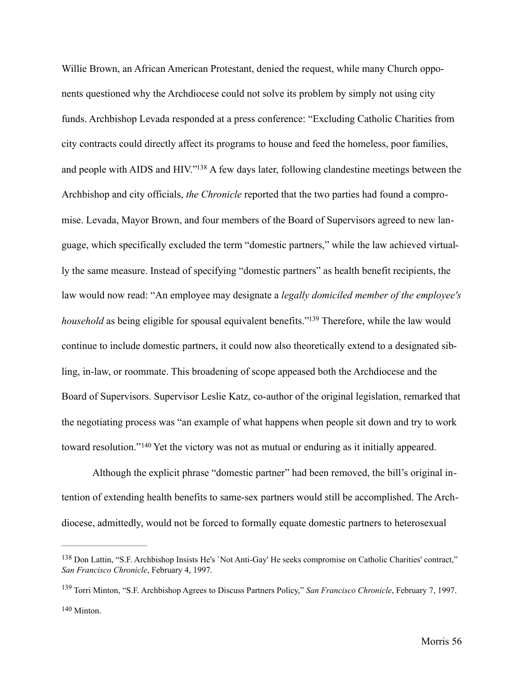<span id="page-61-3"></span>Willie Brown, an African American Protestant, denied the request, while many Church opponents questioned why the Archdiocese could not solve its problem by simply not using city funds. Archbishop Levada responded at a press conference: "Excluding Catholic Charities from city contracts could directly affect its programs to house and feed the homeless, poor families, and people with AIDS and HIV.["](#page-61-0)<sup>[138](#page-61-0)</sup> A few days later, following clandestine meetings between the Archbishop and city officials, *the Chronicle* reported that the two parties had found a compromise. Levada, Mayor Brown, and four members of the Board of Supervisors agreed to new language, which specifically excluded the term "domestic partners," while the law achieved virtually the same measure. Instead of specifying "domestic partners" as health benefit recipients, the law would now read: "An employee may designate a *legally domiciled member of the employee's household* as being eligible for spousal equivalent benefits.["](#page-61-1)<sup>[139](#page-61-1)</sup> Therefore, while the law would continue to include domestic partners, it could now also theoretically extend to a designated sibling, in-law, or roommate. This broadening of scope appeased both the Archdiocese and the Board of Supervisors. Supervisor Leslie Katz, co-author of the original legislation, remarked that the negotiating process was "an example of what happens when people sit down and try to work towardresolution."<sup>140</sup> Yet the victory was not as mutual or enduring as it initially appeared.

<span id="page-61-5"></span><span id="page-61-4"></span> Although the explicit phrase "domestic partner" had been removed, the bill's original intention of extending health benefits to same-sex partners would still be accomplished. The Archdiocese, admittedly, would not be forced to formally equate domestic partners to heterosexual

<span id="page-61-0"></span>[<sup>138</sup>](#page-61-3) Don Lattin, "S.F. Archbishop Insists He's 'Not Anti-Gay' He seeks compromise on Catholic Charities' contract," *San Francisco Chronicle*, February 4, 1997.

<span id="page-61-2"></span><span id="page-61-1"></span>Torri Minton, "S.F. Archbishop Agrees to Discuss Partners Policy," *San Francisco Chronicle*, February 7, 1997. [139](#page-61-4) [140](#page-61-5) Minton.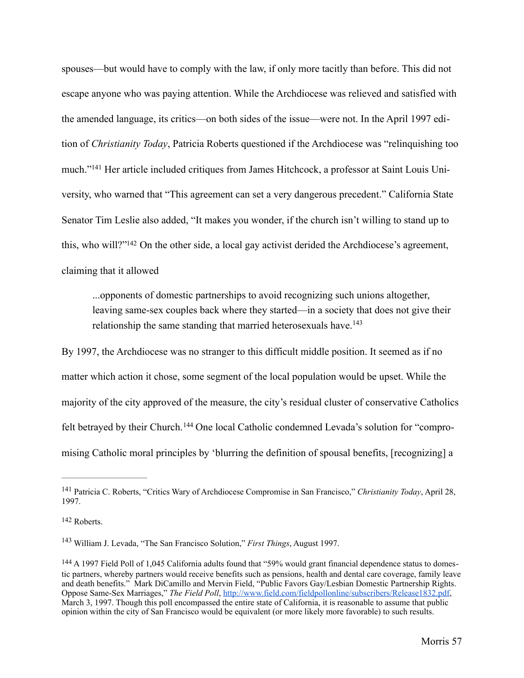<span id="page-62-4"></span>spouses—but would have to comply with the law, if only more tacitly than before. This did not escape anyone who was paying attention. While the Archdiocese was relieved and satisfied with the amended language, its critics—on both sides of the issue—were not. In the April 1997 edition of *Christianity Today*, Patricia Roberts questioned if the Archdiocese was "relinquishing too much."<sup>141</sup>Her article included critiques from James Hitchcock, a professor at Saint Louis University, who warned that "This agreement can set a very dangerous precedent." California State Senator Tim Leslie also added, "It makes you wonder, if the church isn't willing to stand up to this, who will?["](#page-62-1)<sup>[142](#page-62-1)</sup> On the other side, a local gay activist derided the Archdiocese's agreement, claiming that it allowed

<span id="page-62-6"></span><span id="page-62-5"></span>...opponents of domestic partnerships to avoid recognizing such unions altogether, leaving same-sex couples back where they started—in a society that does not give their relationship the same standing that married heterosexuals have.<sup>[143](#page-62-2)</sup>

By 1997, the Archdiocese was no stranger to this difficult middle position. It seemed as if no matter which action it chose, some segment of the local population would be upset. While the majority of the city approved of the measure, the city's residual cluster of conservative Catholics feltbetrayed by their Church.<sup>144</sup> One local Catholic condemned Levada's solution for "compromising Catholic moral principles by 'blurring the definition of spousal benefits, [recognizing] a

<span id="page-62-7"></span><span id="page-62-0"></span>Patricia C. Roberts, "Critics Wary of Archdiocese Compromise in San Francisco," *Christianity Today*, April 28, [141](#page-62-4) 1997.

<span id="page-62-1"></span>[<sup>142</sup>](#page-62-5) Roberts.

<span id="page-62-2"></span><sup>&</sup>lt;sup>[143](#page-62-6)</sup> William J. Levada, "The San Francisco Solution," *First Things*, August 1997.

<span id="page-62-3"></span><sup>&</sup>lt;sup>[144](#page-62-7)</sup> A 1997 Field Poll of 1,045 California adults found that "59% would grant financial dependence status to domestic partners, whereby partners would receive benefits such as pensions, health and dental care coverage, family leave and death benefits." Mark DiCamillo and Mervin Field, "Public Favors Gay/Lesbian Domestic Partnership Rights. Oppose Same-Sex Marriages," *The Field Poll*, <http://www.field.com/fieldpollonline/subscribers/Release1832.pdf>, March 3, 1997. Though this poll encompassed the entire state of California, it is reasonable to assume that public opinion within the city of San Francisco would be equivalent (or more likely more favorable) to such results.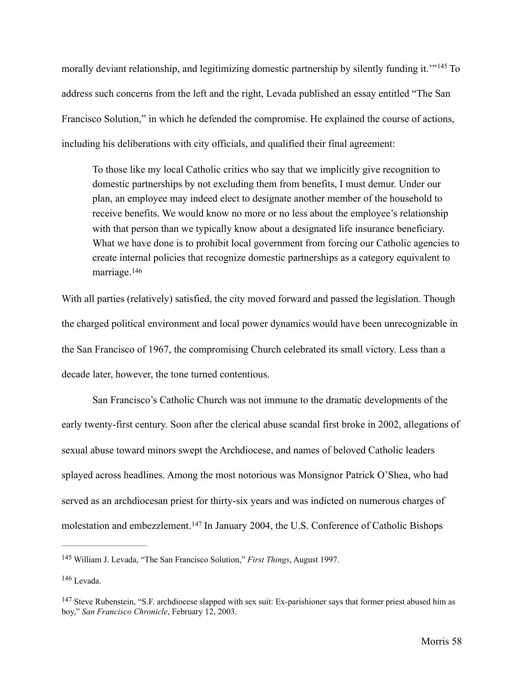morallydeviant relationship, and legitimizing domestic partnership by silently funding it.<sup>'"[145](#page-63-0)</sup> To address such concerns from the left and the right, Levada published an essay entitled "The San Francisco Solution," in which he defended the compromise. He explained the course of actions, including his deliberations with city officials, and qualified their final agreement:

<span id="page-63-3"></span> To those like my local Catholic critics who say that we implicitly give recognition to domestic partnerships by not excluding them from benefits, I must demur. Under our plan, an employee may indeed elect to designate another member of the household to receive benefits. We would know no more or no less about the employee's relationship with that person than we typically know about a designated life insurance beneficiary. What we have done is to prohibit local government from forcing our Catholic agencies to create internal policies that recognize domestic partnerships as a category equivalent to marriage.[146](#page-63-1)

<span id="page-63-4"></span>With all parties (relatively) satisfied, the city moved forward and passed the legislation. Though the charged political environment and local power dynamics would have been unrecognizable in the San Francisco of 1967, the compromising Church celebrated its small victory. Less than a decade later, however, the tone turned contentious.

 San Francisco's Catholic Church was not immune to the dramatic developments of the early twenty-first century. Soon after the clerical abuse scandal first broke in 2002, allegations of sexual abuse toward minors swept the Archdiocese, and names of beloved Catholic leaders splayed across headlines. Among the most notorious was Monsignor Patrick O'Shea, who had served as an archdiocesan priest for thirty-six years and was indicted on numerous charges of molestationand embezzlement.<sup>[147](#page-63-2)</sup> In January 2004, the U.S. Conference of Catholic Bishops

<span id="page-63-5"></span><span id="page-63-0"></span><sup>&</sup>lt;sup>[145](#page-63-3)</sup> William J. Levada, "The San Francisco Solution," *First Things*, August 1997.

<span id="page-63-1"></span><sup>&</sup>lt;sup>[146](#page-63-4)</sup> Levada.

<span id="page-63-2"></span> $147$  Steve Rubenstein, "S.F. archdiocese slapped with sex suit: Ex-parishioner says that former priest abused him as boy," *San Francisco Chronicle*, February 12, 2003.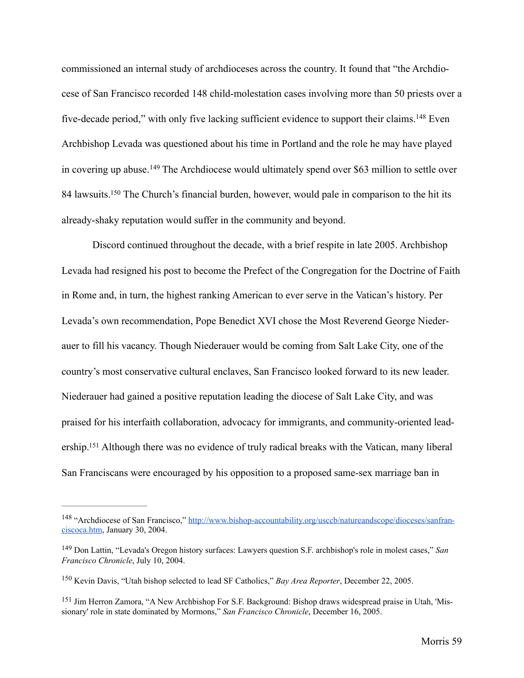<span id="page-64-4"></span>commissioned an internal study of archdioceses across the country. It found that "the Archdiocese of San Francisco recorded 148 child-molestation cases involving more than 50 priests over a five-decadeperiod," with only five lacking sufficient evidence to support their claims.  $^{148}$  $^{148}$  $^{148}$  Even Archbishop Levada was questioned about his time in Portland and the role he may have played incovering up abuse.<sup>[149](#page-64-1)</sup> The Archdiocese would ultimately spend over \$63 million to settle over 84 lawsuits[.](#page-64-2)<sup>[150](#page-64-2)</sup> The Church's financial burden, however, would pale in comparison to the hit its already-shaky reputation would suffer in the community and beyond.

<span id="page-64-6"></span><span id="page-64-5"></span> Discord continued throughout the decade, with a brief respite in late 2005. Archbishop Levada had resigned his post to become the Prefect of the Congregation for the Doctrine of Faith in Rome and, in turn, the highest ranking American to ever serve in the Vatican's history. Per Levada's own recommendation, Pope Benedict XVI chose the Most Reverend George Niederauer to fill his vacancy. Though Niederauer would be coming from Salt Lake City, one of the country's most conservative cultural enclaves, San Francisco looked forward to its new leader. Niederauer had gained a positive reputation leading the diocese of Salt Lake City, and was praised for his interfaith collaboration, advocacy for immigrants, and community-oriented lead-ership[.](#page-64-3)<sup>[151](#page-64-3)</sup> Although there was no evidence of truly radical breaks with the Vatican, many liberal San Franciscans were encouraged by his opposition to a proposed same-sex marriage ban in

<span id="page-64-7"></span><span id="page-64-0"></span><sup>&</sup>lt;sup>148</sup> ["Archdiocese of San Francisco," http://www.bishop-accountability.org/usccb/natureandscope/dioceses/sanfran](http://www.bishop-accountability.org/usccb/natureandscope/dioceses/sanfranciscoca.htm)ciscoca.htm, January 30, 2004.

<span id="page-64-1"></span><sup>&</sup>lt;sup>[149](#page-64-5)</sup> Don Lattin, "Levada's Oregon history surfaces: Lawyers question S.F. archbishop's role in molest cases," *San Francisco Chronicle*, July 10, 2004.

<span id="page-64-2"></span><sup>&</sup>lt;sup>[150](#page-64-6)</sup> Kevin Davis, "Utah bishop selected to lead SF Catholics," *Bay Area Reporter*, December 22, 2005.

<span id="page-64-3"></span><sup>&</sup>lt;sup>[151](#page-64-7)</sup> Jim Herron Zamora, "A New Archbishop For S.F. Background: Bishop draws widespread praise in Utah, 'Missionary' role in state dominated by Mormons," *San Francisco Chronicle*, December 16, 2005.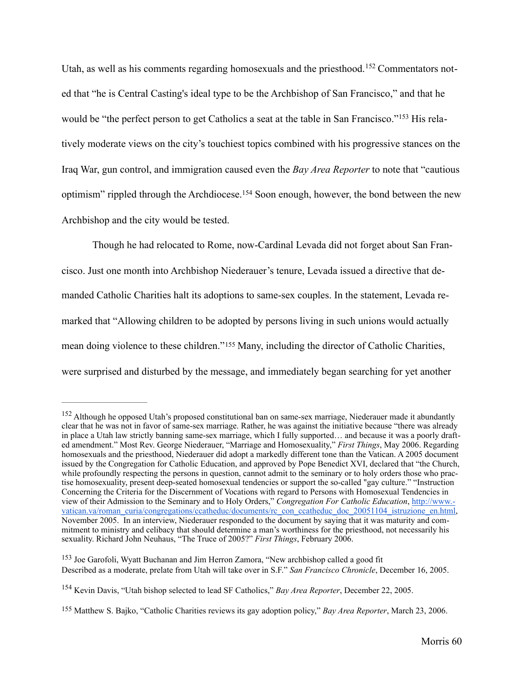<span id="page-65-5"></span><span id="page-65-4"></span>Utah,as well as his comments regarding homosexuals and the priesthood.<sup>152</sup> Commentators noted that "he is Central Casting's ideal type to be the Archbishop of San Francisco," and that he wouldbe "the perfect person to get Catholics a seat at the table in San Francisco."<sup>153</sup> His relatively moderate views on the city's touchiest topics combined with his progressive stances on the Iraq War, gun control, and immigration caused even the *Bay Area Reporter* to note that "cautious optimism"rippled through the Archdiocese.<sup>[154](#page-65-2)</sup> Soon enough, however, the bond between the new Archbishop and the city would be tested.

<span id="page-65-6"></span> Though he had relocated to Rome, now-Cardinal Levada did not forget about San Francisco. Just one month into Archbishop Niederauer's tenure, Levada issued a directive that demanded Catholic Charities halt its adoptions to same-sex couples. In the statement, Levada remarked that "Allowing children to be adopted by persons living in such unions would actually meandoing violence to these children."<sup>[155](#page-65-3)</sup> Many, including the director of Catholic Charities, were surprised and disturbed by the message, and immediately began searching for yet another

<span id="page-65-7"></span><span id="page-65-0"></span><sup>&</sup>lt;sup>[152](#page-65-4)</sup> Although he opposed Utah's proposed constitutional ban on same-sex marriage. Niederauer made it abundantly clear that he was not in favor of same-sex marriage. Rather, he was against the initiative because "there was already in place a Utah law strictly banning same-sex marriage, which I fully supported… and because it was a poorly drafted amendment." Most Rev. George Niederauer, "Marriage and Homosexuality," *First Things*, May 2006. Regarding homosexuals and the priesthood, Niederauer did adopt a markedly different tone than the Vatican. A 2005 document issued by the Congregation for Catholic Education, and approved by Pope Benedict XVI, declared that "the Church, while profoundly respecting the persons in question, cannot admit to the seminary or to holy orders those who practise homosexuality, present deep-seated homosexual tendencies or support the so-called "gay culture." "Instruction Concerning the Criteria for the Discernment of Vocations with regard to Persons with Homosexual Tendencies in view of their Admission to the Seminary and to Holy Orders," *Congregation For Catholic Education*, http://www. [vatican.va/roman\\_curia/congregations/ccatheduc/documents/rc\\_con\\_ccatheduc\\_doc\\_20051104\\_istruzione\\_en.html,](http://www.vatican.va/roman_curia/congregations/ccatheduc/documents/rc_con_ccatheduc_doc_20051104_istruzione_en.html) November 2005. In an interview, Niederauer responded to the document by saying that it was maturity and commitment to ministry and celibacy that should determine a man's worthiness for the priesthood, not necessarily his sexuality. Richard John Neuhaus, "The Truce of 2005?" *First Things*, February 2006.

<span id="page-65-1"></span><sup>&</sup>lt;sup>[153](#page-65-5)</sup> Joe Garofoli, Wyatt Buchanan and Jim Herron Zamora, "New archbishop called a good fit Described as a moderate, prelate from Utah will take over in S.F." *San Francisco Chronicle*, December 16, 2005.

<span id="page-65-2"></span><sup>&</sup>lt;sup>[154](#page-65-6)</sup> Kevin Davis, "Utah bishop selected to lead SF Catholics," *Bay Area Reporter*, December 22, 2005.

<span id="page-65-3"></span><sup>&</sup>lt;sup>[155](#page-65-7)</sup> Matthew S. Bajko, "Catholic Charities reviews its gay adoption policy," *Bay Area Reporter*, March 23, 2006.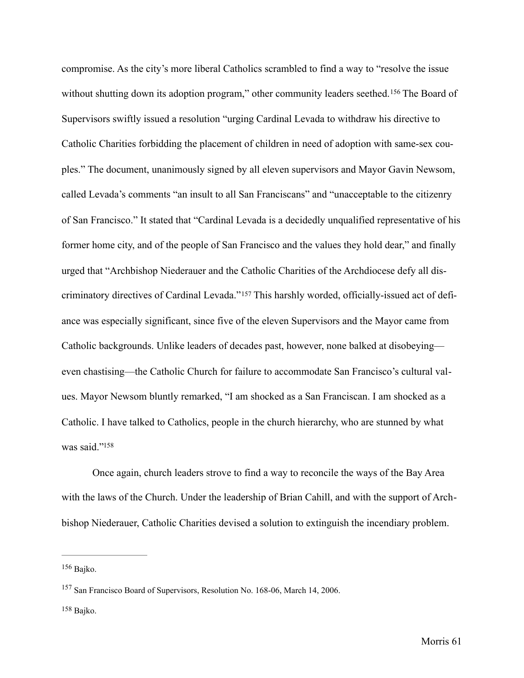<span id="page-66-3"></span>compromise. As the city's more liberal Catholics scrambled to find a way to "resolve the issue withoutshutting down its adoption program," other community leaders seethed. <sup>[156](#page-66-0)</sup> The Board of Supervisors swiftly issued a resolution "urging Cardinal Levada to withdraw his directive to Catholic Charities forbidding the placement of children in need of adoption with same-sex couples." The document, unanimously signed by all eleven supervisors and Mayor Gavin Newsom, called Levada's comments "an insult to all San Franciscans" and "unacceptable to the citizenry of San Francisco." It stated that "Cardinal Levada is a decidedly unqualified representative of his former home city, and of the people of San Francisco and the values they hold dear," and finally urged that "Archbishop Niederauer and the Catholic Charities of the Archdiocese defy all discriminatorydirectives of Cardinal Levada." 157 This harshly worded, officially-issued act of defiance was especially significant, since five of the eleven Supervisors and the Mayor came from Catholic backgrounds. Unlike leaders of decades past, however, none balked at disobeying even chastising—the Catholic Church for failure to accommodate San Francisco's cultural values. Mayor Newsom bluntly remarked, "I am shocked as a San Franciscan. I am shocked as a Catholic. I have talked to Catholics, people in the church hierarchy, who are stunned by what was said.["158](#page-66-2)

<span id="page-66-5"></span><span id="page-66-4"></span> Once again, church leaders strove to find a way to reconcile the ways of the Bay Area with the laws of the Church. Under the leadership of Brian Cahill, and with the support of Archbishop Niederauer, Catholic Charities devised a solution to extinguish the incendiary problem.

<span id="page-66-0"></span> $156$  Bajko.

<span id="page-66-1"></span><sup>&</sup>lt;sup>[157](#page-66-4)</sup> San Francisco Board of Supervisors, Resolution No. 168-06, March 14, 2006.

<span id="page-66-2"></span>[<sup>158</sup>](#page-66-5) Bajko.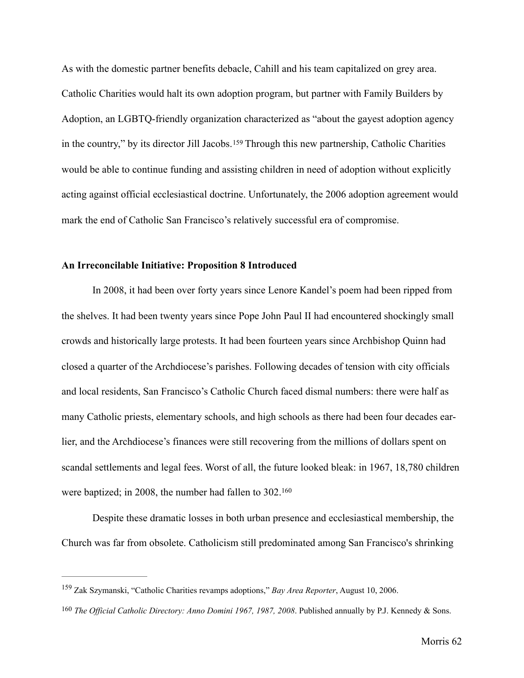<span id="page-67-2"></span>As with the domestic partner benefits debacle, Cahill and his team capitalized on grey area. Catholic Charities would halt its own adoption program, but partner with Family Builders by Adoption, an LGBTQ-friendly organization characterized as "about the gayest adoption agency inthe country," by its director Jill Jacobs. <sup>[159](#page-67-0)</sup> Through this new partnership, Catholic Charities would be able to continue funding and assisting children in need of adoption without explicitly acting against official ecclesiastical doctrine. Unfortunately, the 2006 adoption agreement would mark the end of Catholic San Francisco's relatively successful era of compromise.

# **An Irreconcilable Initiative: Proposition 8 Introduced**

 In 2008, it had been over forty years since Lenore Kandel's poem had been ripped from the shelves. It had been twenty years since Pope John Paul II had encountered shockingly small crowds and historically large protests. It had been fourteen years since Archbishop Quinn had closed a quarter of the Archdiocese's parishes. Following decades of tension with city officials and local residents, San Francisco's Catholic Church faced dismal numbers: there were half as many Catholic priests, elementary schools, and high schools as there had been four decades earlier, and the Archdiocese's finances were still recovering from the millions of dollars spent on scandal settlements and legal fees. Worst of all, the future looked bleak: in 1967, 18,780 children were baptized; in 2008, the number had fallen to 302.[160](#page-67-1)

<span id="page-67-3"></span> Despite these dramatic losses in both urban presence and ecclesiastical membership, the Church was far from obsolete. Catholicism still predominated among San Francisco's shrinking

<span id="page-67-0"></span><sup>&</sup>lt;sup>[159](#page-67-2)</sup> Zak Szymanski, "Catholic Charities revamps adoptions," *Bay Area Reporter*, August 10, 2006.

<span id="page-67-1"></span>*The Official Catholic Directory: Anno Domini 1967, 1987, 2008.* Published annually by P.J. Kennedy & Sons.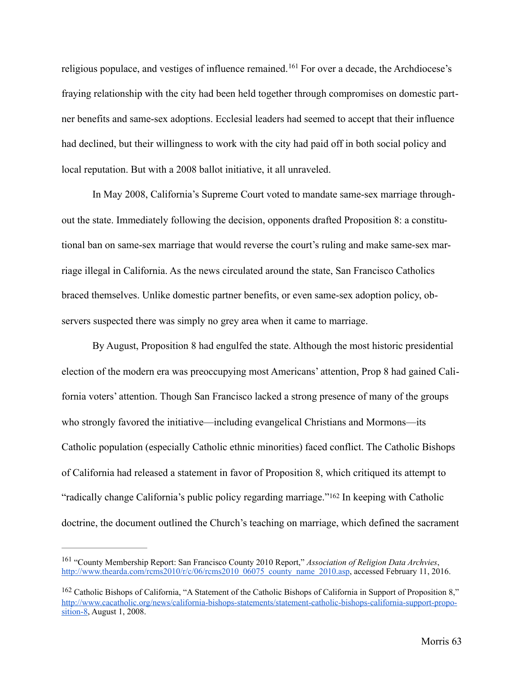<span id="page-68-2"></span>religiouspopulace, and vestiges of influence remained.<sup>[161](#page-68-0)</sup> For over a decade, the Archdiocese's fraying relationship with the city had been held together through compromises on domestic partner benefits and same-sex adoptions. Ecclesial leaders had seemed to accept that their influence had declined, but their willingness to work with the city had paid off in both social policy and local reputation. But with a 2008 ballot initiative, it all unraveled.

 In May 2008, California's Supreme Court voted to mandate same-sex marriage throughout the state. Immediately following the decision, opponents drafted Proposition 8: a constitutional ban on same-sex marriage that would reverse the court's ruling and make same-sex marriage illegal in California. As the news circulated around the state, San Francisco Catholics braced themselves. Unlike domestic partner benefits, or even same-sex adoption policy, observers suspected there was simply no grey area when it came to marriage.

 By August, Proposition 8 had engulfed the state. Although the most historic presidential election of the modern era was preoccupying most Americans' attention, Prop 8 had gained California voters' attention. Though San Francisco lacked a strong presence of many of the groups who strongly favored the initiative—including evangelical Christians and Mormons—its Catholic population (especially Catholic ethnic minorities) faced conflict. The Catholic Bishops of California had released a statement in favor of Proposition 8, which critiqued its attempt to "radicallychange California's public policy regarding marriage."<sup>[162](#page-68-1)</sup> In keeping with Catholic doctrine, the document outlined the Church's teaching on marriage, which defined the sacrament

<span id="page-68-3"></span><span id="page-68-0"></span><sup>&</sup>lt;sup>[161](#page-68-2)</sup> "County Membership Report: San Francisco County 2010 Report," *Association of Religion Data Archvies*, [http://www.thearda.com/rcms2010/r/c/06/rcms2010\\_06075\\_county\\_name\\_2010.asp,](http://www.thearda.com/rcms2010/r/c/06/rcms2010_06075_county_name_2010.asp) accessed February 11, 2016.

<span id="page-68-1"></span><sup>&</sup>lt;sup>[162](#page-68-3)</sup> Catholic Bishops of California, "A Statement of the Catholic Bishops of California in Support of Proposition 8," [http://www.cacatholic.org/news/california-bishops-statements/statement-catholic-bishops-california-support-propo](http://www.cacatholic.org/news/california-bishops-statements/statement-catholic-bishops-california-support-proposition-8)sition-8, August 1, 2008.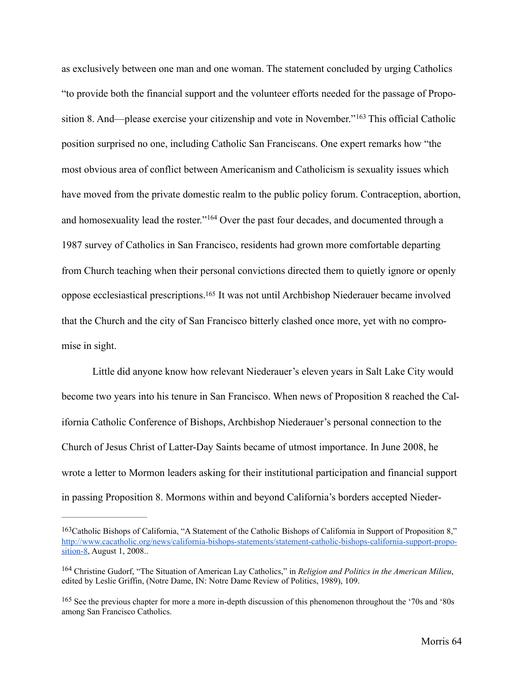<span id="page-69-3"></span>as exclusively between one man and one woman. The statement concluded by urging Catholics "to provide both the financial support and the volunteer efforts needed for the passage of Propo-sition8. And—please exercise your citizenship and vote in November."<sup>[163](#page-69-0)</sup> This official Catholic position surprised no one, including Catholic San Franciscans. One expert remarks how "the most obvious area of conflict between Americanism and Catholicism is sexuality issues which have moved from the private domestic realm to the public policy forum. Contraception, abortion, andhomosexuality lead the roster."<sup>[164](#page-69-1)</sup> Over the past four decades, and documented through a 1987 survey of Catholics in San Francisco, residents had grown more comfortable departing from Church teaching when their personal convictions directed them to quietly ignore or openly oppose ecclesiastical prescriptions[.](#page-69-2)<sup>[165](#page-69-2)</sup> It was not until Archbishop Niederauer became involved that the Church and the city of San Francisco bitterly clashed once more, yet with no compromise in sight.

<span id="page-69-5"></span><span id="page-69-4"></span> Little did anyone know how relevant Niederauer's eleven years in Salt Lake City would become two years into his tenure in San Francisco. When news of Proposition 8 reached the California Catholic Conference of Bishops, Archbishop Niederauer's personal connection to the Church of Jesus Christ of Latter-Day Saints became of utmost importance. In June 2008, he wrote a letter to Mormon leaders asking for their institutional participation and financial support in passing Proposition 8. Mormons within and beyond California's borders accepted Nieder-

<span id="page-69-0"></span><sup>&</sup>lt;sup>[163](#page-69-3)</sup> Catholic Bishops of California, "A Statement of the Catholic Bishops of California in Support of Proposition 8," [http://www.cacatholic.org/news/california-bishops-statements/statement-catholic-bishops-california-support-propo](http://www.cacatholic.org/news/california-bishops-statements/statement-catholic-bishops-california-support-proposition-8)sition-8, August 1, 2008..

<span id="page-69-1"></span><sup>&</sup>lt;sup>[164](#page-69-4)</sup> Christine Gudorf, "The Situation of American Lay Catholics," in *Religion and Politics in the American Milieu*, edited by Leslie Griffin, (Notre Dame, IN: Notre Dame Review of Politics, 1989), 109.

<span id="page-69-2"></span><sup>&</sup>lt;sup>[165](#page-69-5)</sup> See the previous chapter for more a more in-depth discussion of this phenomenon throughout the '70s and '80s among San Francisco Catholics.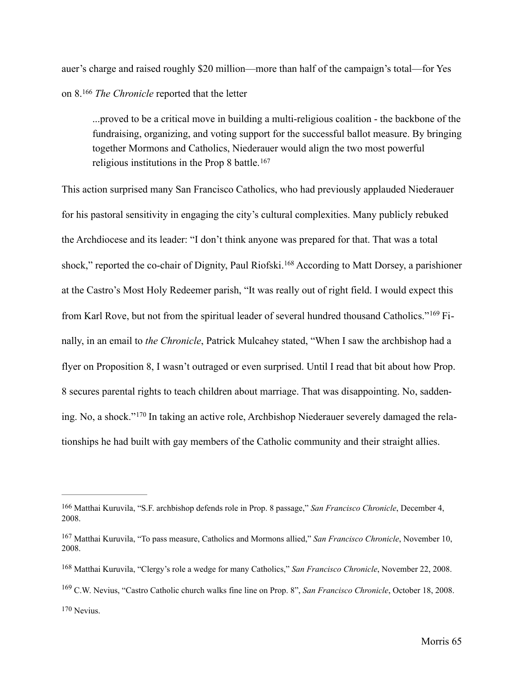auer's charge and raised roughly \$20 million—more than half of the campaign's total—for Yes on 8.<sup>[166](#page-70-0)</sup> The Chronicle reported that the letter

<span id="page-70-6"></span><span id="page-70-5"></span> ...proved to be a critical move in building a multi-religious coalition - the backbone of the fundraising, organizing, and voting support for the successful ballot measure. By bringing together Mormons and Catholics, Niederauer would align the two most powerful religious institutions in the Prop 8 battle.[167](#page-70-1)

<span id="page-70-8"></span><span id="page-70-7"></span>This action surprised many San Francisco Catholics, who had previously applauded Niederauer for his pastoral sensitivity in engaging the city's cultural complexities. Many publicly rebuked the Archdiocese and its leader: "I don't think anyone was prepared for that. That was a total shock,"reported the co-chair of Dignity, Paul Riofski.<sup>[168](#page-70-2)</sup> According to Matt Dorsey, a parishioner at the Castro's Most Holy Redeemer parish, "It was really out of right field. I would expect this fromKarl Rove, but not from the spiritual leader of several hundred thousand Catholics."<sup>169</sup> Finally, in an email to *the Chronicle*, Patrick Mulcahey stated, "When I saw the archbishop had a flyer on Proposition 8, I wasn't outraged or even surprised. Until I read that bit about how Prop. 8 secures parental rights to teach children about marriage. That was disappointing. No, sadden-ing.No, a shock."<sup>170</sup> In taking an active role, Archbishop Niederauer severely damaged the relationships he had built with gay members of the Catholic community and their straight allies.

<span id="page-70-9"></span><span id="page-70-0"></span><sup>&</sup>lt;sup>[166](#page-70-5)</sup> Matthai Kuruvila, "S.F. archbishop defends role in Prop. 8 passage," *San Francisco Chronicle*, December 4, 2008.

<span id="page-70-1"></span><sup>&</sup>lt;sup>[167](#page-70-6)</sup> Matthai Kuruvila, "To pass measure, Catholics and Mormons allied," San Francisco Chronicle, November 10, 2008.

<span id="page-70-2"></span><sup>&</sup>lt;sup>[168](#page-70-7)</sup> Matthai Kuruvila, "Clergy's role a wedge for many Catholics," San Francisco Chronicle, November 22, 2008.

<span id="page-70-3"></span><sup>&</sup>lt;sup>[169](#page-70-8)</sup> C.W. Nevius, "Castro Catholic church walks fine line on Prop. 8", *San Francisco Chronicle*, October 18, 2008.

<span id="page-70-4"></span> $170$  Nevius.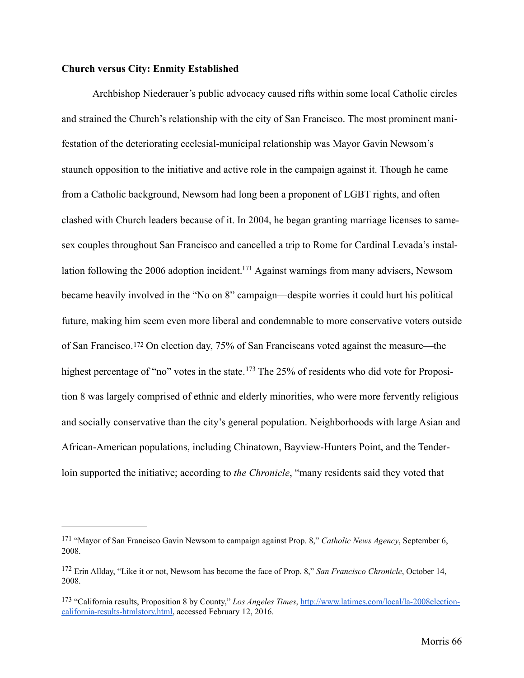## **Church versus City: Enmity Established**

<span id="page-71-3"></span>Archbishop Niederauer's public advocacy caused rifts within some local Catholic circles and strained the Church's relationship with the city of San Francisco. The most prominent manifestation of the deteriorating ecclesial-municipal relationship was Mayor Gavin Newsom's staunch opposition to the initiative and active role in the campaign against it. Though he came from a Catholic background, Newsom had long been a proponent of LGBT rights, and often clashed with Church leaders because of it. In 2004, he began granting marriage licenses to samesex couples throughout San Francisco and cancelled a trip to Rome for Cardinal Levada's instal-lation following the 2006 adoption incident[.](#page-71-0)<sup>[171](#page-71-0)</sup> Against warnings from many advisers, Newsom became heavily involved in the "No on 8" campaign—despite worries it could hurt his political future, making him seem even more liberal and condemnable to more conservative voters outside ofSan Francisco.<sup>[172](#page-71-1)</sup> On election day, 75% of San Franciscans voted against the measure—the highestpercentage of "no" votes in the state.  $173$  The 25% of residents who did vote for Proposition 8 was largely comprised of ethnic and elderly minorities, who were more fervently religious and socially conservative than the city's general population. Neighborhoods with large Asian and African-American populations, including Chinatown, Bayview-Hunters Point, and the Tenderloin supported the initiative; according to *the Chronicle*, "many residents said they voted that

<span id="page-71-5"></span><span id="page-71-4"></span><span id="page-71-0"></span><sup>&</sup>lt;sup>[171](#page-71-3)</sup> "Mayor of San Francisco Gavin Newsom to campaign against Prop. 8," *Catholic News Agency*, September 6, 2008.

<span id="page-71-1"></span><sup>&</sup>lt;sup>[172](#page-71-4)</sup> Erin Allday, "Like it or not, Newsom has become the face of Prop. 8," *San Francisco Chronicle*, October 14, 2008.

<span id="page-71-2"></span><sup>&</sup>lt;sup>[173](#page-71-5)</sup> "California results, Proposition 8 by County," *Los Angeles Times*, http://www.latimes.com/local/la-2008election[california-results-htmlstory.html, accessed February 12, 2016.](http://www.latimes.com/local/la-2008election-california-results-htmlstory.html)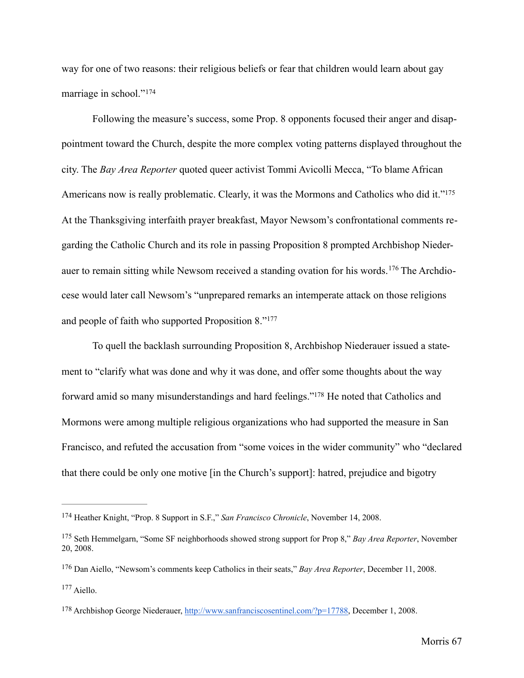way for one of two reasons: their religious beliefs or fear that children would learn about gay marriage in school."[174](#page-72-0)

<span id="page-72-6"></span><span id="page-72-5"></span>Following the measure's success, some Prop. 8 opponents focused their anger and disappointment toward the Church, despite the more complex voting patterns displayed throughout the city. The *Bay Area Reporter* quoted queer activist Tommi Avicolli Mecca, "To blame African Americans now is really problematic. Clearly, it was the Mormons and Catholics who did it."<sup>175</sup> At the Thanksgiving interfaith prayer breakfast, Mayor Newsom's confrontational comments regarding the Catholic Church and its role in passing Proposition 8 prompted Archbishop Niederauerto remain sitting while Newsom received a standing ovation for his words.<sup>176</sup> The Archdiocese would later call Newsom's "unprepared remarks an intemperate attack on those religions and people of faith who supported Proposition 8."[177](#page-72-3)

<span id="page-72-9"></span><span id="page-72-8"></span><span id="page-72-7"></span>To quell the backlash surrounding Proposition 8, Archbishop Niederauer issued a statement to "clarify what was done and why it was done, and offer some thoughts about the way forward amid so many misunderstandings and hard feelings.["](#page-72-4)<sup>[178](#page-72-4)</sup> He noted that Catholics and Mormons were among multiple religious organizations who had supported the measure in San Francisco, and refuted the accusation from "some voices in the wider community" who "declared that there could be only one motive [in the Church's support]: hatred, prejudice and bigotry

<span id="page-72-0"></span><sup>&</sup>lt;sup>[174](#page-72-5)</sup> Heather Knight, "Prop. 8 Support in S.F.," *San Francisco Chronicle*, November 14, 2008.

<span id="page-72-1"></span><sup>&</sup>lt;sup>[175](#page-72-6)</sup> Seth Hemmelgarn, "Some SF neighborhoods showed strong support for Prop 8," *Bay Area Reporter*, November 20, 2008.

<span id="page-72-2"></span><sup>&</sup>lt;sup>[176](#page-72-7)</sup> Dan Aiello, "Newsom's comments keep Catholics in their seats," *Bay Area Reporter*, December 11, 2008.

<span id="page-72-3"></span><sup>&</sup>lt;sup>[177](#page-72-8)</sup> Aiello.

<span id="page-72-4"></span><sup>178</sup> Archbishop George Niederauer, [http://www.sanfranciscosentinel.com/?p=17788,](http://www.sanfranciscosentinel.com/?p=17788) December 1, 2008.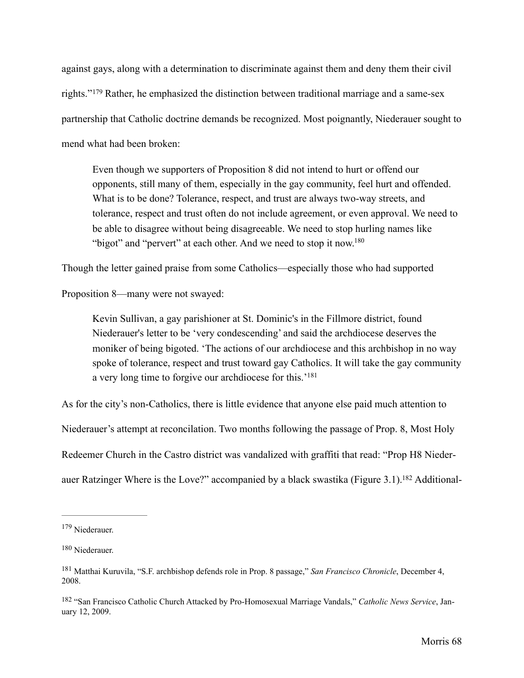<span id="page-73-4"></span>against gays, along with a determination to discriminate against them and deny them their civil rights."<sup>179</sup>Rather, he emphasized the distinction between traditional marriage and a same-sex partnership that Catholic doctrine demands be recognized. Most poignantly, Niederauer sought to mend what had been broken:

Even though we supporters of Proposition 8 did not intend to hurt or offend our opponents, still many of them, especially in the gay community, feel hurt and offended. What is to be done? Tolerance, respect, and trust are always two-way streets, and tolerance, respect and trust often do not include agreement, or even approval. We need to be able to disagree without being disagreeable. We need to stop hurling names like "bigot" and "pervert" at each other. And we need to stop it now.<sup>180</sup>

Though the letter gained praise from some Catholics—especially those who had supported

Proposition 8—many were not swayed:

<span id="page-73-6"></span><span id="page-73-5"></span>Kevin Sullivan, a gay parishioner at St. Dominic's in the Fillmore district, found Niederauer's letter to be 'very condescending' and said the archdiocese deserves the moniker of being bigoted. 'The actions of our archdiocese and this archbishop in no way spoke of tolerance, respect and trust toward gay Catholics. It will take the gay community a very long time to forgive our archdiocese for this.['181](#page-73-2)

As for the city's non-Catholics, there is little evidence that anyone else paid much attention to Niederauer's attempt at reconcilation. Two months following the passage of Prop. 8, Most Holy Redeemer Church in the Castro district was vandalized with graffiti that read: "Prop H8 Nieder-auer Ratzinger Where is the Love?" accompanied by a black swastika (Figure 3[.](#page-73-3)1).<sup>182</sup> Additional-

<span id="page-73-7"></span><span id="page-73-0"></span>[<sup>179</sup>](#page-73-4) Niederauer.

<span id="page-73-1"></span>[<sup>180</sup>](#page-73-5) Niederauer.

<span id="page-73-2"></span><sup>&</sup>lt;sup>[181](#page-73-6)</sup> Matthai Kuruvila, "S.F. archbishop defends role in Prop. 8 passage," *San Francisco Chronicle*, December 4, 2008.

<span id="page-73-3"></span><sup>&</sup>lt;sup>[182](#page-73-7)</sup> "San Francisco Catholic Church Attacked by Pro-Homosexual Marriage Vandals," *Catholic News Service*, January 12, 2009.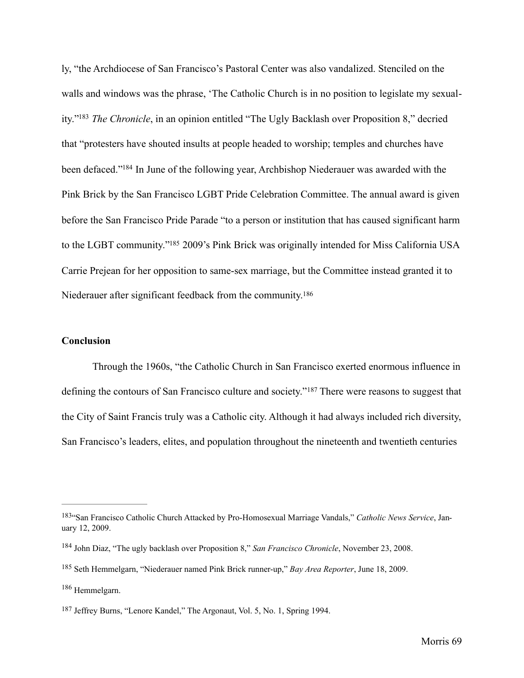<span id="page-74-6"></span><span id="page-74-5"></span>ly, "the Archdiocese of San Francisco's Pastoral Center was also vandalized. Stenciled on the walls and windows was the phrase, 'The Catholic Church is in no position to legislate my sexual-ity."<sup>[183](#page-74-0)</sup> The Chronicle, in an opinion entitled "The Ugly Backlash over Proposition 8," decried that "protesters have shouted insults at people headed to worship; temples and churches have been defaced.["](#page-74-1)<sup>[184](#page-74-1)</sup> In June of the following year, Archbishop Niederauer was awarded with the Pink Brick by the San Francisco LGBT Pride Celebration Committee. The annual award is given before the San Francisco Pride Parade "to a person or institution that has caused significant harm to the LGBT community.["](#page-74-2)<sup>[185](#page-74-2)</sup> 2009's Pink Brick was originally intended for Miss California USA Carrie Prejean for her opposition to same-sex marriage, but the Committee instead granted it to Niederauer after significant feedback from the community[.186](#page-74-3)

#### <span id="page-74-8"></span><span id="page-74-7"></span>**Conclusion**

<span id="page-74-9"></span>Through the 1960s, "the Catholic Church in San Francisco exerted enormous influence in definingthe contours of San Francisco culture and society."<sup>[187](#page-74-4)</sup> There were reasons to suggest that the City of Saint Francis truly was a Catholic city. Although it had always included rich diversity, San Francisco's leaders, elites, and population throughout the nineteenth and twentieth centuries

<span id="page-74-0"></span>[<sup>183</sup>](#page-74-5)"San Francisco Catholic Church Attacked by Pro-Homosexual Marriage Vandals," Catholic News Service, January 12, 2009.

<span id="page-74-1"></span><sup>&</sup>lt;sup>[184](#page-74-6)</sup> John Diaz, "The ugly backlash over Proposition 8," *San Francisco Chronicle*, November 23, 2008.

<span id="page-74-2"></span><sup>&</sup>lt;sup>[185](#page-74-7)</sup> Seth Hemmelgarn, "Niederauer named Pink Brick runner-up," *Bay Area Reporter*, June 18, 2009.

<span id="page-74-3"></span> $186$  Hemmelgarn.

<span id="page-74-4"></span><sup>&</sup>lt;sup>[187](#page-74-9)</sup> Jeffrey Burns, "Lenore Kandel," The Argonaut, Vol. 5, No. 1, Spring 1994.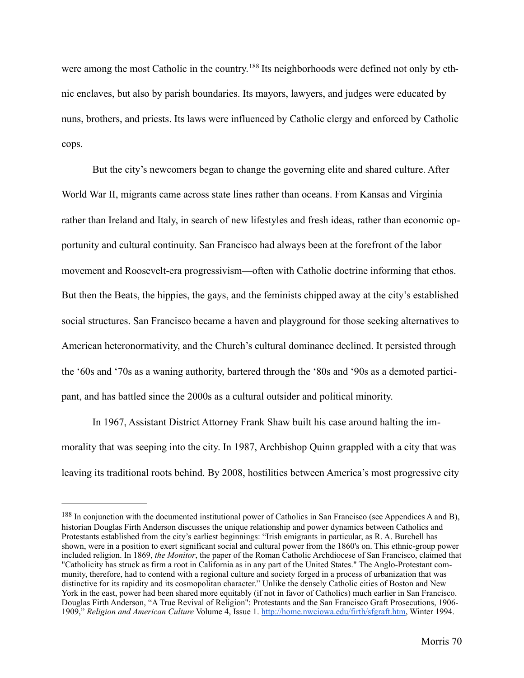<span id="page-75-1"></span>were among the most Catholic in the country[.](#page-75-0)<sup>188</sup> Its neighborhoods were defined not only by ethnic enclaves, but also by parish boundaries. Its mayors, lawyers, and judges were educated by nuns, brothers, and priests. Its laws were influenced by Catholic clergy and enforced by Catholic cops.

 But the city's newcomers began to change the governing elite and shared culture. After World War II, migrants came across state lines rather than oceans. From Kansas and Virginia rather than Ireland and Italy, in search of new lifestyles and fresh ideas, rather than economic opportunity and cultural continuity. San Francisco had always been at the forefront of the labor movement and Roosevelt-era progressivism—often with Catholic doctrine informing that ethos. But then the Beats, the hippies, the gays, and the feminists chipped away at the city's established social structures. San Francisco became a haven and playground for those seeking alternatives to American heteronormativity, and the Church's cultural dominance declined. It persisted through the '60s and '70s as a waning authority, bartered through the '80s and '90s as a demoted participant, and has battled since the 2000s as a cultural outsider and political minority.

In 1967, Assistant District Attorney Frank Shaw built his case around halting the immorality that was seeping into the city. In 1987, Archbishop Quinn grappled with a city that was leaving its traditional roots behind. By 2008, hostilities between America's most progressive city

<span id="page-75-0"></span><sup>&</sup>lt;sup>[188](#page-75-1)</sup> In conjunction with the documented institutional power of Catholics in San Francisco (see Appendices A and B), historian Douglas Firth Anderson discusses the unique relationship and power dynamics between Catholics and Protestants established from the city's earliest beginnings: "Irish emigrants in particular, as R. A. Burchell has shown, were in a position to exert significant social and cultural power from the 1860's on. This ethnic-group power included religion. In 1869, *the Monitor*, the paper of the Roman Catholic Archdiocese of San Francisco, claimed that "Catholicity has struck as firm a root in California as in any part of the United States." The Anglo-Protestant community, therefore, had to contend with a regional culture and society forged in a process of urbanization that was distinctive for its rapidity and its cosmopolitan character." Unlike the densely Catholic cities of Boston and New York in the east, power had been shared more equitably (if not in favor of Catholics) much earlier in San Francisco. Douglas Firth Anderson, "A True Revival of Religion": Protestants and the San Francisco Graft Prosecutions, 1906- 1909," *Religion and American Culture* Volume 4, Issue 1. <http://home.nwciowa.edu/firth/sfgraft.htm>, Winter 1994.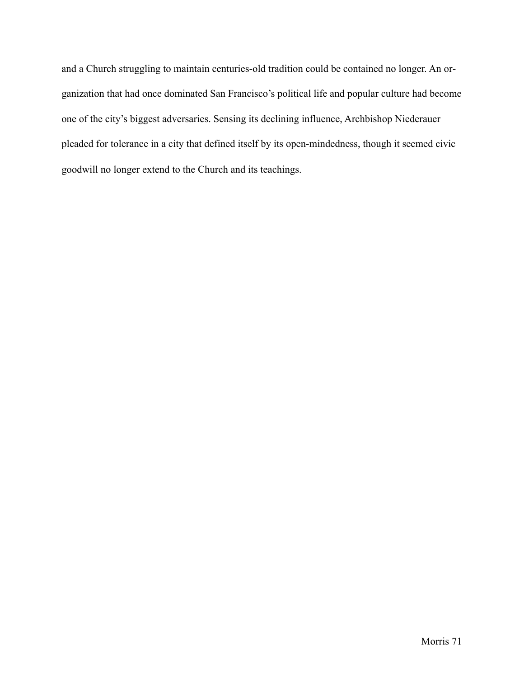and a Church struggling to maintain centuries-old tradition could be contained no longer. An organization that had once dominated San Francisco's political life and popular culture had become one of the city's biggest adversaries. Sensing its declining influence, Archbishop Niederauer pleaded for tolerance in a city that defined itself by its open-mindedness, though it seemed civic goodwill no longer extend to the Church and its teachings.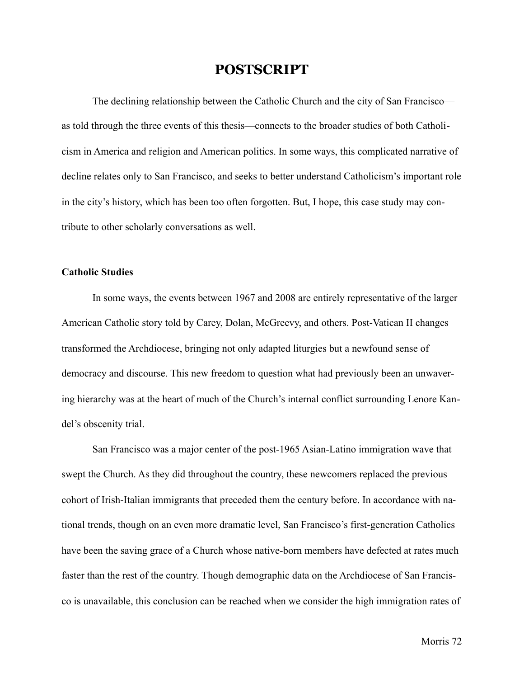#### **POSTSCRIPT**

The declining relationship between the Catholic Church and the city of San Francisco as told through the three events of this thesis—connects to the broader studies of both Catholicism in America and religion and American politics. In some ways, this complicated narrative of decline relates only to San Francisco, and seeks to better understand Catholicism's important role in the city's history, which has been too often forgotten. But, I hope, this case study may contribute to other scholarly conversations as well.

#### **Catholic Studies**

In some ways, the events between 1967 and 2008 are entirely representative of the larger American Catholic story told by Carey, Dolan, McGreevy, and others. Post-Vatican II changes transformed the Archdiocese, bringing not only adapted liturgies but a newfound sense of democracy and discourse. This new freedom to question what had previously been an unwavering hierarchy was at the heart of much of the Church's internal conflict surrounding Lenore Kandel's obscenity trial.

San Francisco was a major center of the post-1965 Asian-Latino immigration wave that swept the Church. As they did throughout the country, these newcomers replaced the previous cohort of Irish-Italian immigrants that preceded them the century before. In accordance with national trends, though on an even more dramatic level, San Francisco's first-generation Catholics have been the saving grace of a Church whose native-born members have defected at rates much faster than the rest of the country. Though demographic data on the Archdiocese of San Francisco is unavailable, this conclusion can be reached when we consider the high immigration rates of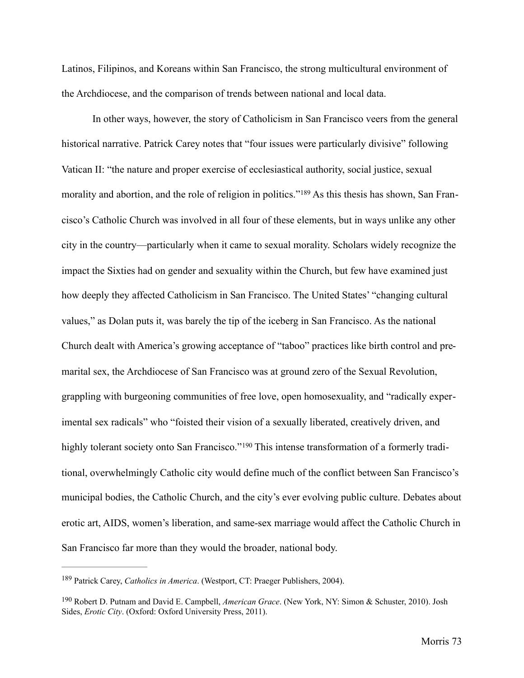Latinos, Filipinos, and Koreans within San Francisco, the strong multicultural environment of the Archdiocese, and the comparison of trends between national and local data.

<span id="page-78-2"></span>In other ways, however, the story of Catholicism in San Francisco veers from the general historical narrative. Patrick Carey notes that "four issues were particularly divisive" following Vatican II: "the nature and proper exercise of ecclesiastical authority, social justice, sexual morality and abortion, and the role of religion in politics."[189](#page-78-0) As this thesis has shown, San Francisco's Catholic Church was involved in all four of these elements, but in ways unlike any other city in the country—particularly when it came to sexual morality. Scholars widely recognize the impact the Sixties had on gender and sexuality within the Church, but few have examined just how deeply they affected Catholicism in San Francisco. The United States' "changing cultural values," as Dolan puts it, was barely the tip of the iceberg in San Francisco. As the national Church dealt with America's growing acceptance of "taboo" practices like birth control and premarital sex, the Archdiocese of San Francisco was at ground zero of the Sexual Revolution, grappling with burgeoning communities of free love, open homosexuality, and "radically experimental sex radicals" who "foisted their vision of a sexually liberated, creatively driven, and highlytolerant society onto San Francisco."<sup>190</sup> This intense transformation of a formerly traditional, overwhelmingly Catholic city would define much of the conflict between San Francisco's municipal bodies, the Catholic Church, and the city's ever evolving public culture. Debates about erotic art, AIDS, women's liberation, and same-sex marriage would affect the Catholic Church in San Francisco far more than they would the broader, national body.

<span id="page-78-3"></span><span id="page-78-0"></span><sup>&</sup>lt;sup>[189](#page-78-2)</sup> Patrick Carey, *Catholics in America*. (Westport, CT: Praeger Publishers, 2004).

<span id="page-78-1"></span><sup>&</sup>lt;sup>[190](#page-78-3)</sup> Robert D. Putnam and David E. Campbell, *American Grace*. (New York, NY: Simon & Schuster, 2010). Josh Sides, *Erotic City*. (Oxford: Oxford University Press, 2011).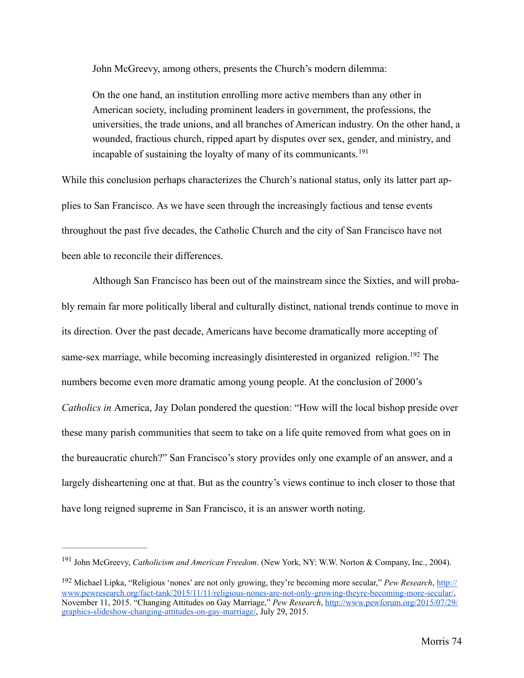John McGreevy, among others, presents the Church's modern dilemma:

<span id="page-79-2"></span>On the one hand, an institution enrolling more active members than any other in American society, including prominent leaders in government, the professions, the universities, the trade unions, and all branches of American industry. On the other hand, a wounded, fractious church, ripped apart by disputes over sex, gender, and ministry, and incapable of sustaining the loyalty of many of its communicants.<sup>[191](#page-79-0)</sup>

While this conclusion perhaps characterizes the Church's national status, only its latter part applies to San Francisco. As we have seen through the increasingly factious and tense events throughout the past five decades, the Catholic Church and the city of San Francisco have not been able to reconcile their differences.

<span id="page-79-3"></span>Although San Francisco has been out of the mainstream since the Sixties, and will probably remain far more politically liberal and culturally distinct, national trends continue to move in its direction. Over the past decade, Americans have become dramatically more accepting of same-sex marriage, while becoming increasingly disinterested in organized religion[.](#page-79-1)<sup>[192](#page-79-1)</sup> The numbers become even more dramatic among young people. At the conclusion of 2000's *Catholics in* America, Jay Dolan pondered the question: "How will the local bishop preside over these many parish communities that seem to take on a life quite removed from what goes on in the bureaucratic church?" San Francisco's story provides only one example of an answer, and a largely disheartening one at that. But as the country's views continue to inch closer to those that have long reigned supreme in San Francisco, it is an answer worth noting.

<span id="page-79-0"></span><sup>&</sup>lt;sup>[191](#page-79-2)</sup> John McGreevy, *Catholicism and American Freedom*. (New York, NY: W.W. Norton & Company, Inc., 2004).

<span id="page-79-1"></span><sup>&</sup>lt;sup>[192](#page-79-3)</sup> Michael Lipka, "Religious 'nones' are not only growing, they're becoming more secular," *Pew Research*, http:// [www.pewresearch.org/fact-tank/2015/11/11/religious-nones-are-not-only-growing-theyre-becoming-more-secular/,](http://www.pewresearch.org/fact-tank/2015/11/11/religious-nones-are-not-only-growing-theyre-becoming-more-secular/)  November 11, 2015. "Changing Attitudes on Gay Marriage," *Pew Research*, http://www.pewforum.org/2015/07/29/ [graphics-slideshow-changing-attitudes-on-gay-marriage/, July 29, 2015.](http://www.pewforum.org/2015/07/29/graphics-slideshow-changing-attitudes-on-gay-marriage/)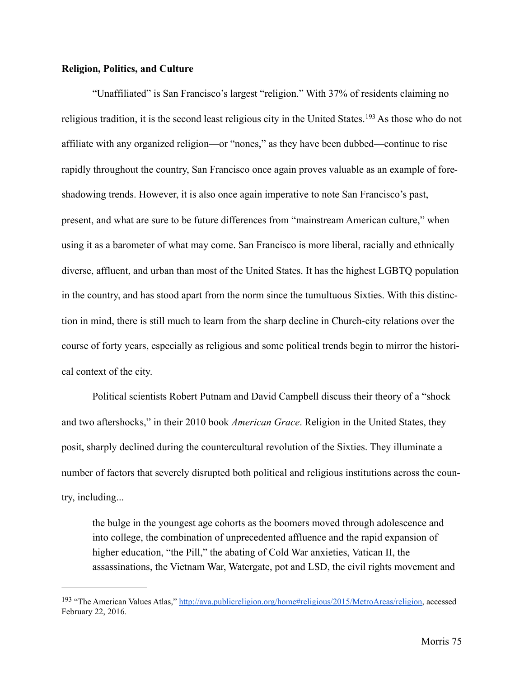#### **Religion, Politics, and Culture**

<span id="page-80-1"></span>"Unaffiliated" is San Francisco's largest "religion." With 37% of residents claiming no religioustradition, it is the second least religious city in the United States.  $193$  As those who do not affiliate with any organized religion—or "nones," as they have been dubbed—continue to rise rapidly throughout the country, San Francisco once again proves valuable as an example of foreshadowing trends. However, it is also once again imperative to note San Francisco's past, present, and what are sure to be future differences from "mainstream American culture," when using it as a barometer of what may come. San Francisco is more liberal, racially and ethnically diverse, affluent, and urban than most of the United States. It has the highest LGBTQ population in the country, and has stood apart from the norm since the tumultuous Sixties. With this distinction in mind, there is still much to learn from the sharp decline in Church-city relations over the course of forty years, especially as religious and some political trends begin to mirror the historical context of the city.

Political scientists Robert Putnam and David Campbell discuss their theory of a "shock and two aftershocks," in their 2010 book *American Grace*. Religion in the United States, they posit, sharply declined during the countercultural revolution of the Sixties. They illuminate a number of factors that severely disrupted both political and religious institutions across the country, including...

the bulge in the youngest age cohorts as the boomers moved through adolescence and into college, the combination of unprecedented affluence and the rapid expansion of higher education, "the Pill," the abating of Cold War anxieties, Vatican II, the assassinations, the Vietnam War, Watergate, pot and LSD, the civil rights movement and

<span id="page-80-0"></span><sup>193 &</sup>quot;The American Values Atlas," [http://ava.publicreligion.org/home#religious/2015/MetroAreas/religion,](http://ava.publicreligion.org/home%252523religious/2015/MetroAreas/religion) accessed February 22, 2016.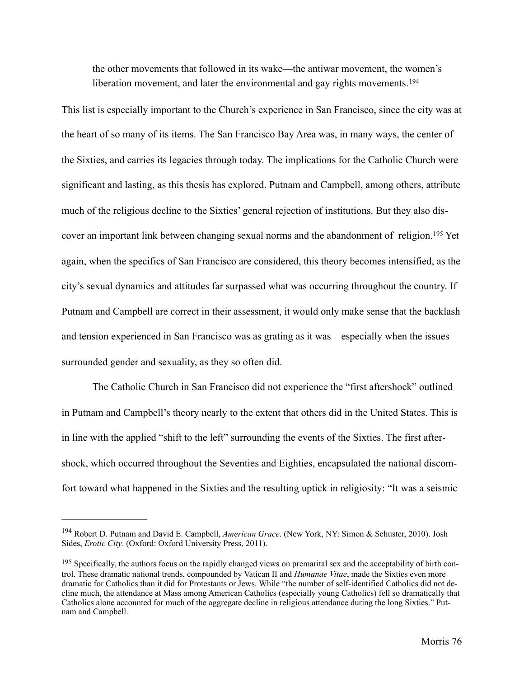<span id="page-81-3"></span><span id="page-81-2"></span>the other movements that followed in its wake—the antiwar movement, the women's liberation movement, and later the environmental and gay rights movements.<sup>[194](#page-81-0)</sup>

This list is especially important to the Church's experience in San Francisco, since the city was at the heart of so many of its items. The San Francisco Bay Area was, in many ways, the center of the Sixties, and carries its legacies through today. The implications for the Catholic Church were significant and lasting, as this thesis has explored. Putnam and Campbell, among others, attribute much of the religious decline to the Sixties' general rejection of institutions. But they also dis-coveran important link between changing sexual norms and the abandonment of religion.<sup>[195](#page-81-1)</sup> Yet again, when the specifics of San Francisco are considered, this theory becomes intensified, as the city's sexual dynamics and attitudes far surpassed what was occurring throughout the country. If Putnam and Campbell are correct in their assessment, it would only make sense that the backlash and tension experienced in San Francisco was as grating as it was—especially when the issues surrounded gender and sexuality, as they so often did.

The Catholic Church in San Francisco did not experience the "first aftershock" outlined in Putnam and Campbell's theory nearly to the extent that others did in the United States. This is in line with the applied "shift to the left" surrounding the events of the Sixties. The first aftershock, which occurred throughout the Seventies and Eighties, encapsulated the national discomfort toward what happened in the Sixties and the resulting uptick in religiosity: "It was a seismic

<span id="page-81-0"></span><sup>&</sup>lt;sup>[194](#page-81-2)</sup> Robert D. Putnam and David E. Campbell, *American Grace*. (New York, NY: Simon & Schuster, 2010). Josh Sides, *Erotic City*. (Oxford: Oxford University Press, 2011).

<span id="page-81-1"></span> $195$  Specifically, the authors focus on the rapidly changed views on premarital sex and the acceptability of birth control. These dramatic national trends, compounded by Vatican II and *Humanae Vitae*, made the Sixties even more dramatic for Catholics than it did for Protestants or Jews. While "the number of self-identified Catholics did not decline much, the attendance at Mass among American Catholics (especially young Catholics) fell so dramatically that Catholics alone accounted for much of the aggregate decline in religious attendance during the long Sixties." Putnam and Campbell.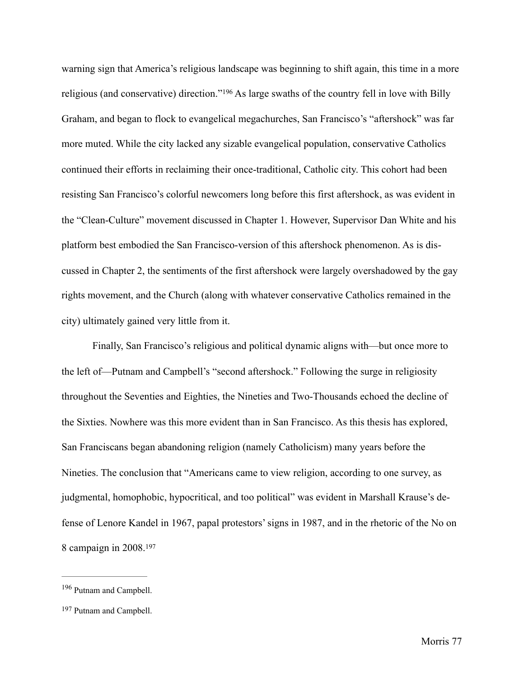<span id="page-82-2"></span>warning sign that America's religious landscape was beginning to shift again, this time in a more religious(and conservative) direction."<sup>[196](#page-82-0)</sup> As large swaths of the country fell in love with Billy Graham, and began to flock to evangelical megachurches, San Francisco's "aftershock" was far more muted. While the city lacked any sizable evangelical population, conservative Catholics continued their efforts in reclaiming their once-traditional, Catholic city. This cohort had been resisting San Francisco's colorful newcomers long before this first aftershock, as was evident in the "Clean-Culture" movement discussed in Chapter 1. However, Supervisor Dan White and his platform best embodied the San Francisco-version of this aftershock phenomenon. As is discussed in Chapter 2, the sentiments of the first aftershock were largely overshadowed by the gay rights movement, and the Church (along with whatever conservative Catholics remained in the city) ultimately gained very little from it.

Finally, San Francisco's religious and political dynamic aligns with—but once more to the left of—Putnam and Campbell's "second aftershock." Following the surge in religiosity throughout the Seventies and Eighties, the Nineties and Two-Thousands echoed the decline of the Sixties. Nowhere was this more evident than in San Francisco. As this thesis has explored, San Franciscans began abandoning religion (namely Catholicism) many years before the Nineties. The conclusion that "Americans came to view religion, according to one survey, as judgmental, homophobic, hypocritical, and too political" was evident in Marshall Krause's defense of Lenore Kandel in 1967, papal protestors' signs in 1987, and in the rhetoric of the No on 8 campaign in 2008.[197](#page-82-1)

<span id="page-82-3"></span><span id="page-82-0"></span><sup>&</sup>lt;sup>[196](#page-82-2)</sup> Putnam and Campbell.

<span id="page-82-1"></span><sup>&</sup>lt;sup>[197](#page-82-3)</sup> Putnam and Campbell.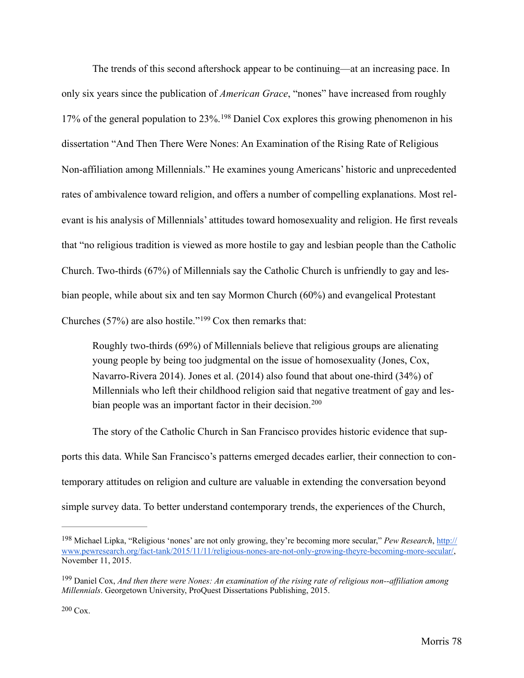<span id="page-83-3"></span>The trends of this second aftershock appear to be continuing—at an increasing pace. In only six years since the publication of *American Grace*, "nones" have increased from roughly 17%of the general population to  $23\%$ . <sup>[198](#page-83-0)</sup> Daniel Cox explores this growing phenomenon in his dissertation "And Then There Were Nones: An Examination of the Rising Rate of Religious Non-affiliation among Millennials." He examines young Americans' historic and unprecedented rates of ambivalence toward religion, and offers a number of compelling explanations. Most relevant is his analysis of Millennials' attitudes toward homosexuality and religion. He first reveals that "no religious tradition is viewed as more hostile to gay and lesbian people than the Catholic Church. Two-thirds (67%) of Millennials say the Catholic Church is unfriendly to gay and lesbian people, while about six and ten say Mormon Church (60%) and evangelical Protestant Churches(57%) are also hostile."<sup>199</sup> Cox then remarks that:

<span id="page-83-5"></span><span id="page-83-4"></span>Roughly two-thirds (69%) of Millennials believe that religious groups are alienating young people by being too judgmental on the issue of homosexuality (Jones, Cox, Navarro-Rivera 2014). Jones et al. (2014) also found that about one-third (34%) of Millennials who left their childhood religion said that negative treatment of gay and les-bian people was an important factor in their decision.<sup>[200](#page-83-2)</sup>

The story of the Catholic Church in San Francisco provides historic evidence that supports this data. While San Francisco's patterns emerged decades earlier, their connection to contemporary attitudes on religion and culture are valuable in extending the conversation beyond simple survey data. To better understand contemporary trends, the experiences of the Church,

<span id="page-83-0"></span><sup>&</sup>lt;sup>[198](#page-83-3)</sup> Michael Lipka, "Religious 'nones' are not only growing, they're becoming more secular," *Pew Research*, http:// [www.pewresearch.org/fact-tank/2015/11/11/religious-nones-are-not-only-growing-theyre-becoming-more-secular/,](http://www.pewresearch.org/fact-tank/2015/11/11/religious-nones-are-not-only-growing-theyre-becoming-more-secular/)  November 11, 2015.

<span id="page-83-2"></span><span id="page-83-1"></span><sup>&</sup>lt;sup>[199](#page-83-4)</sup> Daniel Cox, *And then there were Nones: An examination of the rising rate of religious non--affiliation among Millennials*. Georgetown University, ProQuest Dissertations Publishing, 2015.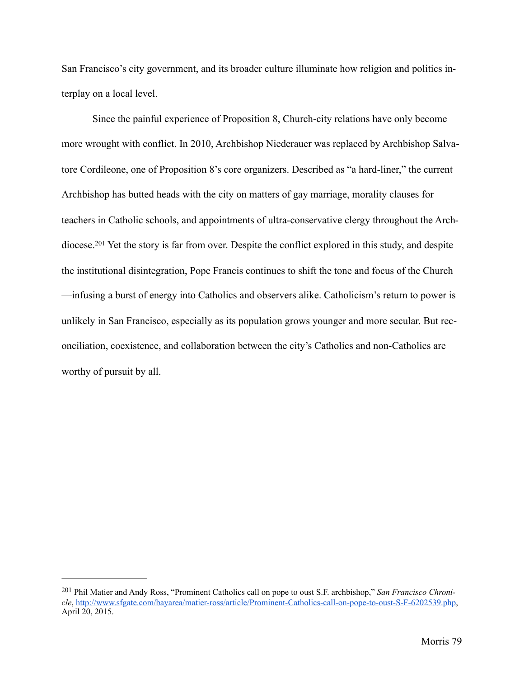San Francisco's city government, and its broader culture illuminate how religion and politics interplay on a local level.

<span id="page-84-1"></span>Since the painful experience of Proposition 8, Church-city relations have only become more wrought with conflict. In 2010, Archbishop Niederauer was replaced by Archbishop Salvatore Cordileone, one of Proposition 8's core organizers. Described as "a hard-liner," the current Archbishop has butted heads with the city on matters of gay marriage, morality clauses for teachers in Catholic schools, and appointments of ultra-conservative clergy throughout the Arch-diocese.<sup>201</sup>Yet the story is far from over. Despite the conflict explored in this study, and despite the institutional disintegration, Pope Francis continues to shift the tone and focus of the Church —infusing a burst of energy into Catholics and observers alike. Catholicism's return to power is unlikely in San Francisco, especially as its population grows younger and more secular. But reconciliation, coexistence, and collaboration between the city's Catholics and non-Catholics are worthy of pursuit by all.

<span id="page-84-0"></span><sup>&</sup>lt;sup>[201](#page-84-1)</sup> Phil Matier and Andy Ross, "Prominent Catholics call on pope to oust S.F. archbishop," *San Francisco Chronicle*, [http://www.sfgate.com/bayarea/matier-ross/article/Prominent-Catholics-call-on-pope-to-oust-S-F-6202539.php,](http://www.sfgate.com/bayarea/matier-ross/article/Prominent-Catholics-call-on-pope-to-oust-S-F-6202539.php) April 20, 2015.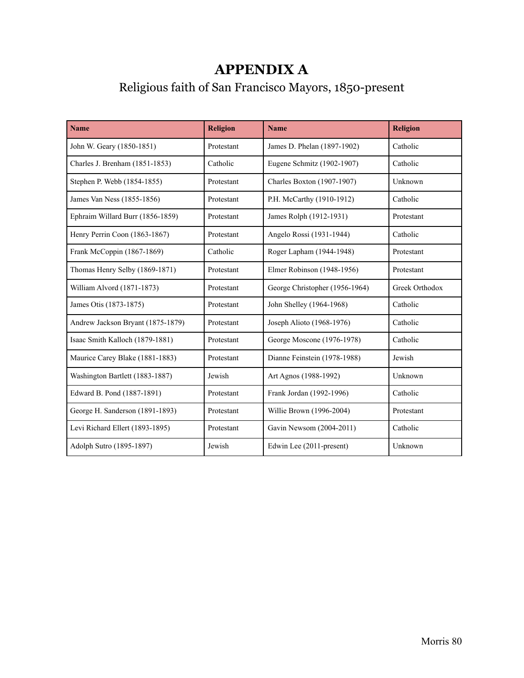## **APPENDIX A**

# Religious faith of San Francisco Mayors, 1850-present

| <b>Name</b>                       | <b>Religion</b> | <b>Name</b>                    | <b>Religion</b> |
|-----------------------------------|-----------------|--------------------------------|-----------------|
| John W. Geary (1850-1851)         | Protestant      | James D. Phelan (1897-1902)    | Catholic        |
| Charles J. Brenham (1851-1853)    | Catholic        | Eugene Schmitz (1902-1907)     | Catholic        |
| Stephen P. Webb (1854-1855)       | Protestant      | Charles Boxton (1907-1907)     | Unknown         |
| James Van Ness (1855-1856)        | Protestant      | P.H. McCarthy (1910-1912)      | Catholic        |
| Ephraim Willard Burr (1856-1859)  | Protestant      | James Rolph (1912-1931)        | Protestant      |
| Henry Perrin Coon (1863-1867)     | Protestant      | Angelo Rossi (1931-1944)       | Catholic        |
| Frank McCoppin (1867-1869)        | Catholic        | Roger Lapham (1944-1948)       | Protestant      |
| Thomas Henry Selby (1869-1871)    | Protestant      | Elmer Robinson (1948-1956)     | Protestant      |
| William Alvord (1871-1873)        | Protestant      | George Christopher (1956-1964) | Greek Orthodox  |
| James Otis (1873-1875)            | Protestant      | John Shelley (1964-1968)       | Catholic        |
| Andrew Jackson Bryant (1875-1879) | Protestant      | Joseph Alioto (1968-1976)      | Catholic        |
| Isaac Smith Kalloch (1879-1881)   | Protestant      | George Moscone (1976-1978)     | Catholic        |
| Maurice Carey Blake (1881-1883)   | Protestant      | Dianne Feinstein (1978-1988)   | Jewish          |
| Washington Bartlett (1883-1887)   | Jewish          | Art Agnos (1988-1992)          | Unknown         |
| Edward B. Pond (1887-1891)        | Protestant      | Frank Jordan (1992-1996)       | Catholic        |
| George H. Sanderson (1891-1893)   | Protestant      | Willie Brown (1996-2004)       | Protestant      |
| Levi Richard Ellert (1893-1895)   | Protestant      | Gavin Newsom (2004-2011)       | Catholic        |
| Adolph Sutro (1895-1897)          | Jewish          | Edwin Lee (2011-present)       | Unknown         |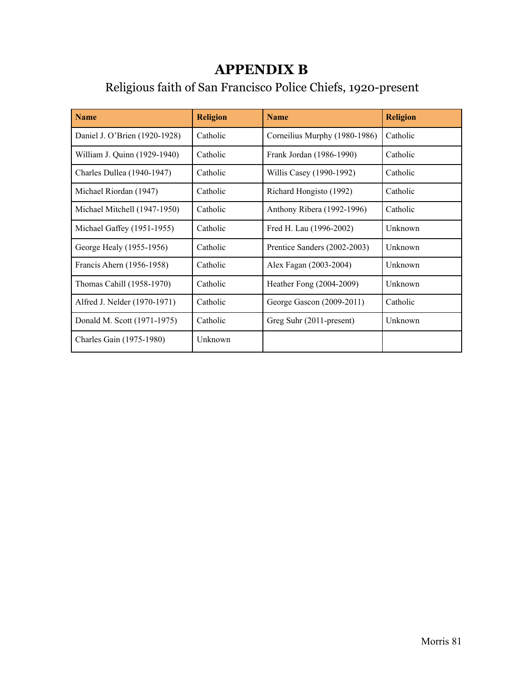### **APPENDIX B**

# Religious faith of San Francisco Police Chiefs, 1920-present

| <b>Name</b>                   | <b>Religion</b> | <b>Name</b>                   | <b>Religion</b> |
|-------------------------------|-----------------|-------------------------------|-----------------|
| Daniel J. O'Brien (1920-1928) | Catholic        | Corneilius Murphy (1980-1986) | Catholic        |
| William J. Quinn (1929-1940)  | Catholic        | Frank Jordan (1986-1990)      | Catholic        |
| Charles Dullea (1940-1947)    | Catholic        | Willis Casey (1990-1992)      | Catholic        |
| Michael Riordan (1947)        | Catholic        | Richard Hongisto (1992)       | Catholic        |
| Michael Mitchell (1947-1950)  | Catholic        | Anthony Ribera (1992-1996)    | Catholic        |
| Michael Gaffey (1951-1955)    | Catholic        | Fred H. Lau (1996-2002)       | Unknown         |
| George Healy (1955-1956)      | Catholic        | Prentice Sanders (2002-2003)  | Unknown         |
| Francis Ahern (1956-1958)     | Catholic        | Alex Fagan (2003-2004)        | Unknown         |
| Thomas Cahill (1958-1970)     | Catholic        | Heather Fong (2004-2009)      | Unknown         |
| Alfred J. Nelder (1970-1971)  | Catholic        | George Gascon (2009-2011)     | Catholic        |
| Donald M. Scott (1971-1975)   | Catholic        | Greg Suhr (2011-present)      | Unknown         |
| Charles Gain (1975-1980)      | Unknown         |                               |                 |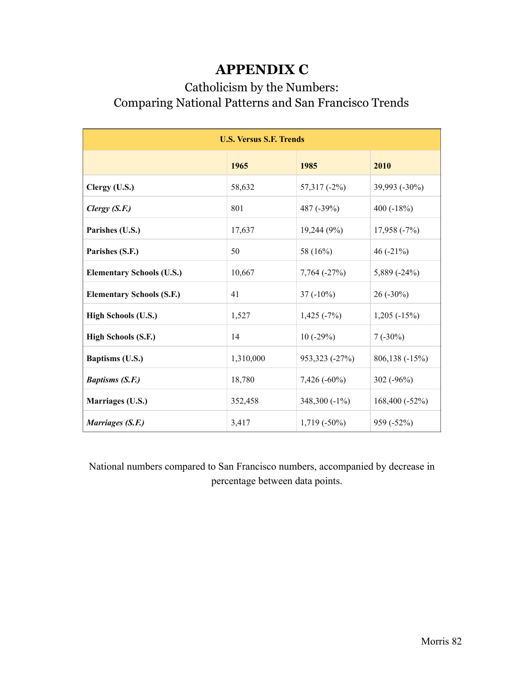### **APPENDIX C**

### Catholicism by the Numbers: Comparing National Patterns and San Francisco Trends

| <b>U.S. Versus S.F. Trends</b>   |           |                    |                |  |  |
|----------------------------------|-----------|--------------------|----------------|--|--|
|                                  | 1965      | 1985               | 2010           |  |  |
| Clergy (U.S.)                    | 58,632    | $57,317$ (-2%)     | 39,993 (-30%)  |  |  |
| Clergy $(S.F.)$                  | 801       | 487 (-39%)         | 400 $(-18%)$   |  |  |
| Parishes (U.S.)                  | 17,637    | 19,244 (9%)        | $17,958(-7%)$  |  |  |
| Parishes (S.F.)                  | 50        | 58 (16%)           | 46 $(-21\%)$   |  |  |
| <b>Elementary Schools (U.S.)</b> | 10,667    | $7,764(-27%)$      | 5,889 (-24%)   |  |  |
| <b>Elementary Schools (S.F.)</b> | 41        | $37(-10\%)$        | $26(-30\%)$    |  |  |
| High Schools (U.S.)              | 1,527     | $1,425$ ( $-7\%$ ) | $1,205(-15%)$  |  |  |
| <b>High Schools (S.F.)</b>       | 14        | $10(-29%)$         | $7(-30\%)$     |  |  |
| Baptisms (U.S.)                  | 1,310,000 | 953,323 (-27%)     | 806,138 (-15%) |  |  |
| <b>Baptisms (S.F.)</b>           | 18,780    | $7,426(-60\%)$     | 302 $(-96%)$   |  |  |
| Marriages (U.S.)                 | 352,458   | 348,300 $(-1\%)$   | 168,400 (-52%) |  |  |
| Marriages (S.F.)                 | 3,417     | $1,719(-50\%)$     | 959 (-52%)     |  |  |

National numbers compared to San Francisco numbers, accompanied by decrease in percentage between data points.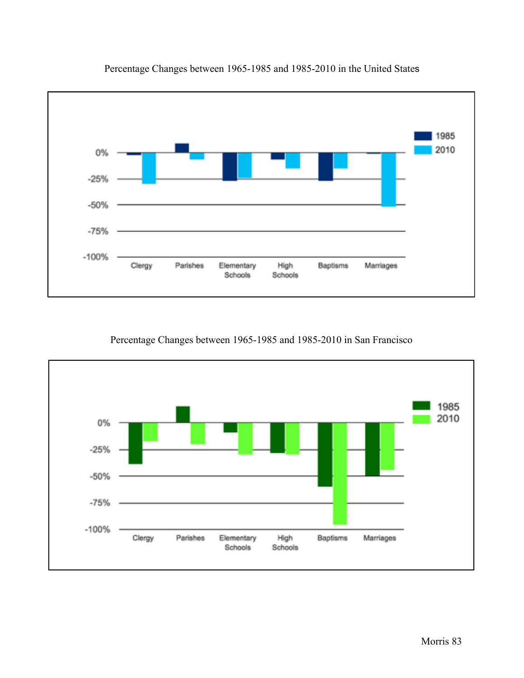

Percentage Changes between 1965-1985 and 1985-2010 in the United States

Percentage Changes between 1965-1985 and 1985-2010 in San Francisco

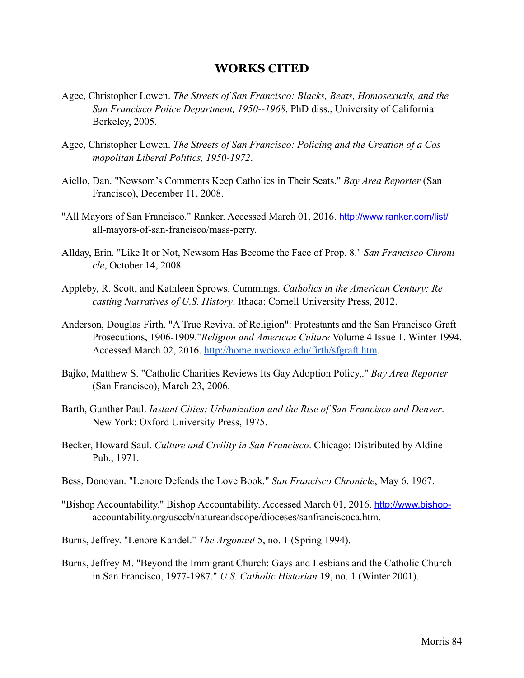#### **WORKS CITED**

- Agee, Christopher Lowen. *The Streets of San Francisco: Blacks, Beats, Homosexuals, and the San Francisco Police Department, 1950--1968*. PhD diss., University of California Berkeley, 2005.
- Agee, Christopher Lowen. *The Streets of San Francisco: Policing and the Creation of a Cos mopolitan Liberal Politics, 1950-1972*.
- Aiello, Dan. "Newsom's Comments Keep Catholics in Their Seats." *Bay Area Reporter* (San Francisco), December 11, 2008.
- "All Mayors of San Francisco." Ranker. Accessed March 01, 2016. <http://www.ranker.com/list/> all-mayors-of-san-francisco/mass-perry.
- Allday, Erin. "Like It or Not, Newsom Has Become the Face of Prop. 8." *San Francisco Chroni cle*, October 14, 2008.
- Appleby, R. Scott, and Kathleen Sprows. Cummings. *Catholics in the American Century: Re casting Narratives of U.S. History*. Ithaca: Cornell University Press, 2012.
- Anderson, Douglas Firth. "A True Revival of Religion": Protestants and the San Francisco Graft Prosecutions, 1906-1909."*Religion and American Culture* Volume 4 Issue 1. Winter 1994. Accessed March 02, 2016. [http://home.nwciowa.edu/firth/sfgraft.htm.](http://home.nwciowa.edu/firth/sfgraft.htm)
- Bajko, Matthew S. "Catholic Charities Reviews Its Gay Adoption Policy,." *Bay Area Reporter* (San Francisco), March 23, 2006.
- Barth, Gunther Paul. *Instant Cities: Urbanization and the Rise of San Francisco and Denver*. New York: Oxford University Press, 1975.
- Becker, Howard Saul. *Culture and Civility in San Francisco*. Chicago: Distributed by Aldine Pub., 1971.
- Bess, Donovan. "Lenore Defends the Love Book." *San Francisco Chronicle*, May 6, 1967.
- "Bishop Accountability." Bishop Accountability. Accessed March 01, 2016. [http://www.bishop](http://www.bishop-) accountability.org/usccb/natureandscope/dioceses/sanfranciscoca.htm.
- Burns, Jeffrey. "Lenore Kandel." *The Argonaut* 5, no. 1 (Spring 1994).
- Burns, Jeffrey M. "Beyond the Immigrant Church: Gays and Lesbians and the Catholic Church in San Francisco, 1977-1987." *U.S. Catholic Historian* 19, no. 1 (Winter 2001).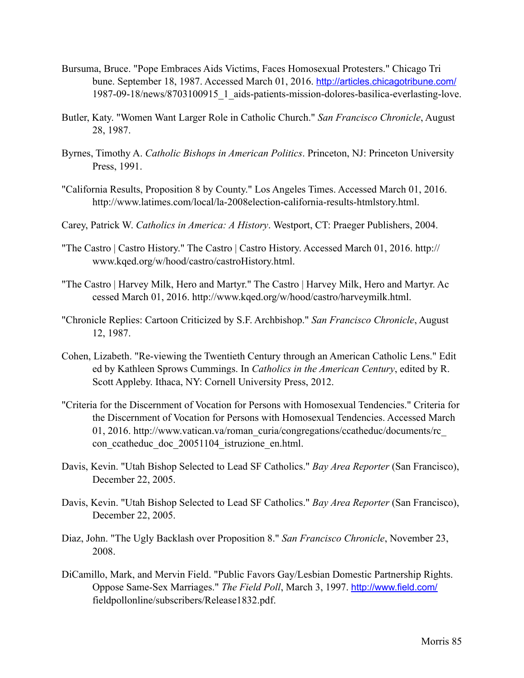- Bursuma, Bruce. "Pope Embraces Aids Victims, Faces Homosexual Protesters." Chicago Tri bune. September 18, 1987. Accessed March 01, 2016. <http://articles.chicagotribune.com/> 1987-09-18/news/8703100915\_1\_aids-patients-mission-dolores-basilica-everlasting-love.
- Butler, Katy. "Women Want Larger Role in Catholic Church." *San Francisco Chronicle*, August 28, 1987.
- Byrnes, Timothy A. *Catholic Bishops in American Politics*. Princeton, NJ: Princeton University Press, 1991.
- "California Results, Proposition 8 by County." Los Angeles Times. Accessed March 01, 2016. http://www.latimes.com/local/la-2008election-california-results-htmlstory.html.
- Carey, Patrick W. *Catholics in America: A History*. Westport, CT: Praeger Publishers, 2004.
- "The Castro | Castro History." The Castro | Castro History. Accessed March 01, 2016. http:// www.kqed.org/w/hood/castro/castroHistory.html.
- "The Castro | Harvey Milk, Hero and Martyr." The Castro | Harvey Milk, Hero and Martyr. Ac cessed March 01, 2016. http://www.kqed.org/w/hood/castro/harveymilk.html.
- "Chronicle Replies: Cartoon Criticized by S.F. Archbishop." *San Francisco Chronicle*, August 12, 1987.
- Cohen, Lizabeth. "Re-viewing the Twentieth Century through an American Catholic Lens." Edit ed by Kathleen Sprows Cummings. In *Catholics in the American Century*, edited by R. Scott Appleby. Ithaca, NY: Cornell University Press, 2012.
- "Criteria for the Discernment of Vocation for Persons with Homosexual Tendencies." Criteria for the Discernment of Vocation for Persons with Homosexual Tendencies. Accessed March 01, 2016. http://www.vatican.va/roman\_curia/congregations/ccatheduc/documents/rc\_ con ccatheduc doc 20051104 istruzione en.html.
- Davis, Kevin. "Utah Bishop Selected to Lead SF Catholics." *Bay Area Reporter* (San Francisco), December 22, 2005.
- Davis, Kevin. "Utah Bishop Selected to Lead SF Catholics." *Bay Area Reporter* (San Francisco), December 22, 2005.
- Diaz, John. "The Ugly Backlash over Proposition 8." *San Francisco Chronicle*, November 23, 2008.
- DiCamillo, Mark, and Mervin Field. "Public Favors Gay/Lesbian Domestic Partnership Rights. Oppose Same-Sex Marriages." *The Field Poll*, March 3, 1997. <http://www.field.com/> fieldpollonline/subscribers/Release1832.pdf.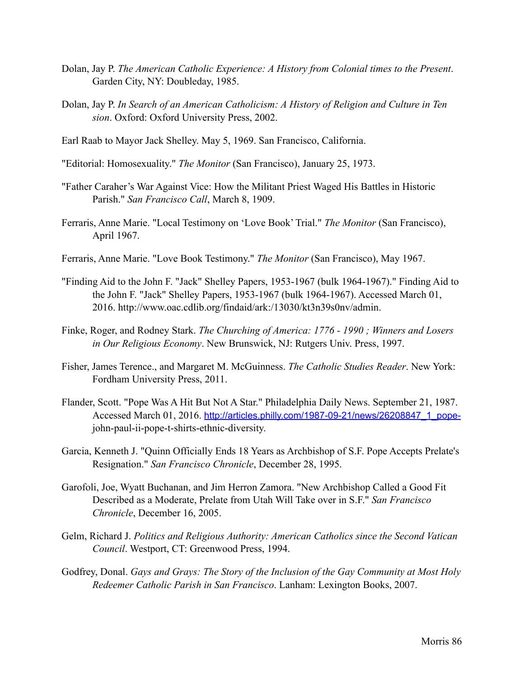- Dolan, Jay P. *The American Catholic Experience: A History from Colonial times to the Present*. Garden City, NY: Doubleday, 1985.
- Dolan, Jay P. *In Search of an American Catholicism: A History of Religion and Culture in Ten sion*. Oxford: Oxford University Press, 2002.
- Earl Raab to Mayor Jack Shelley. May 5, 1969. San Francisco, California.
- "Editorial: Homosexuality." *The Monitor* (San Francisco), January 25, 1973.
- "Father Caraher's War Against Vice: How the Militant Priest Waged His Battles in Historic Parish." *San Francisco Call*, March 8, 1909.
- Ferraris, Anne Marie. "Local Testimony on 'Love Book' Trial." *The Monitor* (San Francisco), April 1967.
- Ferraris, Anne Marie. "Love Book Testimony." *The Monitor* (San Francisco), May 1967.
- "Finding Aid to the John F. "Jack" Shelley Papers, 1953-1967 (bulk 1964-1967)." Finding Aid to the John F. "Jack" Shelley Papers, 1953-1967 (bulk 1964-1967). Accessed March 01, 2016. http://www.oac.cdlib.org/findaid/ark:/13030/kt3n39s0nv/admin.
- Finke, Roger, and Rodney Stark. *The Churching of America: 1776 1990 ; Winners and Losers in Our Religious Economy*. New Brunswick, NJ: Rutgers Univ. Press, 1997.
- Fisher, James Terence., and Margaret M. McGuinness. *The Catholic Studies Reader*. New York: Fordham University Press, 2011.
- Flander, Scott. "Pope Was A Hit But Not A Star." Philadelphia Daily News. September 21, 1987. Accessed March 01, 2016. [http://articles.philly.com/1987-09-21/news/26208847\\_1\\_pope](http://articles.philly.com/1987-09-21/news/26208847_1_pope-) john-paul-ii-pope-t-shirts-ethnic-diversity.
- Garcia, Kenneth J. "Quinn Officially Ends 18 Years as Archbishop of S.F. Pope Accepts Prelate's Resignation." *San Francisco Chronicle*, December 28, 1995.
- Garofoli, Joe, Wyatt Buchanan, and Jim Herron Zamora. "New Archbishop Called a Good Fit Described as a Moderate, Prelate from Utah Will Take over in S.F." *San Francisco Chronicle*, December 16, 2005.
- Gelm, Richard J. *Politics and Religious Authority: American Catholics since the Second Vatican Council*. Westport, CT: Greenwood Press, 1994.
- Godfrey, Donal. *Gays and Grays: The Story of the Inclusion of the Gay Community at Most Holy Redeemer Catholic Parish in San Francisco*. Lanham: Lexington Books, 2007.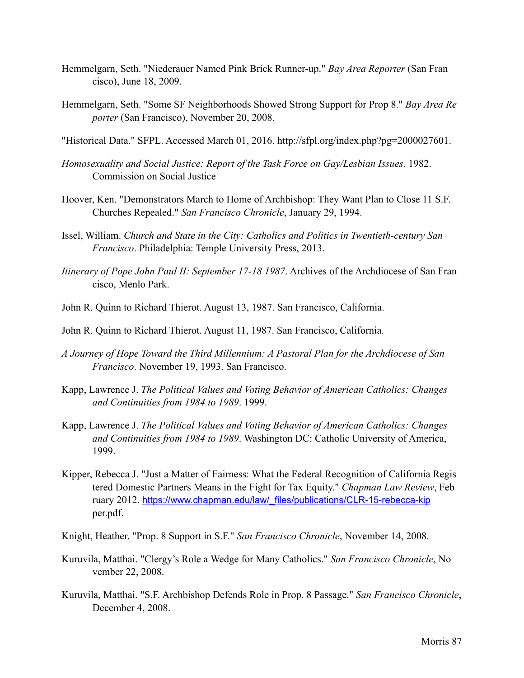- Hemmelgarn, Seth. "Niederauer Named Pink Brick Runner-up." *Bay Area Reporter* (San Fran cisco), June 18, 2009.
- Hemmelgarn, Seth. "Some SF Neighborhoods Showed Strong Support for Prop 8." *Bay Area Re porter* (San Francisco), November 20, 2008.

"Historical Data." SFPL. Accessed March 01, 2016. http://sfpl.org/index.php?pg=2000027601.

- *Homosexuality and Social Justice: Report of the Task Force on Gay/Lesbian Issues*. 1982. Commission on Social Justice
- Hoover, Ken. "Demonstrators March to Home of Archbishop: They Want Plan to Close 11 S.F. Churches Repealed." *San Francisco Chronicle*, January 29, 1994.
- Issel, William. *Church and State in the City: Catholics and Politics in Twentieth-century San Francisco*. Philadelphia: Temple University Press, 2013.
- *Itinerary of Pope John Paul II: September 17-18 1987*. Archives of the Archdiocese of San Fran cisco, Menlo Park.
- John R. Quinn to Richard Thierot. August 13, 1987. San Francisco, California.

John R. Quinn to Richard Thierot. August 11, 1987. San Francisco, California.

- *A Journey of Hope Toward the Third Millennium: A Pastoral Plan for the Archdiocese of San Francisco*. November 19, 1993. San Francisco.
- Kapp, Lawrence J. *The Political Values and Voting Behavior of American Catholics: Changes and Continuities from 1984 to 1989*. 1999.
- Kapp, Lawrence J. *The Political Values and Voting Behavior of American Catholics: Changes and Continuities from 1984 to 1989*. Washington DC: Catholic University of America, 1999.
- Kipper, Rebecca J. "Just a Matter of Fairness: What the Federal Recognition of California Regis tered Domestic Partners Means in the Fight for Tax Equity." *Chapman Law Review*, Feb ruary 2012. [https://www.chapman.edu/law/\\_files/publications/CLR-15-rebecca-kip](https://www.chapman.edu/law/_files/publications/CLR-15-rebecca-kip) per.pdf.

Knight, Heather. "Prop. 8 Support in S.F." *San Francisco Chronicle*, November 14, 2008.

- Kuruvila, Matthai. "Clergy's Role a Wedge for Many Catholics." *San Francisco Chronicle*, No vember 22, 2008.
- Kuruvila, Matthai. "S.F. Archbishop Defends Role in Prop. 8 Passage." *San Francisco Chronicle*, December 4, 2008.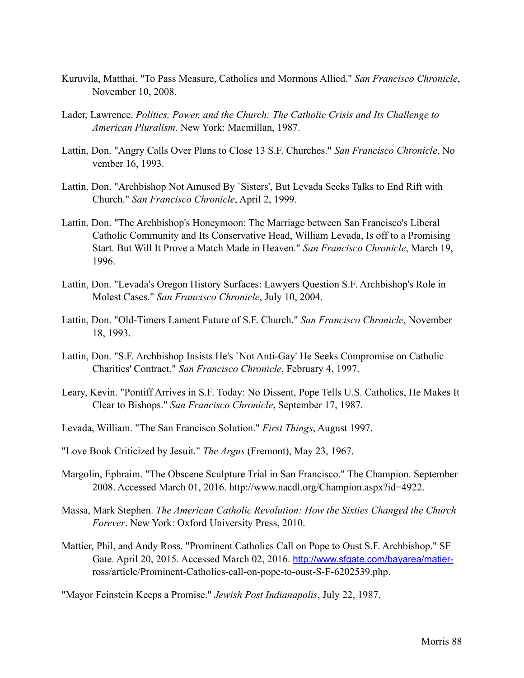- Kuruvila, Matthai. "To Pass Measure, Catholics and Mormons Allied." *San Francisco Chronicle*, November 10, 2008.
- Lader, Lawrence. *Politics, Power, and the Church: The Catholic Crisis and Its Challenge to American Pluralism*. New York: Macmillan, 1987.
- Lattin, Don. "Angry Calls Over Plans to Close 13 S.F. Churches." *San Francisco Chronicle*, No vember 16, 1993.
- Lattin, Don. "Archbishop Not Amused By `Sisters', But Levada Seeks Talks to End Rift with Church." *San Francisco Chronicle*, April 2, 1999.
- Lattin, Don. "The Archbishop's Honeymoon: The Marriage between San Francisco's Liberal Catholic Community and Its Conservative Head, William Levada, Is off to a Promising Start. But Will It Prove a Match Made in Heaven." *San Francisco Chronicle*, March 19, 1996.
- Lattin, Don. "Levada's Oregon History Surfaces: Lawyers Question S.F. Archbishop's Role in Molest Cases." *San Francisco Chronicle*, July 10, 2004.
- Lattin, Don. "Old-Timers Lament Future of S.F. Church." *San Francisco Chronicle*, November 18, 1993.
- Lattin, Don. "S.F. Archbishop Insists He's `Not Anti-Gay' He Seeks Compromise on Catholic Charities' Contract." *San Francisco Chronicle*, February 4, 1997.
- Leary, Kevin. "Pontiff Arrives in S.F. Today: No Dissent, Pope Tells U.S. Catholics, He Makes It Clear to Bishops." *San Francisco Chronicle*, September 17, 1987.
- Levada, William. "The San Francisco Solution." *First Things*, August 1997.
- "Love Book Criticized by Jesuit." *The Argus* (Fremont), May 23, 1967.
- Margolin, Ephraim. "The Obscene Sculpture Trial in San Francisco." The Champion. September 2008. Accessed March 01, 2016. http://www.nacdl.org/Champion.aspx?id=4922.
- Massa, Mark Stephen. *The American Catholic Revolution: How the Sixties Changed the Church Forever*. New York: Oxford University Press, 2010.
- Mattier, Phil, and Andy Ross. "Prominent Catholics Call on Pope to Oust S.F. Archbishop." SF Gate. April 20, 2015. Accessed March 02, 2016. [http://www.sfgate.com/bayarea/matier](http://www.sfgate.com/bayarea/matier-) ross/article/Prominent-Catholics-call-on-pope-to-oust-S-F-6202539.php.

"Mayor Feinstein Keeps a Promise." *Jewish Post Indianapolis*, July 22, 1987.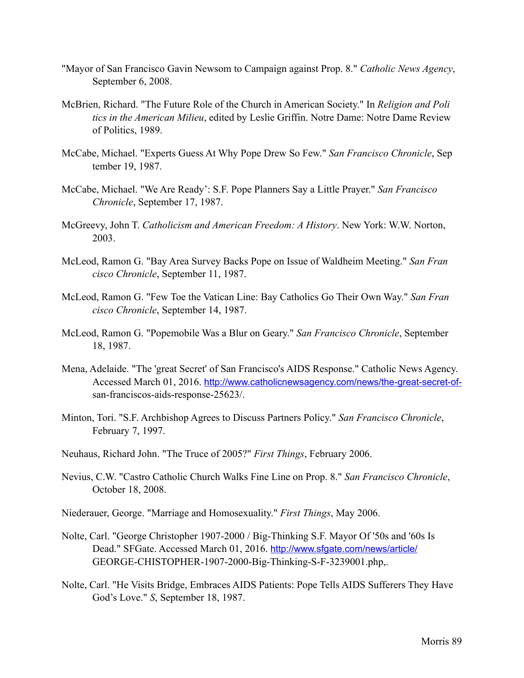- "Mayor of San Francisco Gavin Newsom to Campaign against Prop. 8." *Catholic News Agency*, September 6, 2008.
- McBrien, Richard. "The Future Role of the Church in American Society." In *Religion and Poli tics in the American Milieu*, edited by Leslie Griffin. Notre Dame: Notre Dame Review of Politics, 1989.
- McCabe, Michael. "Experts Guess At Why Pope Drew So Few." *San Francisco Chronicle*, Sep tember 19, 1987.
- McCabe, Michael. "We Are Ready': S.F. Pope Planners Say a Little Prayer." *San Francisco Chronicle*, September 17, 1987.
- McGreevy, John T. *Catholicism and American Freedom: A History*. New York: W.W. Norton, 2003.
- McLeod, Ramon G. "Bay Area Survey Backs Pope on Issue of Waldheim Meeting." *San Fran cisco Chronicle*, September 11, 1987.
- McLeod, Ramon G. "Few Toe the Vatican Line: Bay Catholics Go Their Own Way." *San Fran cisco Chronicle*, September 14, 1987.
- McLeod, Ramon G. "Popemobile Was a Blur on Geary." *San Francisco Chronicle*, September 18, 1987.
- Mena, Adelaide. "The 'great Secret' of San Francisco's AIDS Response." Catholic News Agency. Accessed March 01, 2016. [http://www.catholicnewsagency.com/news/the-great-secret-of](http://www.catholicnewsagency.com/news/the-great-secret-of-) san-franciscos-aids-response-25623/.
- Minton, Tori. "S.F. Archbishop Agrees to Discuss Partners Policy." *San Francisco Chronicle*, February 7, 1997.
- Neuhaus, Richard John. "The Truce of 2005?" *First Things*, February 2006.
- Nevius, C.W. "Castro Catholic Church Walks Fine Line on Prop. 8." *San Francisco Chronicle*, October 18, 2008.
- Niederauer, George. "Marriage and Homosexuality." *First Things*, May 2006.
- Nolte, Carl. "George Christopher 1907-2000 / Big-Thinking S.F. Mayor Of '50s and '60s Is Dead." SFGate. Accessed March 01, 2016. <http://www.sfgate.com/news/article/> GEORGE-CHISTOPHER-1907-2000-Big-Thinking-S-F-3239001.php,.
- Nolte, Carl. "He Visits Bridge, Embraces AIDS Patients: Pope Tells AIDS Sufferers They Have God's Love." *S*, September 18, 1987.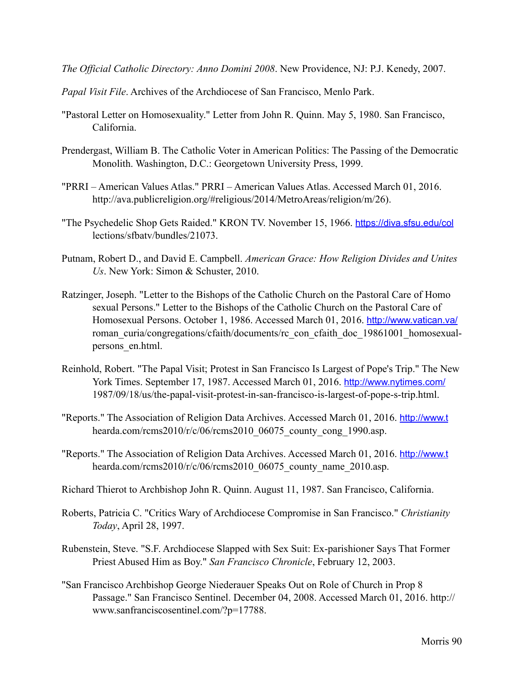*The Official Catholic Directory: Anno Domini 2008*. New Providence, NJ: P.J. Kenedy, 2007.

*Papal Visit File*. Archives of the Archdiocese of San Francisco, Menlo Park.

- "Pastoral Letter on Homosexuality." Letter from John R. Quinn. May 5, 1980. San Francisco, California.
- Prendergast, William B. The Catholic Voter in American Politics: The Passing of the Democratic Monolith. Washington, D.C.: Georgetown University Press, 1999.
- "PRRI American Values Atlas." PRRI American Values Atlas. Accessed March 01, 2016. http://ava.publicreligion.org/#religious/2014/MetroAreas/religion/m/26).
- "The Psychedelic Shop Gets Raided." KRON TV. November 15, 1966. <https://diva.sfsu.edu/col> lections/sfbatv/bundles/21073.
- Putnam, Robert D., and David E. Campbell. *American Grace: How Religion Divides and Unites Us*. New York: Simon & Schuster, 2010.
- Ratzinger, Joseph. "Letter to the Bishops of the Catholic Church on the Pastoral Care of Homo sexual Persons." Letter to the Bishops of the Catholic Church on the Pastoral Care of Homosexual Persons. October 1, 1986. Accessed March 01, 2016. <http://www.vatican.va/> roman curia/congregations/cfaith/documents/rc con cfaith doc 19861001 homosexualpersons en.html.
- Reinhold, Robert. "The Papal Visit; Protest in San Francisco Is Largest of Pope's Trip." The New York Times. September 17, 1987. Accessed March 01, 2016. <http://www.nytimes.com/> 1987/09/18/us/the-papal-visit-protest-in-san-francisco-is-largest-of-pope-s-trip.html.
- "Reports." The Association of Religion Data Archives. Accessed March 01, 2016. <http://www.t> hearda.com/rcms2010/r/c/06/rcms2010\_06075\_county\_cong\_1990.asp.
- "Reports." The Association of Religion Data Archives. Accessed March 01, 2016. <http://www.t> hearda.com/rcms2010/r/c/06/rcms2010\_06075\_county\_name\_2010.asp.
- Richard Thierot to Archbishop John R. Quinn. August 11, 1987. San Francisco, California.
- Roberts, Patricia C. "Critics Wary of Archdiocese Compromise in San Francisco." *Christianity Today*, April 28, 1997.
- Rubenstein, Steve. "S.F. Archdiocese Slapped with Sex Suit: Ex-parishioner Says That Former Priest Abused Him as Boy." *San Francisco Chronicle*, February 12, 2003.
- "San Francisco Archbishop George Niederauer Speaks Out on Role of Church in Prop 8 Passage." San Francisco Sentinel. December 04, 2008. Accessed March 01, 2016. http:// www.sanfranciscosentinel.com/?p=17788.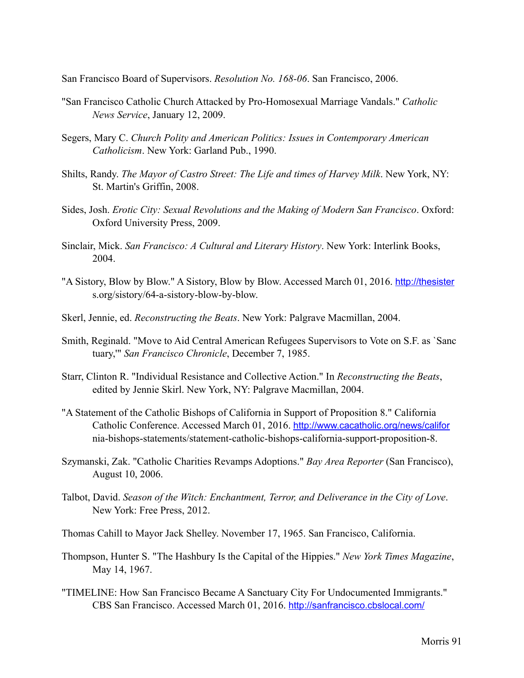San Francisco Board of Supervisors. *Resolution No. 168-06*. San Francisco, 2006.

- "San Francisco Catholic Church Attacked by Pro-Homosexual Marriage Vandals." *Catholic News Service*, January 12, 2009.
- Segers, Mary C. *Church Polity and American Politics: Issues in Contemporary American Catholicism*. New York: Garland Pub., 1990.
- Shilts, Randy. *The Mayor of Castro Street: The Life and times of Harvey Milk*. New York, NY: St. Martin's Griffin, 2008.
- Sides, Josh. *Erotic City: Sexual Revolutions and the Making of Modern San Francisco*. Oxford: Oxford University Press, 2009.
- Sinclair, Mick. *San Francisco: A Cultural and Literary History*. New York: Interlink Books, 2004.
- "A Sistory, Blow by Blow." A Sistory, Blow by Blow. Accessed March 01, 2016. <http://thesister> s.org/sistory/64-a-sistory-blow-by-blow.
- Skerl, Jennie, ed. *Reconstructing the Beats*. New York: Palgrave Macmillan, 2004.
- Smith, Reginald. "Move to Aid Central American Refugees Supervisors to Vote on S.F. as `Sanc tuary,'" *San Francisco Chronicle*, December 7, 1985.
- Starr, Clinton R. "Individual Resistance and Collective Action." In *Reconstructing the Beats*, edited by Jennie Skirl. New York, NY: Palgrave Macmillan, 2004.
- "A Statement of the Catholic Bishops of California in Support of Proposition 8." California Catholic Conference. Accessed March 01, 2016. <http://www.cacatholic.org/news/califor> nia-bishops-statements/statement-catholic-bishops-california-support-proposition-8.
- Szymanski, Zak. "Catholic Charities Revamps Adoptions." *Bay Area Reporter* (San Francisco), August 10, 2006.
- Talbot, David. *Season of the Witch: Enchantment, Terror, and Deliverance in the City of Love*. New York: Free Press, 2012.
- Thomas Cahill to Mayor Jack Shelley. November 17, 1965. San Francisco, California.
- Thompson, Hunter S. "The Hashbury Is the Capital of the Hippies." *New York Times Magazine*, May 14, 1967.
- "TIMELINE: How San Francisco Became A Sanctuary City For Undocumented Immigrants." CBS San Francisco. Accessed March 01, 2016. <http://sanfrancisco.cbslocal.com/>